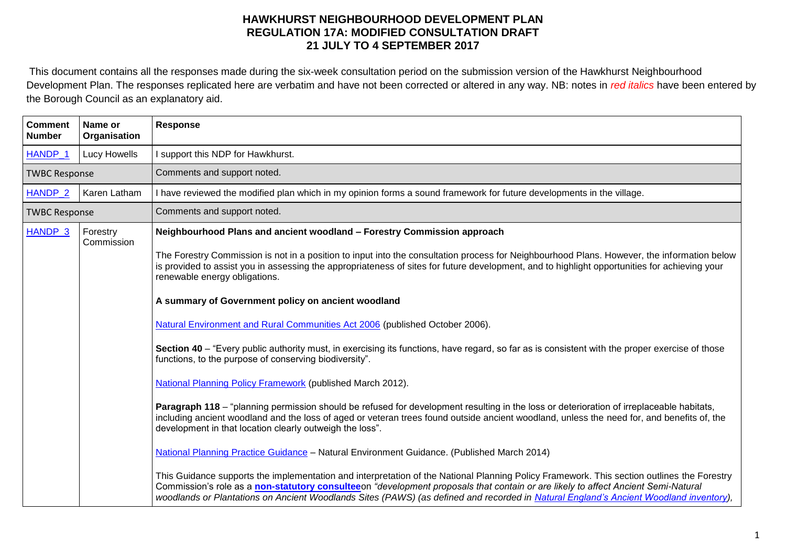This document contains all the responses made during the six-week consultation period on the submission version of the Hawkhurst Neighbourhood Development Plan. The responses replicated here are verbatim and have not been corrected or altered in any way. NB: notes in *red italics* have been entered by the Borough Council as an explanatory aid.

| <b>Comment</b><br><b>Number</b> | Name or<br>Organisation | <b>Response</b>                                                                                                                                                                                                                                                                                                                                                                                                                                                                                                                                                                                                                                                                                                                                                                                                                                                                                                                                                                                                                                                                                                                                                                                                                                                                                                                                                                                                                                                                                                                                                                                                                                                                                          |
|---------------------------------|-------------------------|----------------------------------------------------------------------------------------------------------------------------------------------------------------------------------------------------------------------------------------------------------------------------------------------------------------------------------------------------------------------------------------------------------------------------------------------------------------------------------------------------------------------------------------------------------------------------------------------------------------------------------------------------------------------------------------------------------------------------------------------------------------------------------------------------------------------------------------------------------------------------------------------------------------------------------------------------------------------------------------------------------------------------------------------------------------------------------------------------------------------------------------------------------------------------------------------------------------------------------------------------------------------------------------------------------------------------------------------------------------------------------------------------------------------------------------------------------------------------------------------------------------------------------------------------------------------------------------------------------------------------------------------------------------------------------------------------------|
| HANDP_1                         | Lucy Howells            | I support this NDP for Hawkhurst.                                                                                                                                                                                                                                                                                                                                                                                                                                                                                                                                                                                                                                                                                                                                                                                                                                                                                                                                                                                                                                                                                                                                                                                                                                                                                                                                                                                                                                                                                                                                                                                                                                                                        |
| <b>TWBC Response</b>            |                         | Comments and support noted.                                                                                                                                                                                                                                                                                                                                                                                                                                                                                                                                                                                                                                                                                                                                                                                                                                                                                                                                                                                                                                                                                                                                                                                                                                                                                                                                                                                                                                                                                                                                                                                                                                                                              |
| HANDP_2                         | Karen Latham            | I have reviewed the modified plan which in my opinion forms a sound framework for future developments in the village.                                                                                                                                                                                                                                                                                                                                                                                                                                                                                                                                                                                                                                                                                                                                                                                                                                                                                                                                                                                                                                                                                                                                                                                                                                                                                                                                                                                                                                                                                                                                                                                    |
| <b>TWBC Response</b>            |                         | Comments and support noted.                                                                                                                                                                                                                                                                                                                                                                                                                                                                                                                                                                                                                                                                                                                                                                                                                                                                                                                                                                                                                                                                                                                                                                                                                                                                                                                                                                                                                                                                                                                                                                                                                                                                              |
| HANDP <sub>_3</sub>             | Forestry<br>Commission  | Neighbourhood Plans and ancient woodland - Forestry Commission approach<br>The Forestry Commission is not in a position to input into the consultation process for Neighbourhood Plans. However, the information below<br>is provided to assist you in assessing the appropriateness of sites for future development, and to highlight opportunities for achieving your<br>renewable energy obligations.<br>A summary of Government policy on ancient woodland<br>Natural Environment and Rural Communities Act 2006 (published October 2006).<br>Section 40 - "Every public authority must, in exercising its functions, have regard, so far as is consistent with the proper exercise of those<br>functions, to the purpose of conserving biodiversity".<br>National Planning Policy Framework (published March 2012).<br>Paragraph 118 – "planning permission should be refused for development resulting in the loss or deterioration of irreplaceable habitats,<br>including ancient woodland and the loss of aged or veteran trees found outside ancient woodland, unless the need for, and benefits of, the<br>development in that location clearly outweigh the loss".<br>National Planning Practice Guidance - Natural Environment Guidance. (Published March 2014)<br>This Guidance supports the implementation and interpretation of the National Planning Policy Framework. This section outlines the Forestry<br>Commission's role as a non-statutory consulteeon "development proposals that contain or are likely to affect Ancient Semi-Natural<br>woodlands or Plantations on Ancient Woodlands Sites (PAWS) (as defined and recorded in Natural England's Ancient Woodland inventory), |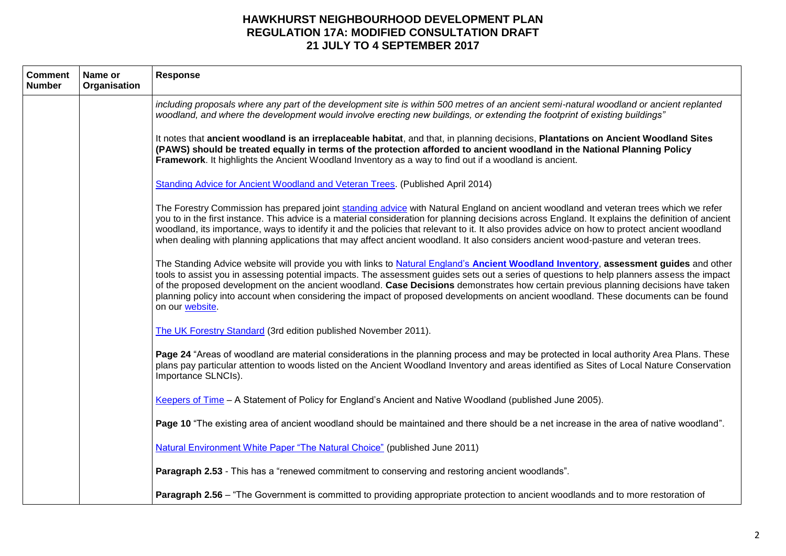| <b>Comment</b><br><b>Number</b> | Name or<br>Organisation | Response                                                                                                                                                                                                                                                                                                                                                                                                                                                                                                                                                                             |
|---------------------------------|-------------------------|--------------------------------------------------------------------------------------------------------------------------------------------------------------------------------------------------------------------------------------------------------------------------------------------------------------------------------------------------------------------------------------------------------------------------------------------------------------------------------------------------------------------------------------------------------------------------------------|
|                                 |                         | including proposals where any part of the development site is within 500 metres of an ancient semi-natural woodland or ancient replanted<br>woodland, and where the development would involve erecting new buildings, or extending the footprint of existing buildings"                                                                                                                                                                                                                                                                                                              |
|                                 |                         | It notes that ancient woodland is an irreplaceable habitat, and that, in planning decisions, Plantations on Ancient Woodland Sites<br>(PAWS) should be treated equally in terms of the protection afforded to ancient woodland in the National Planning Policy<br>Framework. It highlights the Ancient Woodland Inventory as a way to find out if a woodland is ancient.                                                                                                                                                                                                             |
|                                 |                         | Standing Advice for Ancient Woodland and Veteran Trees. (Published April 2014)                                                                                                                                                                                                                                                                                                                                                                                                                                                                                                       |
|                                 |                         | The Forestry Commission has prepared joint standing advice with Natural England on ancient woodland and veteran trees which we refer<br>you to in the first instance. This advice is a material consideration for planning decisions across England. It explains the definition of ancient<br>woodland, its importance, ways to identify it and the policies that relevant to it. It also provides advice on how to protect ancient woodland<br>when dealing with planning applications that may affect ancient woodland. It also considers ancient wood-pasture and veteran trees.  |
|                                 |                         | The Standing Advice website will provide you with links to Natural England's Ancient Woodland Inventory, assessment guides and other<br>tools to assist you in assessing potential impacts. The assessment guides sets out a series of questions to help planners assess the impact<br>of the proposed development on the ancient woodland. Case Decisions demonstrates how certain previous planning decisions have taken<br>planning policy into account when considering the impact of proposed developments on ancient woodland. These documents can be found<br>on our website. |
|                                 |                         | The UK Forestry Standard (3rd edition published November 2011).                                                                                                                                                                                                                                                                                                                                                                                                                                                                                                                      |
|                                 |                         | Page 24 "Areas of woodland are material considerations in the planning process and may be protected in local authority Area Plans. These<br>plans pay particular attention to woods listed on the Ancient Woodland Inventory and areas identified as Sites of Local Nature Conservation<br>Importance SLNCIs).                                                                                                                                                                                                                                                                       |
|                                 |                         | Keepers of Time - A Statement of Policy for England's Ancient and Native Woodland (published June 2005).                                                                                                                                                                                                                                                                                                                                                                                                                                                                             |
|                                 |                         | Page 10 "The existing area of ancient woodland should be maintained and there should be a net increase in the area of native woodland".                                                                                                                                                                                                                                                                                                                                                                                                                                              |
|                                 |                         | Natural Environment White Paper "The Natural Choice" (published June 2011)                                                                                                                                                                                                                                                                                                                                                                                                                                                                                                           |
|                                 |                         | Paragraph 2.53 - This has a "renewed commitment to conserving and restoring ancient woodlands".                                                                                                                                                                                                                                                                                                                                                                                                                                                                                      |
|                                 |                         | Paragraph 2.56 – "The Government is committed to providing appropriate protection to ancient woodlands and to more restoration of                                                                                                                                                                                                                                                                                                                                                                                                                                                    |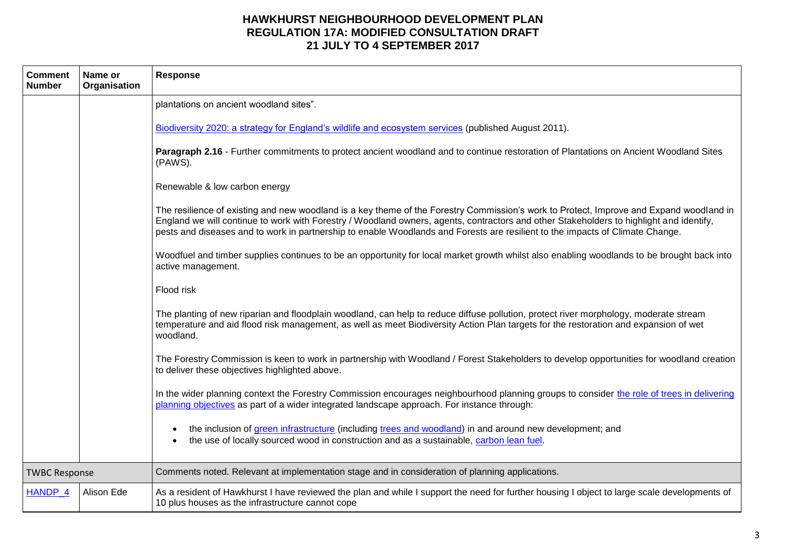| <b>Comment</b><br><b>Number</b> | Name or<br>Organisation | <b>Response</b>                                                                                                                                                                                                                                                                                                                                                                                                     |
|---------------------------------|-------------------------|---------------------------------------------------------------------------------------------------------------------------------------------------------------------------------------------------------------------------------------------------------------------------------------------------------------------------------------------------------------------------------------------------------------------|
|                                 |                         | plantations on ancient woodland sites".                                                                                                                                                                                                                                                                                                                                                                             |
|                                 |                         | Biodiversity 2020: a strategy for England's wildlife and ecosystem services (published August 2011).                                                                                                                                                                                                                                                                                                                |
|                                 |                         | Paragraph 2.16 - Further commitments to protect ancient woodland and to continue restoration of Plantations on Ancient Woodland Sites<br>(PAWS).                                                                                                                                                                                                                                                                    |
|                                 |                         | Renewable & low carbon energy                                                                                                                                                                                                                                                                                                                                                                                       |
|                                 |                         | The resilience of existing and new woodland is a key theme of the Forestry Commission's work to Protect, Improve and Expand woodland in<br>England we will continue to work with Forestry / Woodland owners, agents, contractors and other Stakeholders to highlight and identify,<br>pests and diseases and to work in partnership to enable Woodlands and Forests are resilient to the impacts of Climate Change. |
|                                 |                         | Woodfuel and timber supplies continues to be an opportunity for local market growth whilst also enabling woodlands to be brought back into<br>active management.                                                                                                                                                                                                                                                    |
|                                 |                         | Flood risk                                                                                                                                                                                                                                                                                                                                                                                                          |
|                                 |                         | The planting of new riparian and floodplain woodland, can help to reduce diffuse pollution, protect river morphology, moderate stream<br>temperature and aid flood risk management, as well as meet Biodiversity Action Plan targets for the restoration and expansion of wet<br>woodland.                                                                                                                          |
|                                 |                         | The Forestry Commission is keen to work in partnership with Woodland / Forest Stakeholders to develop opportunities for woodland creation<br>to deliver these objectives highlighted above.                                                                                                                                                                                                                         |
|                                 |                         | In the wider planning context the Forestry Commission encourages neighbourhood planning groups to consider the role of trees in delivering<br>planning objectives as part of a wider integrated landscape approach. For instance through:                                                                                                                                                                           |
|                                 |                         | the inclusion of green infrastructure (including trees and woodland) in and around new development; and<br>the use of locally sourced wood in construction and as a sustainable, carbon lean fuel.                                                                                                                                                                                                                  |
| <b>TWBC Response</b>            |                         | Comments noted. Relevant at implementation stage and in consideration of planning applications.                                                                                                                                                                                                                                                                                                                     |
| HANDP_4                         | Alison Ede              | As a resident of Hawkhurst I have reviewed the plan and while I support the need for further housing I object to large scale developments of<br>10 plus houses as the infrastructure cannot cope                                                                                                                                                                                                                    |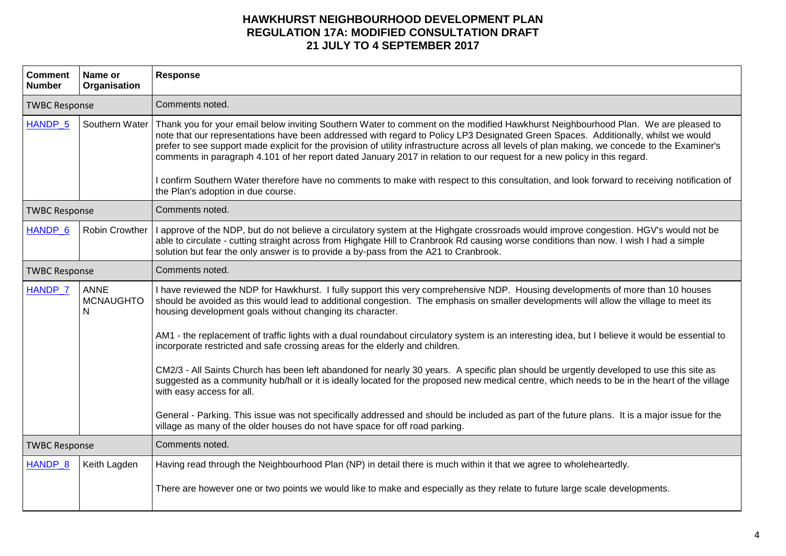| <b>Comment</b><br><b>Number</b> | Name or<br>Organisation       | <b>Response</b>                                                                                                                                                                                                                                                                                                                                                                                                                                                                                                                                                                                                                                                                                                                                                                                                                                                                                                                                                                                                                                                                                                                    |
|---------------------------------|-------------------------------|------------------------------------------------------------------------------------------------------------------------------------------------------------------------------------------------------------------------------------------------------------------------------------------------------------------------------------------------------------------------------------------------------------------------------------------------------------------------------------------------------------------------------------------------------------------------------------------------------------------------------------------------------------------------------------------------------------------------------------------------------------------------------------------------------------------------------------------------------------------------------------------------------------------------------------------------------------------------------------------------------------------------------------------------------------------------------------------------------------------------------------|
| <b>TWBC Response</b>            |                               | Comments noted.                                                                                                                                                                                                                                                                                                                                                                                                                                                                                                                                                                                                                                                                                                                                                                                                                                                                                                                                                                                                                                                                                                                    |
| HANDP <sub>_5</sub>             | Southern Water                | Thank you for your email below inviting Southern Water to comment on the modified Hawkhurst Neighbourhood Plan. We are pleased to<br>note that our representations have been addressed with regard to Policy LP3 Designated Green Spaces. Additionally, whilst we would<br>prefer to see support made explicit for the provision of utility infrastructure across all levels of plan making, we concede to the Examiner's<br>comments in paragraph 4.101 of her report dated January 2017 in relation to our request for a new policy in this regard.<br>I confirm Southern Water therefore have no comments to make with respect to this consultation, and look forward to receiving notification of<br>the Plan's adoption in due course.                                                                                                                                                                                                                                                                                                                                                                                        |
| <b>TWBC Response</b>            |                               | Comments noted.                                                                                                                                                                                                                                                                                                                                                                                                                                                                                                                                                                                                                                                                                                                                                                                                                                                                                                                                                                                                                                                                                                                    |
| HANDP 6                         | Robin Crowther                | I approve of the NDP, but do not believe a circulatory system at the Highgate crossroads would improve congestion. HGV's would not be<br>able to circulate - cutting straight across from Highgate Hill to Cranbrook Rd causing worse conditions than now. I wish I had a simple<br>solution but fear the only answer is to provide a by-pass from the A21 to Cranbrook.                                                                                                                                                                                                                                                                                                                                                                                                                                                                                                                                                                                                                                                                                                                                                           |
| <b>TWBC Response</b>            |                               | Comments noted.                                                                                                                                                                                                                                                                                                                                                                                                                                                                                                                                                                                                                                                                                                                                                                                                                                                                                                                                                                                                                                                                                                                    |
| HANDP_7                         | ANNE<br><b>MCNAUGHTO</b><br>N | I have reviewed the NDP for Hawkhurst. I fully support this very comprehensive NDP. Housing developments of more than 10 houses<br>should be avoided as this would lead to additional congestion. The emphasis on smaller developments will allow the village to meet its<br>housing development goals without changing its character.<br>AM1 - the replacement of traffic lights with a dual roundabout circulatory system is an interesting idea, but I believe it would be essential to<br>incorporate restricted and safe crossing areas for the elderly and children.<br>CM2/3 - All Saints Church has been left abandoned for nearly 30 years. A specific plan should be urgently developed to use this site as<br>suggested as a community hub/hall or it is ideally located for the proposed new medical centre, which needs to be in the heart of the village<br>with easy access for all.<br>General - Parking. This issue was not specifically addressed and should be included as part of the future plans. It is a major issue for the<br>village as many of the older houses do not have space for off road parking. |
| <b>TWBC Response</b>            |                               | Comments noted.                                                                                                                                                                                                                                                                                                                                                                                                                                                                                                                                                                                                                                                                                                                                                                                                                                                                                                                                                                                                                                                                                                                    |
| HANDP <sub>_8</sub>             | Keith Lagden                  | Having read through the Neighbourhood Plan (NP) in detail there is much within it that we agree to wholeheartedly.<br>There are however one or two points we would like to make and especially as they relate to future large scale developments.                                                                                                                                                                                                                                                                                                                                                                                                                                                                                                                                                                                                                                                                                                                                                                                                                                                                                  |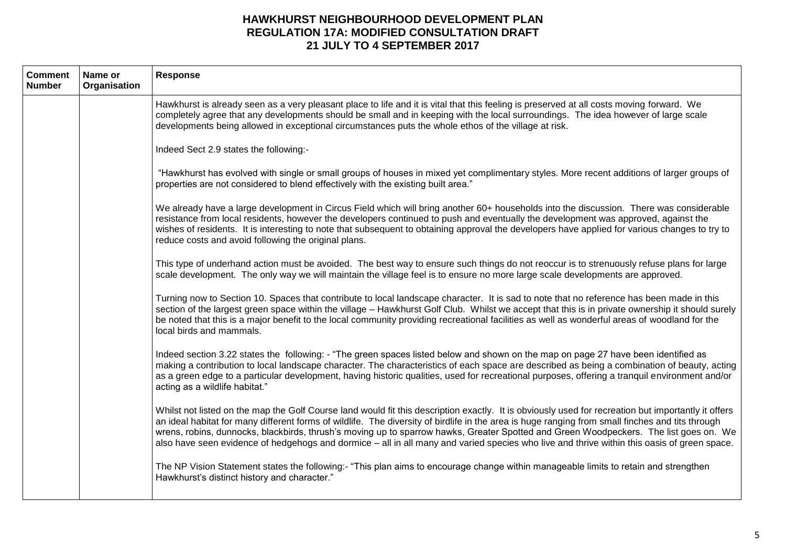| <b>Comment</b><br><b>Number</b> | Name or<br>Organisation | <b>Response</b>                                                                                                                                                                                                                                                                                                                                                                                                                                                                                                                                                                                 |
|---------------------------------|-------------------------|-------------------------------------------------------------------------------------------------------------------------------------------------------------------------------------------------------------------------------------------------------------------------------------------------------------------------------------------------------------------------------------------------------------------------------------------------------------------------------------------------------------------------------------------------------------------------------------------------|
|                                 |                         | Hawkhurst is already seen as a very pleasant place to life and it is vital that this feeling is preserved at all costs moving forward. We<br>completely agree that any developments should be small and in keeping with the local surroundings. The idea however of large scale<br>developments being allowed in exceptional circumstances puts the whole ethos of the village at risk.                                                                                                                                                                                                         |
|                                 |                         | Indeed Sect 2.9 states the following:-                                                                                                                                                                                                                                                                                                                                                                                                                                                                                                                                                          |
|                                 |                         | "Hawkhurst has evolved with single or small groups of houses in mixed yet complimentary styles. More recent additions of larger groups of<br>properties are not considered to blend effectively with the existing built area."                                                                                                                                                                                                                                                                                                                                                                  |
|                                 |                         | We already have a large development in Circus Field which will bring another 60+ households into the discussion. There was considerable<br>resistance from local residents, however the developers continued to push and eventually the development was approved, against the<br>wishes of residents. It is interesting to note that subsequent to obtaining approval the developers have applied for various changes to try to<br>reduce costs and avoid following the original plans.                                                                                                         |
|                                 |                         | This type of underhand action must be avoided. The best way to ensure such things do not reoccur is to strenuously refuse plans for large<br>scale development. The only way we will maintain the village feel is to ensure no more large scale developments are approved.                                                                                                                                                                                                                                                                                                                      |
|                                 |                         | Turning now to Section 10. Spaces that contribute to local landscape character. It is sad to note that no reference has been made in this<br>section of the largest green space within the village - Hawkhurst Golf Club. Whilst we accept that this is in private ownership it should surely<br>be noted that this is a major benefit to the local community providing recreational facilities as well as wonderful areas of woodland for the<br>local birds and mammals.                                                                                                                      |
|                                 |                         | Indeed section 3.22 states the following: - "The green spaces listed below and shown on the map on page 27 have been identified as<br>making a contribution to local landscape character. The characteristics of each space are described as being a combination of beauty, acting<br>as a green edge to a particular development, having historic qualities, used for recreational purposes, offering a tranquil environment and/or<br>acting as a wildlife habitat."                                                                                                                          |
|                                 |                         | Whilst not listed on the map the Golf Course land would fit this description exactly. It is obviously used for recreation but importantly it offers<br>an ideal habitat for many different forms of wildlife. The diversity of birdlife in the area is huge ranging from small finches and tits through<br>wrens, robins, dunnocks, blackbirds, thrush's moving up to sparrow hawks, Greater Spotted and Green Woodpeckers. The list goes on. We<br>also have seen evidence of hedgehogs and dormice – all in all many and varied species who live and thrive within this oasis of green space. |
|                                 |                         | The NP Vision Statement states the following:- "This plan aims to encourage change within manageable limits to retain and strengthen<br>Hawkhurst's distinct history and character."                                                                                                                                                                                                                                                                                                                                                                                                            |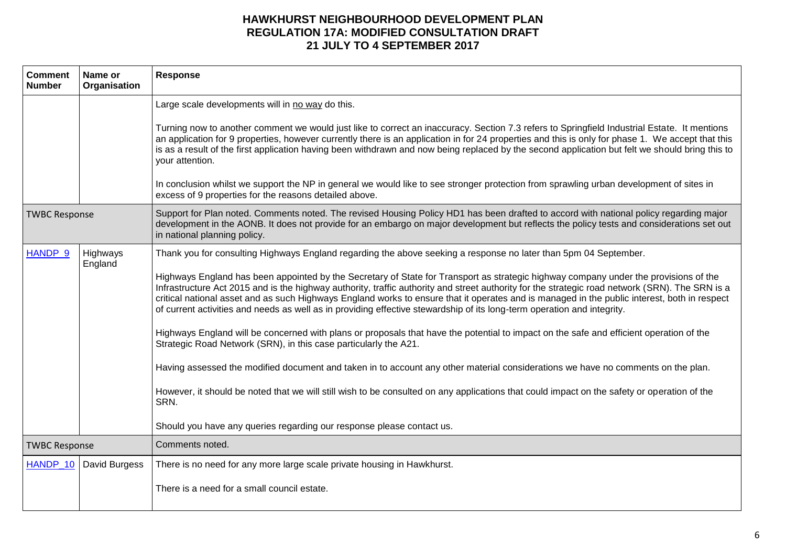| <b>Comment</b><br><b>Number</b> | Name or<br>Organisation  | Response                                                                                                                                                                                                                                                                                                                                                                                                                                                                                                                                                           |
|---------------------------------|--------------------------|--------------------------------------------------------------------------------------------------------------------------------------------------------------------------------------------------------------------------------------------------------------------------------------------------------------------------------------------------------------------------------------------------------------------------------------------------------------------------------------------------------------------------------------------------------------------|
|                                 |                          | Large scale developments will in no way do this.                                                                                                                                                                                                                                                                                                                                                                                                                                                                                                                   |
|                                 |                          | Turning now to another comment we would just like to correct an inaccuracy. Section 7.3 refers to Springfield Industrial Estate. It mentions<br>an application for 9 properties, however currently there is an application in for 24 properties and this is only for phase 1. We accept that this<br>is as a result of the first application having been withdrawn and now being replaced by the second application but felt we should bring this to<br>your attention.                                                                                            |
|                                 |                          | In conclusion whilst we support the NP in general we would like to see stronger protection from sprawling urban development of sites in<br>excess of 9 properties for the reasons detailed above.                                                                                                                                                                                                                                                                                                                                                                  |
| <b>TWBC Response</b>            |                          | Support for Plan noted. Comments noted. The revised Housing Policy HD1 has been drafted to accord with national policy regarding major<br>development in the AONB. It does not provide for an embargo on major development but reflects the policy tests and considerations set out<br>in national planning policy.                                                                                                                                                                                                                                                |
| <b>HANDP 9</b>                  | Highways<br>England      | Thank you for consulting Highways England regarding the above seeking a response no later than 5pm 04 September.                                                                                                                                                                                                                                                                                                                                                                                                                                                   |
|                                 |                          | Highways England has been appointed by the Secretary of State for Transport as strategic highway company under the provisions of the<br>Infrastructure Act 2015 and is the highway authority, traffic authority and street authority for the strategic road network (SRN). The SRN is a<br>critical national asset and as such Highways England works to ensure that it operates and is managed in the public interest, both in respect<br>of current activities and needs as well as in providing effective stewardship of its long-term operation and integrity. |
|                                 |                          | Highways England will be concerned with plans or proposals that have the potential to impact on the safe and efficient operation of the<br>Strategic Road Network (SRN), in this case particularly the A21.                                                                                                                                                                                                                                                                                                                                                        |
|                                 |                          | Having assessed the modified document and taken in to account any other material considerations we have no comments on the plan.                                                                                                                                                                                                                                                                                                                                                                                                                                   |
|                                 |                          | However, it should be noted that we will still wish to be consulted on any applications that could impact on the safety or operation of the<br>SRN.                                                                                                                                                                                                                                                                                                                                                                                                                |
|                                 |                          | Should you have any queries regarding our response please contact us.                                                                                                                                                                                                                                                                                                                                                                                                                                                                                              |
| <b>TWBC Response</b>            |                          | Comments noted.                                                                                                                                                                                                                                                                                                                                                                                                                                                                                                                                                    |
|                                 | HANDP_10   David Burgess | There is no need for any more large scale private housing in Hawkhurst.                                                                                                                                                                                                                                                                                                                                                                                                                                                                                            |
|                                 |                          | There is a need for a small council estate.                                                                                                                                                                                                                                                                                                                                                                                                                                                                                                                        |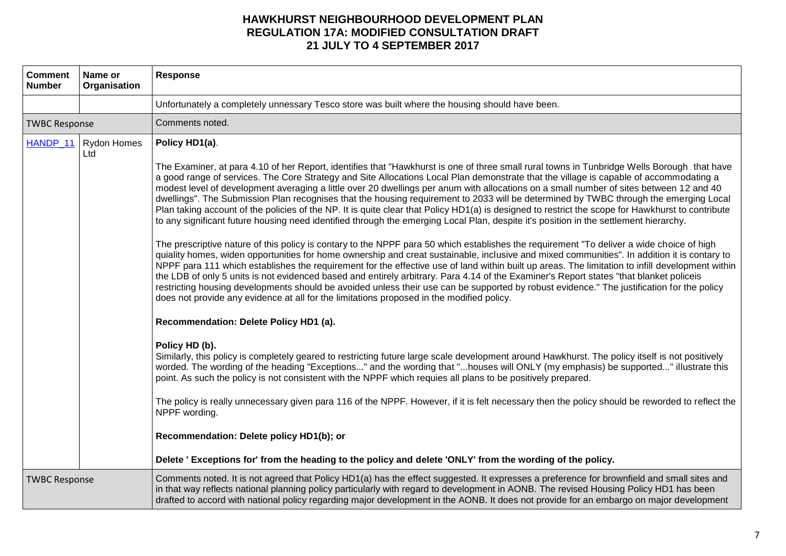| <b>Comment</b><br><b>Number</b> | Name or<br>Organisation       | Response                                                                                                                                                                                                                                                                                                                                                                                                                                                                                                                                                                                                                                                                                                                                                                                                                                                                                                                                                                                                                                                                                                                                                                                                                                                                                                                                                                                                                                                                                                                                                                                                                                                                                                                                                                                                                                                                                                                                                                                                                                                                                                                                                                                                                                                                                                                                                                                                                                                                                                                          |
|---------------------------------|-------------------------------|-----------------------------------------------------------------------------------------------------------------------------------------------------------------------------------------------------------------------------------------------------------------------------------------------------------------------------------------------------------------------------------------------------------------------------------------------------------------------------------------------------------------------------------------------------------------------------------------------------------------------------------------------------------------------------------------------------------------------------------------------------------------------------------------------------------------------------------------------------------------------------------------------------------------------------------------------------------------------------------------------------------------------------------------------------------------------------------------------------------------------------------------------------------------------------------------------------------------------------------------------------------------------------------------------------------------------------------------------------------------------------------------------------------------------------------------------------------------------------------------------------------------------------------------------------------------------------------------------------------------------------------------------------------------------------------------------------------------------------------------------------------------------------------------------------------------------------------------------------------------------------------------------------------------------------------------------------------------------------------------------------------------------------------------------------------------------------------------------------------------------------------------------------------------------------------------------------------------------------------------------------------------------------------------------------------------------------------------------------------------------------------------------------------------------------------------------------------------------------------------------------------------------------------|
|                                 |                               | Unfortunately a completely unnessary Tesco store was built where the housing should have been.                                                                                                                                                                                                                                                                                                                                                                                                                                                                                                                                                                                                                                                                                                                                                                                                                                                                                                                                                                                                                                                                                                                                                                                                                                                                                                                                                                                                                                                                                                                                                                                                                                                                                                                                                                                                                                                                                                                                                                                                                                                                                                                                                                                                                                                                                                                                                                                                                                    |
| <b>TWBC Response</b>            |                               | Comments noted.                                                                                                                                                                                                                                                                                                                                                                                                                                                                                                                                                                                                                                                                                                                                                                                                                                                                                                                                                                                                                                                                                                                                                                                                                                                                                                                                                                                                                                                                                                                                                                                                                                                                                                                                                                                                                                                                                                                                                                                                                                                                                                                                                                                                                                                                                                                                                                                                                                                                                                                   |
|                                 | HANDP_11   Rydon Homes<br>Ltd | Policy HD1(a).<br>The Examiner, at para 4.10 of her Report, identifies that "Hawkhurst is one of three small rural towns in Tunbridge Wells Borough that have<br>a good range of services. The Core Strategy and Site Allocations Local Plan demonstrate that the village is capable of accommodating a<br>modest level of development averaging a little over 20 dwellings per anum with allocations on a small number of sites between 12 and 40<br>dwellings". The Submission Plan recognises that the housing requirement to 2033 will be determined by TWBC through the emerging Local<br>Plan taking account of the policies of the NP. It is quite clear that Policy HD1(a) is designed to restrict the scope for Hawkhurst to contribute<br>to any significant future housing need identified through the emerging Local Plan, despite it's position in the settlement hierarchy.<br>The prescriptive nature of this policy is contary to the NPPF para 50 which establishes the requirement "To deliver a wide choice of high<br>quiality homes, widen opportunities for home ownership and creat sustainable, inclusive and mixed communities". In addition it is contary to<br>NPPF para 111 which establishes the requirement for the effective use of land within built up areas. The limitation to infill development within<br>the LDB of only 5 units is not evidenced based and entirely arbitrary. Para 4.14 of the Examiner's Report states "that blanket policeis<br>restricting housing developments should be avoided unless their use can be supported by robust evidence." The justification for the policy<br>does not provide any evidence at all for the limitations proposed in the modified policy.<br>Recommendation: Delete Policy HD1 (a).<br>Policy HD (b).<br>Similarly, this policy is completely geared to restricting future large scale development around Hawkhurst. The policy itself is not positively<br>worded. The wording of the heading "Exceptions" and the wording that "houses will ONLY (my emphasis) be supported" illustrate this<br>point. As such the policy is not consistent with the NPPF which requies all plans to be positively prepared.<br>The policy is really unnecessary given para 116 of the NPPF. However, if it is felt necessary then the policy should be reworded to reflect the<br>NPPF wording.<br>Recommendation: Delete policy HD1(b); or<br>Delete 'Exceptions for' from the heading to the policy and delete 'ONLY' from the wording of the policy. |
| <b>TWBC Response</b>            |                               | Comments noted. It is not agreed that Policy HD1(a) has the effect suggested. It expresses a preference for brownfield and small sites and<br>in that way reflects national planning policy particularly with regard to development in AONB. The revised Housing Policy HD1 has been<br>drafted to accord with national policy regarding major development in the AONB. It does not provide for an embargo on major development                                                                                                                                                                                                                                                                                                                                                                                                                                                                                                                                                                                                                                                                                                                                                                                                                                                                                                                                                                                                                                                                                                                                                                                                                                                                                                                                                                                                                                                                                                                                                                                                                                                                                                                                                                                                                                                                                                                                                                                                                                                                                                   |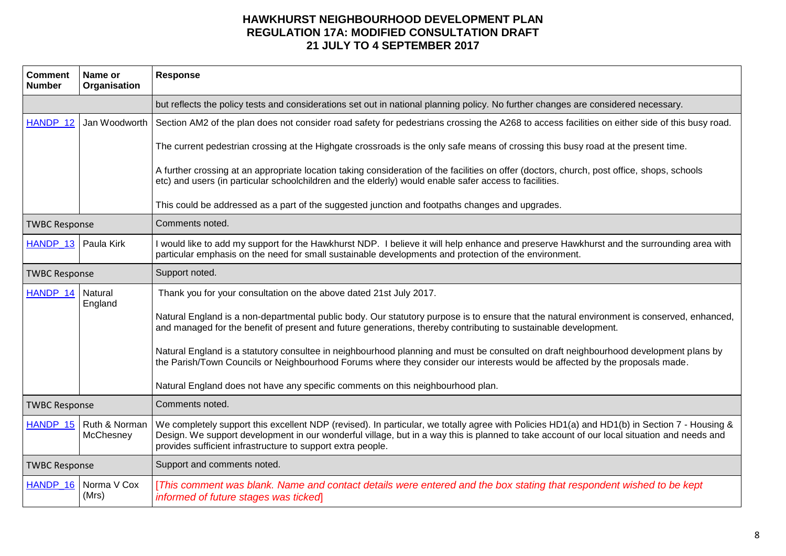| <b>Comment</b><br><b>Number</b> | Name or<br>Organisation               | <b>Response</b>                                                                                                                                                                                                                                                                                                                                           |
|---------------------------------|---------------------------------------|-----------------------------------------------------------------------------------------------------------------------------------------------------------------------------------------------------------------------------------------------------------------------------------------------------------------------------------------------------------|
|                                 |                                       | but reflects the policy tests and considerations set out in national planning policy. No further changes are considered necessary.                                                                                                                                                                                                                        |
| HANDP_12                        | Jan Woodworth                         | Section AM2 of the plan does not consider road safety for pedestrians crossing the A268 to access facilities on either side of this busy road.                                                                                                                                                                                                            |
|                                 |                                       | The current pedestrian crossing at the Highgate crossroads is the only safe means of crossing this busy road at the present time.                                                                                                                                                                                                                         |
|                                 |                                       | A further crossing at an appropriate location taking consideration of the facilities on offer (doctors, church, post office, shops, schools<br>etc) and users (in particular schoolchildren and the elderly) would enable safer access to facilities.                                                                                                     |
|                                 |                                       | This could be addressed as a part of the suggested junction and footpaths changes and upgrades.                                                                                                                                                                                                                                                           |
| <b>TWBC Response</b>            |                                       | Comments noted.                                                                                                                                                                                                                                                                                                                                           |
| HANDP_13 Paula Kirk             |                                       | I would like to add my support for the Hawkhurst NDP. I believe it will help enhance and preserve Hawkhurst and the surrounding area with<br>particular emphasis on the need for small sustainable developments and protection of the environment.                                                                                                        |
| <b>TWBC Response</b>            |                                       | Support noted.                                                                                                                                                                                                                                                                                                                                            |
| HANDP_14                        | Natural<br>England                    | Thank you for your consultation on the above dated 21st July 2017.                                                                                                                                                                                                                                                                                        |
|                                 |                                       | Natural England is a non-departmental public body. Our statutory purpose is to ensure that the natural environment is conserved, enhanced,<br>and managed for the benefit of present and future generations, thereby contributing to sustainable development.                                                                                             |
|                                 |                                       | Natural England is a statutory consultee in neighbourhood planning and must be consulted on draft neighbourhood development plans by<br>the Parish/Town Councils or Neighbourhood Forums where they consider our interests would be affected by the proposals made.                                                                                       |
|                                 |                                       | Natural England does not have any specific comments on this neighbourhood plan.                                                                                                                                                                                                                                                                           |
| <b>TWBC Response</b>            |                                       | Comments noted.                                                                                                                                                                                                                                                                                                                                           |
|                                 | HANDP_15   Ruth & Norman<br>McChesney | We completely support this excellent NDP (revised). In particular, we totally agree with Policies HD1(a) and HD1(b) in Section 7 - Housing &<br>Design. We support development in our wonderful village, but in a way this is planned to take account of our local situation and needs and<br>provides sufficient infrastructure to support extra people. |
| <b>TWBC Response</b>            |                                       | Support and comments noted.                                                                                                                                                                                                                                                                                                                               |
| HANDP 16                        | Norma V Cox<br>(Mrs)                  | [This comment was blank. Name and contact details were entered and the box stating that respondent wished to be kept<br>informed of future stages was ticked                                                                                                                                                                                              |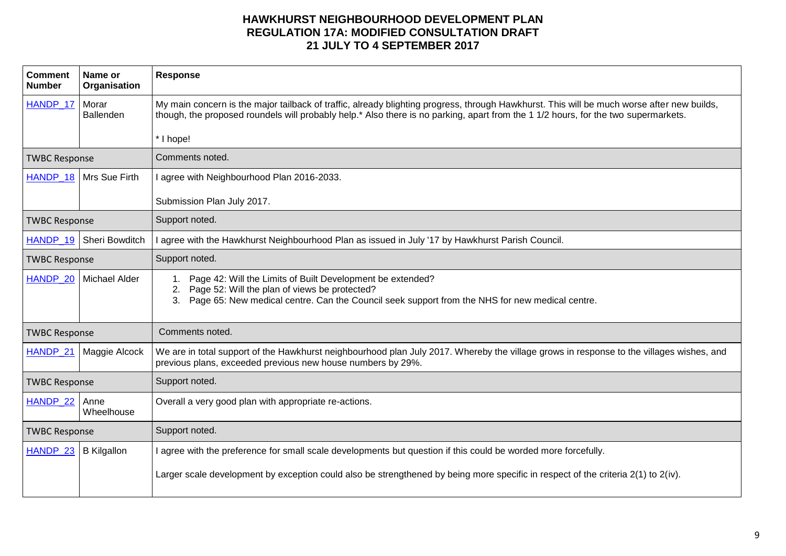| <b>Comment</b><br><b>Number</b> | Name or<br>Organisation  | <b>Response</b>                                                                                                                                                                                                                                                                  |
|---------------------------------|--------------------------|----------------------------------------------------------------------------------------------------------------------------------------------------------------------------------------------------------------------------------------------------------------------------------|
| HANDP 17   Morar                | Ballenden                | My main concern is the major tailback of traffic, already blighting progress, through Hawkhurst. This will be much worse after new builds,<br>though, the proposed roundels will probably help.* Also there is no parking, apart from the 1 1/2 hours, for the two supermarkets. |
|                                 |                          | * I hope!                                                                                                                                                                                                                                                                        |
| <b>TWBC Response</b>            |                          | Comments noted.                                                                                                                                                                                                                                                                  |
|                                 | HANDP_18   Mrs Sue Firth | I agree with Neighbourhood Plan 2016-2033.                                                                                                                                                                                                                                       |
|                                 |                          | Submission Plan July 2017.                                                                                                                                                                                                                                                       |
| <b>TWBC Response</b>            |                          | Support noted.                                                                                                                                                                                                                                                                   |
| HANDP 19                        | Sheri Bowditch           | I agree with the Hawkhurst Neighbourhood Plan as issued in July '17 by Hawkhurst Parish Council.                                                                                                                                                                                 |
| <b>TWBC Response</b>            |                          | Support noted.                                                                                                                                                                                                                                                                   |
| HANDP 20                        | Michael Alder            | 1. Page 42: Will the Limits of Built Development be extended?<br>Page 52: Will the plan of views be protected?<br>2.<br>Page 65: New medical centre. Can the Council seek support from the NHS for new medical centre.<br>3.                                                     |
| <b>TWBC Response</b>            |                          | Comments noted.                                                                                                                                                                                                                                                                  |
| HANDP_21                        | Maggie Alcock            | We are in total support of the Hawkhurst neighbourhood plan July 2017. Whereby the village grows in response to the villages wishes, and<br>previous plans, exceeded previous new house numbers by 29%.                                                                          |
| <b>TWBC Response</b>            |                          | Support noted.                                                                                                                                                                                                                                                                   |
| HANDP_22                        | Anne<br>Wheelhouse       | Overall a very good plan with appropriate re-actions.                                                                                                                                                                                                                            |
| <b>TWBC Response</b>            |                          | Support noted.                                                                                                                                                                                                                                                                   |
| HANDP 23                        | <b>B</b> Kilgallon       | I agree with the preference for small scale developments but question if this could be worded more forcefully.                                                                                                                                                                   |
|                                 |                          | Larger scale development by exception could also be strengthened by being more specific in respect of the criteria 2(1) to 2(iv).                                                                                                                                                |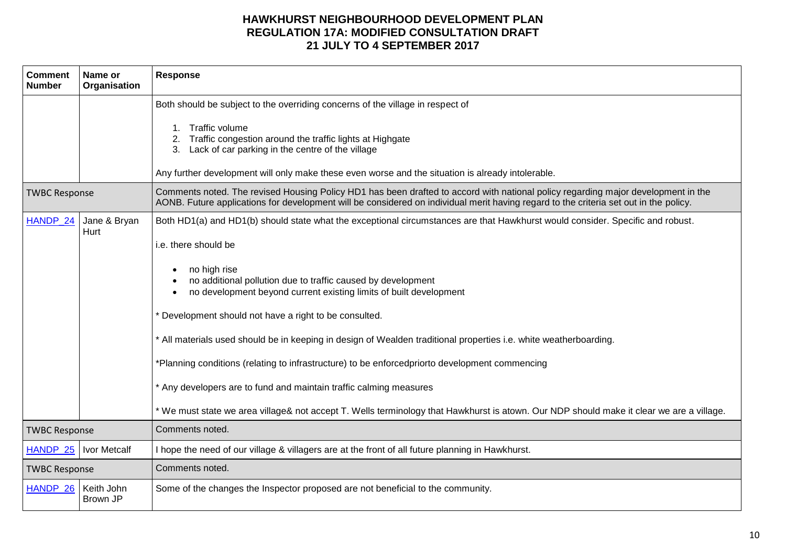| <b>Comment</b><br><b>Number</b> | Name or<br>Organisation | Response                                                                                                                                                                                                                                                                                                                                                                                                                                                                                                                                                                                                                                                                                                                                                                                                      |
|---------------------------------|-------------------------|---------------------------------------------------------------------------------------------------------------------------------------------------------------------------------------------------------------------------------------------------------------------------------------------------------------------------------------------------------------------------------------------------------------------------------------------------------------------------------------------------------------------------------------------------------------------------------------------------------------------------------------------------------------------------------------------------------------------------------------------------------------------------------------------------------------|
|                                 |                         | Both should be subject to the overriding concerns of the village in respect of<br>1. Traffic volume<br>Traffic congestion around the traffic lights at Highgate<br>Lack of car parking in the centre of the village<br>3.<br>Any further development will only make these even worse and the situation is already intolerable.                                                                                                                                                                                                                                                                                                                                                                                                                                                                                |
| <b>TWBC Response</b>            |                         | Comments noted. The revised Housing Policy HD1 has been drafted to accord with national policy regarding major development in the<br>AONB. Future applications for development will be considered on individual merit having regard to the criteria set out in the policy.                                                                                                                                                                                                                                                                                                                                                                                                                                                                                                                                    |
| HANDP 24                        | Jane & Bryan<br>Hurt    | Both HD1(a) and HD1(b) should state what the exceptional circumstances are that Hawkhurst would consider. Specific and robust.<br>i.e. there should be<br>no high rise<br>no additional pollution due to traffic caused by development<br>no development beyond current existing limits of built development<br>Development should not have a right to be consulted.<br>* All materials used should be in keeping in design of Wealden traditional properties i.e. white weatherboarding.<br>*Planning conditions (relating to infrastructure) to be enforcedpriorto development commencing<br>* Any developers are to fund and maintain traffic calming measures<br>* We must state we area village& not accept T. Wells terminology that Hawkhurst is atown. Our NDP should make it clear we are a village. |
| <b>TWBC Response</b>            |                         | Comments noted.                                                                                                                                                                                                                                                                                                                                                                                                                                                                                                                                                                                                                                                                                                                                                                                               |
| HANDP_25                        | Ivor Metcalf            | I hope the need of our village & villagers are at the front of all future planning in Hawkhurst.                                                                                                                                                                                                                                                                                                                                                                                                                                                                                                                                                                                                                                                                                                              |
| <b>TWBC Response</b>            |                         | Comments noted.                                                                                                                                                                                                                                                                                                                                                                                                                                                                                                                                                                                                                                                                                                                                                                                               |
| HANDP_26                        | Keith John<br>Brown JP  | Some of the changes the Inspector proposed are not beneficial to the community.                                                                                                                                                                                                                                                                                                                                                                                                                                                                                                                                                                                                                                                                                                                               |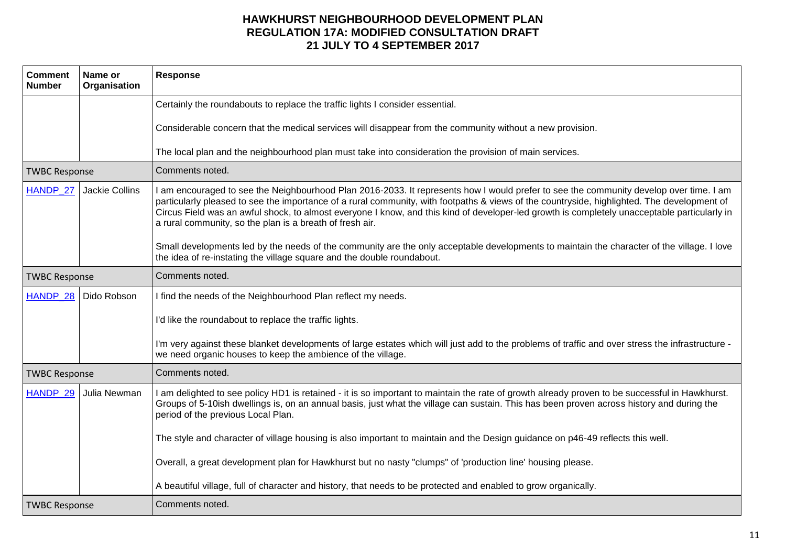| <b>Comment</b><br><b>Number</b> | Name or<br>Organisation | <b>Response</b>                                                                                                                                                                                                                                                                                                                                                                                                                                                                                   |
|---------------------------------|-------------------------|---------------------------------------------------------------------------------------------------------------------------------------------------------------------------------------------------------------------------------------------------------------------------------------------------------------------------------------------------------------------------------------------------------------------------------------------------------------------------------------------------|
|                                 |                         | Certainly the roundabouts to replace the traffic lights I consider essential.                                                                                                                                                                                                                                                                                                                                                                                                                     |
|                                 |                         | Considerable concern that the medical services will disappear from the community without a new provision.                                                                                                                                                                                                                                                                                                                                                                                         |
|                                 |                         | The local plan and the neighbourhood plan must take into consideration the provision of main services.                                                                                                                                                                                                                                                                                                                                                                                            |
| <b>TWBC Response</b>            |                         | Comments noted.                                                                                                                                                                                                                                                                                                                                                                                                                                                                                   |
| HANDP_27                        | Jackie Collins          | I am encouraged to see the Neighbourhood Plan 2016-2033. It represents how I would prefer to see the community develop over time. I am<br>particularly pleased to see the importance of a rural community, with footpaths & views of the countryside, highlighted. The development of<br>Circus Field was an awful shock, to almost everyone I know, and this kind of developer-led growth is completely unacceptable particularly in<br>a rural community, so the plan is a breath of fresh air. |
|                                 |                         | Small developments led by the needs of the community are the only acceptable developments to maintain the character of the village. I love<br>the idea of re-instating the village square and the double roundabout.                                                                                                                                                                                                                                                                              |
| <b>TWBC Response</b>            |                         | Comments noted.                                                                                                                                                                                                                                                                                                                                                                                                                                                                                   |
| HANDP_28                        | Dido Robson             | I find the needs of the Neighbourhood Plan reflect my needs.                                                                                                                                                                                                                                                                                                                                                                                                                                      |
|                                 |                         | I'd like the roundabout to replace the traffic lights.                                                                                                                                                                                                                                                                                                                                                                                                                                            |
|                                 |                         | I'm very against these blanket developments of large estates which will just add to the problems of traffic and over stress the infrastructure -<br>we need organic houses to keep the ambience of the village.                                                                                                                                                                                                                                                                                   |
| <b>TWBC Response</b>            |                         | Comments noted.                                                                                                                                                                                                                                                                                                                                                                                                                                                                                   |
| HANDP 29                        | Julia Newman            | I am delighted to see policy HD1 is retained - it is so important to maintain the rate of growth already proven to be successful in Hawkhurst.<br>Groups of 5-10ish dwellings is, on an annual basis, just what the village can sustain. This has been proven across history and during the<br>period of the previous Local Plan.                                                                                                                                                                 |
|                                 |                         | The style and character of village housing is also important to maintain and the Design guidance on p46-49 reflects this well.                                                                                                                                                                                                                                                                                                                                                                    |
|                                 |                         | Overall, a great development plan for Hawkhurst but no nasty "clumps" of 'production line' housing please.                                                                                                                                                                                                                                                                                                                                                                                        |
|                                 |                         | A beautiful village, full of character and history, that needs to be protected and enabled to grow organically.                                                                                                                                                                                                                                                                                                                                                                                   |
| <b>TWBC Response</b>            |                         | Comments noted.                                                                                                                                                                                                                                                                                                                                                                                                                                                                                   |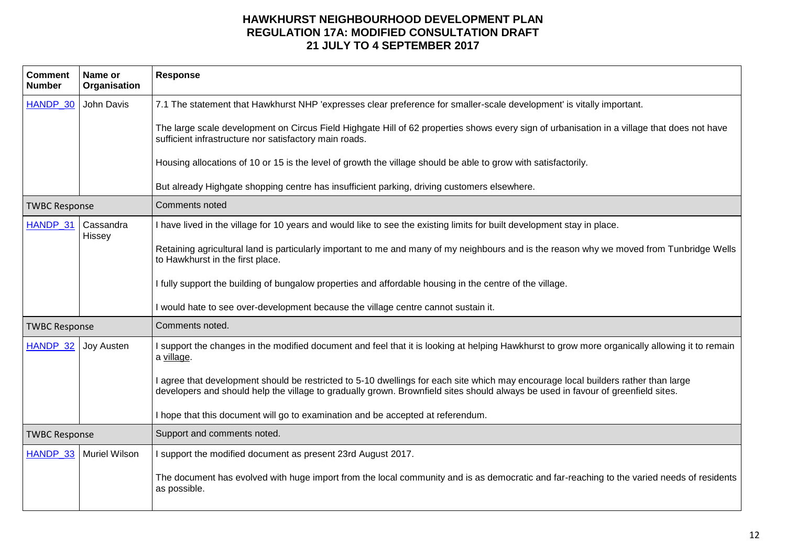| <b>Comment</b><br><b>Number</b> | Name or<br>Organisation | <b>Response</b>                                                                                                                                                                                                                                                        |
|---------------------------------|-------------------------|------------------------------------------------------------------------------------------------------------------------------------------------------------------------------------------------------------------------------------------------------------------------|
| HANDP 30                        | John Davis              | 7.1 The statement that Hawkhurst NHP 'expresses clear preference for smaller-scale development' is vitally important.                                                                                                                                                  |
|                                 |                         | The large scale development on Circus Field Highgate Hill of 62 properties shows every sign of urbanisation in a village that does not have<br>sufficient infrastructure nor satisfactory main roads.                                                                  |
|                                 |                         | Housing allocations of 10 or 15 is the level of growth the village should be able to grow with satisfactorily.                                                                                                                                                         |
|                                 |                         | But already Highgate shopping centre has insufficient parking, driving customers elsewhere.                                                                                                                                                                            |
| <b>TWBC Response</b>            |                         | Comments noted                                                                                                                                                                                                                                                         |
| HANDP 31                        | Cassandra<br>Hissey     | I have lived in the village for 10 years and would like to see the existing limits for built development stay in place.                                                                                                                                                |
|                                 |                         | Retaining agricultural land is particularly important to me and many of my neighbours and is the reason why we moved from Tunbridge Wells<br>to Hawkhurst in the first place.                                                                                          |
|                                 |                         | I fully support the building of bungalow properties and affordable housing in the centre of the village.                                                                                                                                                               |
|                                 |                         | I would hate to see over-development because the village centre cannot sustain it.                                                                                                                                                                                     |
| <b>TWBC Response</b>            |                         | Comments noted.                                                                                                                                                                                                                                                        |
| HANDP_32                        | <b>Joy Austen</b>       | I support the changes in the modified document and feel that it is looking at helping Hawkhurst to grow more organically allowing it to remain<br>a village.                                                                                                           |
|                                 |                         | I agree that development should be restricted to 5-10 dwellings for each site which may encourage local builders rather than large<br>developers and should help the village to gradually grown. Brownfield sites should always be used in favour of greenfield sites. |
|                                 |                         | I hope that this document will go to examination and be accepted at referendum.                                                                                                                                                                                        |
| <b>TWBC Response</b>            |                         | Support and comments noted.                                                                                                                                                                                                                                            |
| HANDP_33                        | <b>Muriel Wilson</b>    | I support the modified document as present 23rd August 2017.                                                                                                                                                                                                           |
|                                 |                         | The document has evolved with huge import from the local community and is as democratic and far-reaching to the varied needs of residents<br>as possible.                                                                                                              |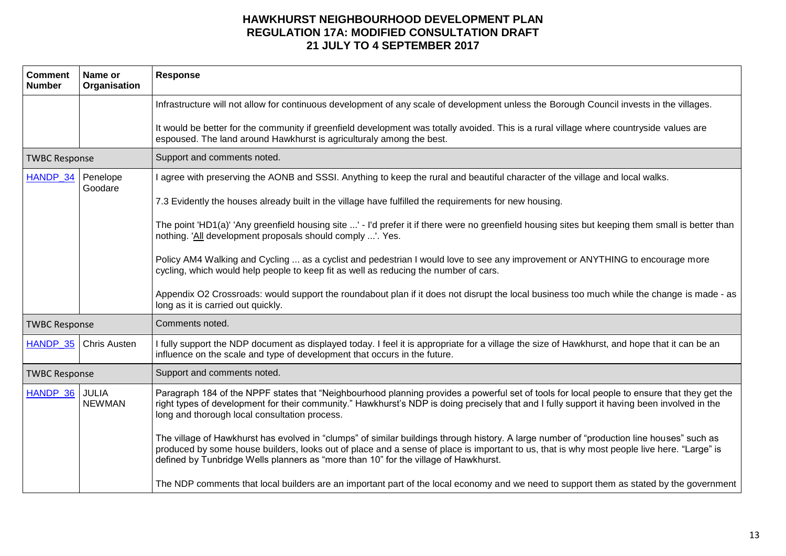| <b>Comment</b><br><b>Number</b> | Name or<br>Organisation       | <b>Response</b>                                                                                                                                                                                                                                                                                                                                                                |
|---------------------------------|-------------------------------|--------------------------------------------------------------------------------------------------------------------------------------------------------------------------------------------------------------------------------------------------------------------------------------------------------------------------------------------------------------------------------|
|                                 |                               | Infrastructure will not allow for continuous development of any scale of development unless the Borough Council invests in the villages.                                                                                                                                                                                                                                       |
|                                 |                               | It would be better for the community if greenfield development was totally avoided. This is a rural village where countryside values are<br>espoused. The land around Hawkhurst is agriculturaly among the best.                                                                                                                                                               |
| <b>TWBC Response</b>            |                               | Support and comments noted.                                                                                                                                                                                                                                                                                                                                                    |
| HANDP_34                        | Penelope<br>Goodare           | I agree with preserving the AONB and SSSI. Anything to keep the rural and beautiful character of the village and local walks.                                                                                                                                                                                                                                                  |
|                                 |                               | 7.3 Evidently the houses already built in the village have fulfilled the requirements for new housing.                                                                                                                                                                                                                                                                         |
|                                 |                               | The point 'HD1(a)' 'Any greenfield housing site ' - I'd prefer it if there were no greenfield housing sites but keeping them small is better than<br>nothing. 'All development proposals should comply '. Yes.                                                                                                                                                                 |
|                                 |                               | Policy AM4 Walking and Cycling  as a cyclist and pedestrian I would love to see any improvement or ANYTHING to encourage more<br>cycling, which would help people to keep fit as well as reducing the number of cars.                                                                                                                                                          |
|                                 |                               | Appendix O2 Crossroads: would support the roundabout plan if it does not disrupt the local business too much while the change is made - as<br>long as it is carried out quickly.                                                                                                                                                                                               |
| <b>TWBC Response</b>            |                               | Comments noted.                                                                                                                                                                                                                                                                                                                                                                |
| HANDP 35                        | <b>Chris Austen</b>           | I fully support the NDP document as displayed today. I feel it is appropriate for a village the size of Hawkhurst, and hope that it can be an<br>influence on the scale and type of development that occurs in the future.                                                                                                                                                     |
| <b>TWBC Response</b>            |                               | Support and comments noted.                                                                                                                                                                                                                                                                                                                                                    |
| HANDP_36                        | <b>JULIA</b><br><b>NEWMAN</b> | Paragraph 184 of the NPPF states that "Neighbourhood planning provides a powerful set of tools for local people to ensure that they get the<br>right types of development for their community." Hawkhurst's NDP is doing precisely that and I fully support it having been involved in the<br>long and thorough local consultation process.                                    |
|                                 |                               | The village of Hawkhurst has evolved in "clumps" of similar buildings through history. A large number of "production line houses" such as<br>produced by some house builders, looks out of place and a sense of place is important to us, that is why most people live here. "Large" is<br>defined by Tunbridge Wells planners as "more than 10" for the village of Hawkhurst. |
|                                 |                               | The NDP comments that local builders are an important part of the local economy and we need to support them as stated by the government                                                                                                                                                                                                                                        |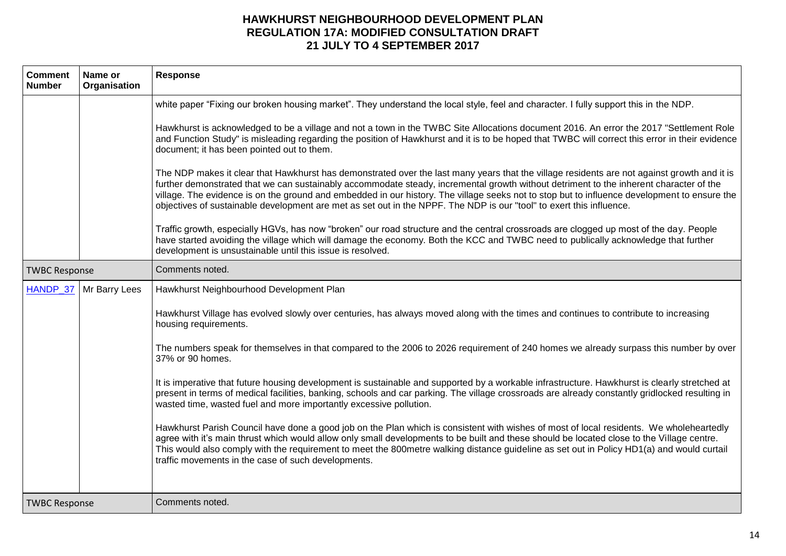| <b>Comment</b><br><b>Number</b> | Name or<br>Organisation | <b>Response</b>                                                                                                                                                                                                                                                                                                                                                                                                                                                                                                                                                                                                                                                                                                                                                                                                                                                                                                                                                                                                                                                                                                                                                                                                                                                                                                                    |
|---------------------------------|-------------------------|------------------------------------------------------------------------------------------------------------------------------------------------------------------------------------------------------------------------------------------------------------------------------------------------------------------------------------------------------------------------------------------------------------------------------------------------------------------------------------------------------------------------------------------------------------------------------------------------------------------------------------------------------------------------------------------------------------------------------------------------------------------------------------------------------------------------------------------------------------------------------------------------------------------------------------------------------------------------------------------------------------------------------------------------------------------------------------------------------------------------------------------------------------------------------------------------------------------------------------------------------------------------------------------------------------------------------------|
|                                 |                         | white paper "Fixing our broken housing market". They understand the local style, feel and character. I fully support this in the NDP.<br>Hawkhurst is acknowledged to be a village and not a town in the TWBC Site Allocations document 2016. An error the 2017 "Settlement Role<br>and Function Study" is misleading regarding the position of Hawkhurst and it is to be hoped that TWBC will correct this error in their evidence<br>document; it has been pointed out to them.<br>The NDP makes it clear that Hawkhurst has demonstrated over the last many years that the village residents are not against growth and it is<br>further demonstrated that we can sustainably accommodate steady, incremental growth without detriment to the inherent character of the<br>village. The evidence is on the ground and embedded in our history. The village seeks not to stop but to influence development to ensure the<br>objectives of sustainable development are met as set out in the NPPF. The NDP is our "tool" to exert this influence.<br>Traffic growth, especially HGVs, has now "broken" our road structure and the central crossroads are clogged up most of the day. People<br>have started avoiding the village which will damage the economy. Both the KCC and TWBC need to publically acknowledge that further |
| <b>TWBC Response</b>            |                         | development is unsustainable until this issue is resolved.<br>Comments noted.                                                                                                                                                                                                                                                                                                                                                                                                                                                                                                                                                                                                                                                                                                                                                                                                                                                                                                                                                                                                                                                                                                                                                                                                                                                      |
| HANDP 37                        | Mr Barry Lees           | Hawkhurst Neighbourhood Development Plan                                                                                                                                                                                                                                                                                                                                                                                                                                                                                                                                                                                                                                                                                                                                                                                                                                                                                                                                                                                                                                                                                                                                                                                                                                                                                           |
|                                 |                         | Hawkhurst Village has evolved slowly over centuries, has always moved along with the times and continues to contribute to increasing<br>housing requirements.<br>The numbers speak for themselves in that compared to the 2006 to 2026 requirement of 240 homes we already surpass this number by over<br>37% or 90 homes.<br>It is imperative that future housing development is sustainable and supported by a workable infrastructure. Hawkhurst is clearly stretched at<br>present in terms of medical facilities, banking, schools and car parking. The village crossroads are already constantly gridlocked resulting in<br>wasted time, wasted fuel and more importantly excessive pollution.<br>Hawkhurst Parish Council have done a good job on the Plan which is consistent with wishes of most of local residents. We wholeheartedly<br>agree with it's main thrust which would allow only small developments to be built and these should be located close to the Village centre.<br>This would also comply with the requirement to meet the 800metre walking distance guideline as set out in Policy HD1(a) and would curtail<br>traffic movements in the case of such developments.                                                                                                                                  |
| <b>TWBC Response</b>            |                         | Comments noted.                                                                                                                                                                                                                                                                                                                                                                                                                                                                                                                                                                                                                                                                                                                                                                                                                                                                                                                                                                                                                                                                                                                                                                                                                                                                                                                    |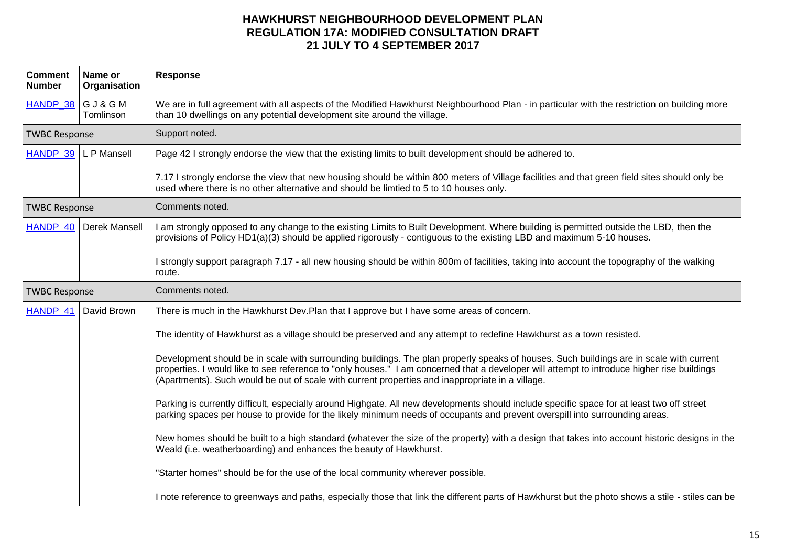| <b>Comment</b><br><b>Number</b> | Name or<br>Organisation | <b>Response</b>                                                                                                                                                                                                                                                                                                                                                                            |
|---------------------------------|-------------------------|--------------------------------------------------------------------------------------------------------------------------------------------------------------------------------------------------------------------------------------------------------------------------------------------------------------------------------------------------------------------------------------------|
| HANDP_38 G J & G M              | Tomlinson               | We are in full agreement with all aspects of the Modified Hawkhurst Neighbourhood Plan - in particular with the restriction on building more<br>than 10 dwellings on any potential development site around the village.                                                                                                                                                                    |
| <b>TWBC Response</b>            |                         | Support noted.                                                                                                                                                                                                                                                                                                                                                                             |
| HANDP 39 L P Mansell            |                         | Page 42 I strongly endorse the view that the existing limits to built development should be adhered to.                                                                                                                                                                                                                                                                                    |
|                                 |                         | 7.17 I strongly endorse the view that new housing should be within 800 meters of Village facilities and that green field sites should only be<br>used where there is no other alternative and should be limtied to 5 to 10 houses only.                                                                                                                                                    |
| <b>TWBC Response</b>            |                         | Comments noted.                                                                                                                                                                                                                                                                                                                                                                            |
| HANDP 40                        | Derek Mansell           | I am strongly opposed to any change to the existing Limits to Built Development. Where building is permitted outside the LBD, then the<br>provisions of Policy HD1(a)(3) should be applied rigorously - contiguous to the existing LBD and maximum 5-10 houses.                                                                                                                            |
|                                 |                         | I strongly support paragraph 7.17 - all new housing should be within 800m of facilities, taking into account the topography of the walking<br>route.                                                                                                                                                                                                                                       |
| <b>TWBC Response</b>            |                         | Comments noted.                                                                                                                                                                                                                                                                                                                                                                            |
| HANDP 41                        | David Brown             | There is much in the Hawkhurst Dev. Plan that I approve but I have some areas of concern.                                                                                                                                                                                                                                                                                                  |
|                                 |                         | The identity of Hawkhurst as a village should be preserved and any attempt to redefine Hawkhurst as a town resisted.                                                                                                                                                                                                                                                                       |
|                                 |                         | Development should be in scale with surrounding buildings. The plan properly speaks of houses. Such buildings are in scale with current<br>properties. I would like to see reference to "only houses." I am concerned that a developer will attempt to introduce higher rise buildings<br>(Apartments). Such would be out of scale with current properties and inappropriate in a village. |
|                                 |                         | Parking is currently difficult, especially around Highgate. All new developments should include specific space for at least two off street<br>parking spaces per house to provide for the likely minimum needs of occupants and prevent overspill into surrounding areas.                                                                                                                  |
|                                 |                         | New homes should be built to a high standard (whatever the size of the property) with a design that takes into account historic designs in the<br>Weald (i.e. weatherboarding) and enhances the beauty of Hawkhurst.                                                                                                                                                                       |
|                                 |                         | "Starter homes" should be for the use of the local community wherever possible.                                                                                                                                                                                                                                                                                                            |
|                                 |                         | I note reference to greenways and paths, especially those that link the different parts of Hawkhurst but the photo shows a stile - stiles can be                                                                                                                                                                                                                                           |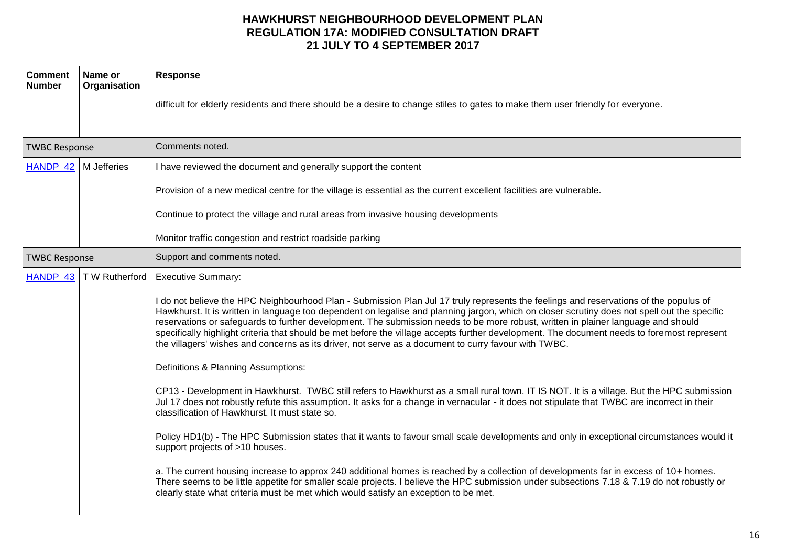| <b>Comment</b><br><b>Number</b> | Name or<br>Organisation | <b>Response</b>                                                                                                                                                                                                                                                                                                                                                                                                                                                                                                                                                                                                                                                                   |
|---------------------------------|-------------------------|-----------------------------------------------------------------------------------------------------------------------------------------------------------------------------------------------------------------------------------------------------------------------------------------------------------------------------------------------------------------------------------------------------------------------------------------------------------------------------------------------------------------------------------------------------------------------------------------------------------------------------------------------------------------------------------|
|                                 |                         | difficult for elderly residents and there should be a desire to change stiles to gates to make them user friendly for everyone.                                                                                                                                                                                                                                                                                                                                                                                                                                                                                                                                                   |
|                                 |                         |                                                                                                                                                                                                                                                                                                                                                                                                                                                                                                                                                                                                                                                                                   |
| <b>TWBC Response</b>            |                         | Comments noted.                                                                                                                                                                                                                                                                                                                                                                                                                                                                                                                                                                                                                                                                   |
| HANDP_42   M Jefferies          |                         | I have reviewed the document and generally support the content                                                                                                                                                                                                                                                                                                                                                                                                                                                                                                                                                                                                                    |
|                                 |                         | Provision of a new medical centre for the village is essential as the current excellent facilities are vulnerable.                                                                                                                                                                                                                                                                                                                                                                                                                                                                                                                                                                |
|                                 |                         | Continue to protect the village and rural areas from invasive housing developments                                                                                                                                                                                                                                                                                                                                                                                                                                                                                                                                                                                                |
|                                 |                         | Monitor traffic congestion and restrict roadside parking                                                                                                                                                                                                                                                                                                                                                                                                                                                                                                                                                                                                                          |
| <b>TWBC Response</b>            |                         | Support and comments noted.                                                                                                                                                                                                                                                                                                                                                                                                                                                                                                                                                                                                                                                       |
| HANDP 43                        | T W Rutherford          | <b>Executive Summary:</b>                                                                                                                                                                                                                                                                                                                                                                                                                                                                                                                                                                                                                                                         |
|                                 |                         | I do not believe the HPC Neighbourhood Plan - Submission Plan Jul 17 truly represents the feelings and reservations of the populus of<br>Hawkhurst. It is written in language too dependent on legalise and planning jargon, which on closer scrutiny does not spell out the specific<br>reservations or safeguards to further development. The submission needs to be more robust, written in plainer language and should<br>specifically highlight criteria that should be met before the village accepts further development. The document needs to foremost represent<br>the villagers' wishes and concerns as its driver, not serve as a document to curry favour with TWBC. |
|                                 |                         | Definitions & Planning Assumptions:                                                                                                                                                                                                                                                                                                                                                                                                                                                                                                                                                                                                                                               |
|                                 |                         | CP13 - Development in Hawkhurst. TWBC still refers to Hawkhurst as a small rural town. IT IS NOT. It is a village. But the HPC submission<br>Jul 17 does not robustly refute this assumption. It asks for a change in vernacular - it does not stipulate that TWBC are incorrect in their<br>classification of Hawkhurst. It must state so.                                                                                                                                                                                                                                                                                                                                       |
|                                 |                         | Policy HD1(b) - The HPC Submission states that it wants to favour small scale developments and only in exceptional circumstances would it<br>support projects of >10 houses.                                                                                                                                                                                                                                                                                                                                                                                                                                                                                                      |
|                                 |                         | a. The current housing increase to approx 240 additional homes is reached by a collection of developments far in excess of 10+ homes.<br>There seems to be little appetite for smaller scale projects. I believe the HPC submission under subsections 7.18 & 7.19 do not robustly or<br>clearly state what criteria must be met which would satisfy an exception to be met.                                                                                                                                                                                                                                                                                                       |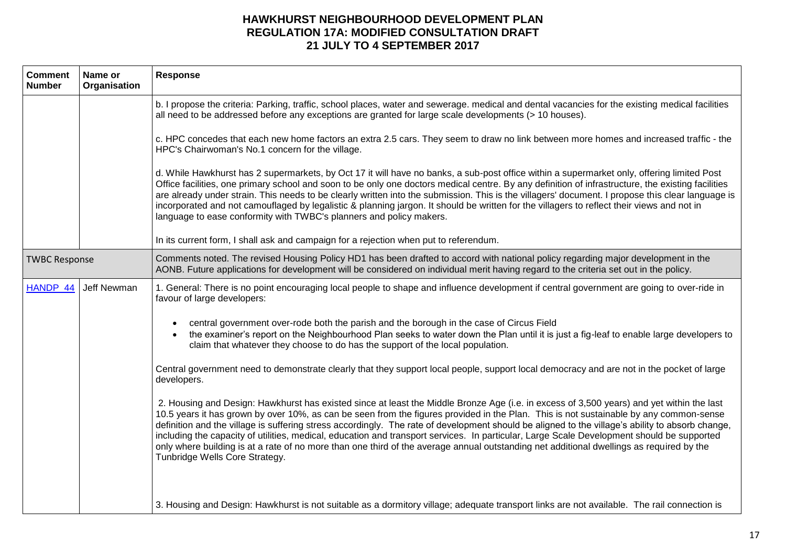| <b>Comment</b><br><b>Number</b> | Name or<br>Organisation | <b>Response</b>                                                                                                                                                                                                                                                                                                                                                                                                                                                                                                                                                                                                                                                                                                                                                     |
|---------------------------------|-------------------------|---------------------------------------------------------------------------------------------------------------------------------------------------------------------------------------------------------------------------------------------------------------------------------------------------------------------------------------------------------------------------------------------------------------------------------------------------------------------------------------------------------------------------------------------------------------------------------------------------------------------------------------------------------------------------------------------------------------------------------------------------------------------|
|                                 |                         | b. I propose the criteria: Parking, traffic, school places, water and sewerage. medical and dental vacancies for the existing medical facilities<br>all need to be addressed before any exceptions are granted for large scale developments (> 10 houses).                                                                                                                                                                                                                                                                                                                                                                                                                                                                                                          |
|                                 |                         | c. HPC concedes that each new home factors an extra 2.5 cars. They seem to draw no link between more homes and increased traffic - the<br>HPC's Chairwoman's No.1 concern for the village.                                                                                                                                                                                                                                                                                                                                                                                                                                                                                                                                                                          |
|                                 |                         | d. While Hawkhurst has 2 supermarkets, by Oct 17 it will have no banks, a sub-post office within a supermarket only, offering limited Post<br>Office facilities, one primary school and soon to be only one doctors medical centre. By any definition of infrastructure, the existing facilities<br>are already under strain. This needs to be clearly written into the submission. This is the villagers' document. I propose this clear language is<br>incorporated and not camouflaged by legalistic & planning jargon. It should be written for the villagers to reflect their views and not in<br>language to ease conformity with TWBC's planners and policy makers.                                                                                          |
|                                 |                         | In its current form, I shall ask and campaign for a rejection when put to referendum.                                                                                                                                                                                                                                                                                                                                                                                                                                                                                                                                                                                                                                                                               |
| <b>TWBC Response</b>            |                         | Comments noted. The revised Housing Policy HD1 has been drafted to accord with national policy regarding major development in the<br>AONB. Future applications for development will be considered on individual merit having regard to the criteria set out in the policy.                                                                                                                                                                                                                                                                                                                                                                                                                                                                                          |
| HANDP 44                        | Jeff Newman             | 1. General: There is no point encouraging local people to shape and influence development if central government are going to over-ride in<br>favour of large developers:                                                                                                                                                                                                                                                                                                                                                                                                                                                                                                                                                                                            |
|                                 |                         | central government over-rode both the parish and the borough in the case of Circus Field<br>the examiner's report on the Neighbourhood Plan seeks to water down the Plan until it is just a fig-leaf to enable large developers to<br>claim that whatever they choose to do has the support of the local population.                                                                                                                                                                                                                                                                                                                                                                                                                                                |
|                                 |                         | Central government need to demonstrate clearly that they support local people, support local democracy and are not in the pocket of large<br>developers.                                                                                                                                                                                                                                                                                                                                                                                                                                                                                                                                                                                                            |
|                                 |                         | 2. Housing and Design: Hawkhurst has existed since at least the Middle Bronze Age (i.e. in excess of 3,500 years) and yet within the last<br>10.5 years it has grown by over 10%, as can be seen from the figures provided in the Plan. This is not sustainable by any common-sense<br>definition and the village is suffering stress accordingly. The rate of development should be aligned to the village's ability to absorb change,<br>including the capacity of utilities, medical, education and transport services. In particular, Large Scale Development should be supported<br>only where building is at a rate of no more than one third of the average annual outstanding net additional dwellings as required by the<br>Tunbridge Wells Core Strategy. |
|                                 |                         | 3. Housing and Design: Hawkhurst is not suitable as a dormitory village; adequate transport links are not available. The rail connection is                                                                                                                                                                                                                                                                                                                                                                                                                                                                                                                                                                                                                         |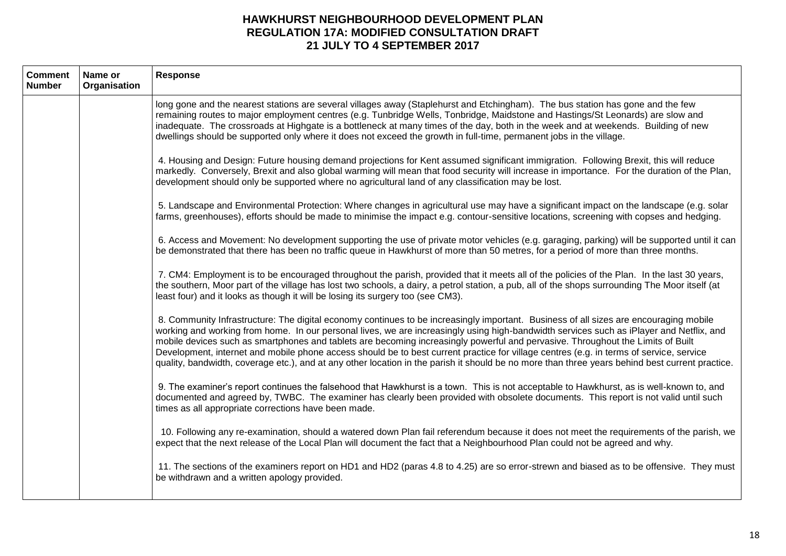| <b>Comment</b><br><b>Number</b> | Name or<br>Organisation | <b>Response</b>                                                                                                                                                                                                                                                                                                                                                                                                                                                                                                                                                                                                                                                                                                    |
|---------------------------------|-------------------------|--------------------------------------------------------------------------------------------------------------------------------------------------------------------------------------------------------------------------------------------------------------------------------------------------------------------------------------------------------------------------------------------------------------------------------------------------------------------------------------------------------------------------------------------------------------------------------------------------------------------------------------------------------------------------------------------------------------------|
|                                 |                         | long gone and the nearest stations are several villages away (Staplehurst and Etchingham). The bus station has gone and the few<br>remaining routes to major employment centres (e.g. Tunbridge Wells, Tonbridge, Maidstone and Hastings/St Leonards) are slow and<br>inadequate. The crossroads at Highgate is a bottleneck at many times of the day, both in the week and at weekends. Building of new<br>dwellings should be supported only where it does not exceed the growth in full-time, permanent jobs in the village.                                                                                                                                                                                    |
|                                 |                         | 4. Housing and Design: Future housing demand projections for Kent assumed significant immigration. Following Brexit, this will reduce<br>markedly. Conversely, Brexit and also global warming will mean that food security will increase in importance. For the duration of the Plan,<br>development should only be supported where no agricultural land of any classification may be lost.                                                                                                                                                                                                                                                                                                                        |
|                                 |                         | 5. Landscape and Environmental Protection: Where changes in agricultural use may have a significant impact on the landscape (e.g. solar<br>farms, greenhouses), efforts should be made to minimise the impact e.g. contour-sensitive locations, screening with copses and hedging.                                                                                                                                                                                                                                                                                                                                                                                                                                 |
|                                 |                         | 6. Access and Movement: No development supporting the use of private motor vehicles (e.g. garaging, parking) will be supported until it can<br>be demonstrated that there has been no traffic queue in Hawkhurst of more than 50 metres, for a period of more than three months.                                                                                                                                                                                                                                                                                                                                                                                                                                   |
|                                 |                         | 7. CM4: Employment is to be encouraged throughout the parish, provided that it meets all of the policies of the Plan. In the last 30 years,<br>the southern, Moor part of the village has lost two schools, a dairy, a petrol station, a pub, all of the shops surrounding The Moor itself (at<br>least four) and it looks as though it will be losing its surgery too (see CM3).                                                                                                                                                                                                                                                                                                                                  |
|                                 |                         | 8. Community Infrastructure: The digital economy continues to be increasingly important. Business of all sizes are encouraging mobile<br>working and working from home. In our personal lives, we are increasingly using high-bandwidth services such as iPlayer and Netflix, and<br>mobile devices such as smartphones and tablets are becoming increasingly powerful and pervasive. Throughout the Limits of Built<br>Development, internet and mobile phone access should be to best current practice for village centres (e.g. in terms of service, service<br>quality, bandwidth, coverage etc.), and at any other location in the parish it should be no more than three years behind best current practice. |
|                                 |                         | 9. The examiner's report continues the falsehood that Hawkhurst is a town. This is not acceptable to Hawkhurst, as is well-known to, and<br>documented and agreed by, TWBC. The examiner has clearly been provided with obsolete documents. This report is not valid until such<br>times as all appropriate corrections have been made.                                                                                                                                                                                                                                                                                                                                                                            |
|                                 |                         | 10. Following any re-examination, should a watered down Plan fail referendum because it does not meet the requirements of the parish, we<br>expect that the next release of the Local Plan will document the fact that a Neighbourhood Plan could not be agreed and why.                                                                                                                                                                                                                                                                                                                                                                                                                                           |
|                                 |                         | 11. The sections of the examiners report on HD1 and HD2 (paras 4.8 to 4.25) are so error-strewn and biased as to be offensive. They must<br>be withdrawn and a written apology provided.                                                                                                                                                                                                                                                                                                                                                                                                                                                                                                                           |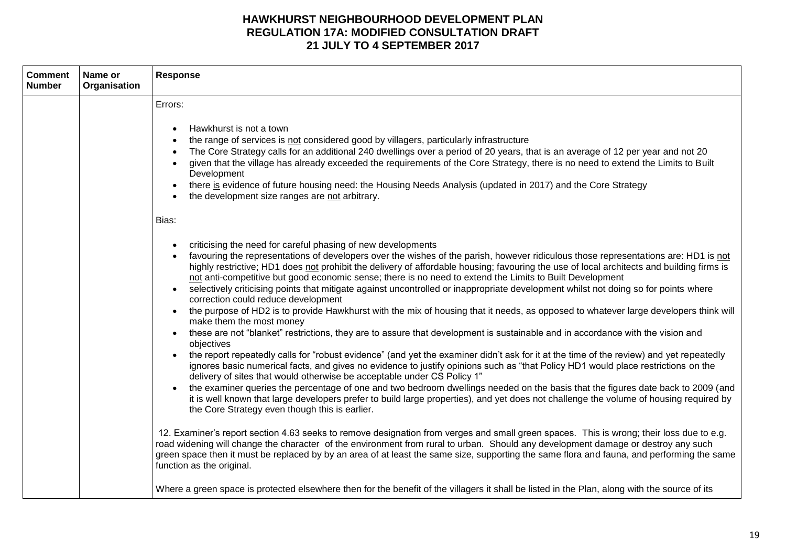| <b>Comment</b><br><b>Number</b> | Name or<br>Organisation | <b>Response</b>                                                                                                                                                                                                                                                                                                                                                                                                                                                                                                                                                                                                                                                                                                                                                                                                                                                                                                                                                                                                                                                                                                                                                                                                                                                                                                                                                                                                                                                                                                                                                                                                                                                                                                                                                                                                                                                                                                                                                                                                                                                                                                       |
|---------------------------------|-------------------------|-----------------------------------------------------------------------------------------------------------------------------------------------------------------------------------------------------------------------------------------------------------------------------------------------------------------------------------------------------------------------------------------------------------------------------------------------------------------------------------------------------------------------------------------------------------------------------------------------------------------------------------------------------------------------------------------------------------------------------------------------------------------------------------------------------------------------------------------------------------------------------------------------------------------------------------------------------------------------------------------------------------------------------------------------------------------------------------------------------------------------------------------------------------------------------------------------------------------------------------------------------------------------------------------------------------------------------------------------------------------------------------------------------------------------------------------------------------------------------------------------------------------------------------------------------------------------------------------------------------------------------------------------------------------------------------------------------------------------------------------------------------------------------------------------------------------------------------------------------------------------------------------------------------------------------------------------------------------------------------------------------------------------------------------------------------------------------------------------------------------------|
|                                 |                         | Errors:<br>Hawkhurst is not a town<br>the range of services is not considered good by villagers, particularly infrastructure<br>The Core Strategy calls for an additional 240 dwellings over a period of 20 years, that is an average of 12 per year and not 20<br>given that the village has already exceeded the requirements of the Core Strategy, there is no need to extend the Limits to Built<br>Development<br>there is evidence of future housing need: the Housing Needs Analysis (updated in 2017) and the Core Strategy<br>the development size ranges are not arbitrary.<br>Bias:                                                                                                                                                                                                                                                                                                                                                                                                                                                                                                                                                                                                                                                                                                                                                                                                                                                                                                                                                                                                                                                                                                                                                                                                                                                                                                                                                                                                                                                                                                                        |
|                                 |                         | criticising the need for careful phasing of new developments<br>favouring the representations of developers over the wishes of the parish, however ridiculous those representations are: HD1 is not<br>highly restrictive; HD1 does not prohibit the delivery of affordable housing; favouring the use of local architects and building firms is<br>not anti-competitive but good economic sense; there is no need to extend the Limits to Built Development<br>selectively criticising points that mitigate against uncontrolled or inappropriate development whilst not doing so for points where<br>correction could reduce development<br>the purpose of HD2 is to provide Hawkhurst with the mix of housing that it needs, as opposed to whatever large developers think will<br>make them the most money<br>these are not "blanket" restrictions, they are to assure that development is sustainable and in accordance with the vision and<br>objectives<br>the report repeatedly calls for "robust evidence" (and yet the examiner didn't ask for it at the time of the review) and yet repeatedly<br>ignores basic numerical facts, and gives no evidence to justify opinions such as "that Policy HD1 would place restrictions on the<br>delivery of sites that would otherwise be acceptable under CS Policy 1"<br>the examiner queries the percentage of one and two bedroom dwellings needed on the basis that the figures date back to 2009 (and<br>it is well known that large developers prefer to build large properties), and yet does not challenge the volume of housing required by<br>the Core Strategy even though this is earlier.<br>12. Examiner's report section 4.63 seeks to remove designation from verges and small green spaces. This is wrong; their loss due to e.g.<br>road widening will change the character of the environment from rural to urban. Should any development damage or destroy any such<br>green space then it must be replaced by by an area of at least the same size, supporting the same flora and fauna, and performing the same<br>function as the original. |
|                                 |                         | Where a green space is protected elsewhere then for the benefit of the villagers it shall be listed in the Plan, along with the source of its                                                                                                                                                                                                                                                                                                                                                                                                                                                                                                                                                                                                                                                                                                                                                                                                                                                                                                                                                                                                                                                                                                                                                                                                                                                                                                                                                                                                                                                                                                                                                                                                                                                                                                                                                                                                                                                                                                                                                                         |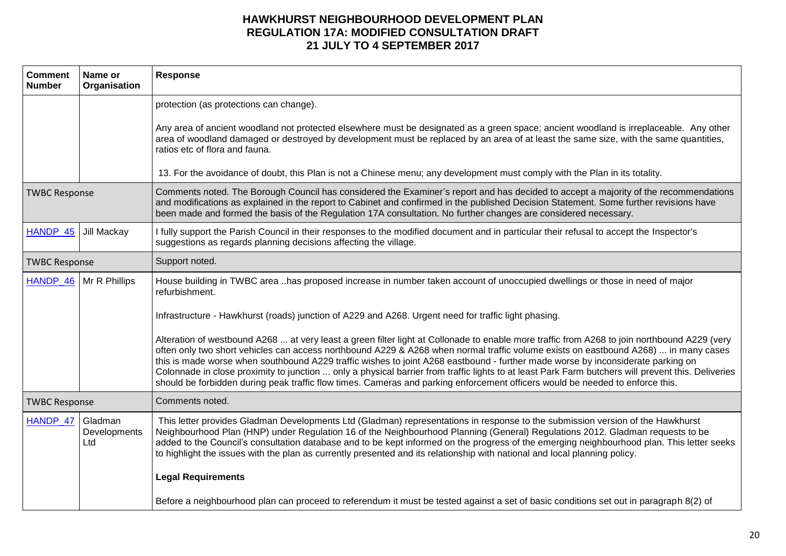| <b>Comment</b><br><b>Number</b> | Name or<br>Organisation        | <b>Response</b>                                                                                                                                                                                                                                                                                                                                                                                                                                                                                                                                                                                                                                                                                               |
|---------------------------------|--------------------------------|---------------------------------------------------------------------------------------------------------------------------------------------------------------------------------------------------------------------------------------------------------------------------------------------------------------------------------------------------------------------------------------------------------------------------------------------------------------------------------------------------------------------------------------------------------------------------------------------------------------------------------------------------------------------------------------------------------------|
|                                 |                                | protection (as protections can change).                                                                                                                                                                                                                                                                                                                                                                                                                                                                                                                                                                                                                                                                       |
|                                 |                                | Any area of ancient woodland not protected elsewhere must be designated as a green space; ancient woodland is irreplaceable. Any other<br>area of woodland damaged or destroyed by development must be replaced by an area of at least the same size, with the same quantities,<br>ratios etc of flora and fauna.                                                                                                                                                                                                                                                                                                                                                                                             |
|                                 |                                | 13. For the avoidance of doubt, this Plan is not a Chinese menu; any development must comply with the Plan in its totality.                                                                                                                                                                                                                                                                                                                                                                                                                                                                                                                                                                                   |
| <b>TWBC Response</b>            |                                | Comments noted. The Borough Council has considered the Examiner's report and has decided to accept a majority of the recommendations<br>and modifications as explained in the report to Cabinet and confirmed in the published Decision Statement. Some further revisions have<br>been made and formed the basis of the Regulation 17A consultation. No further changes are considered necessary.                                                                                                                                                                                                                                                                                                             |
| HANDP_45                        | Jill Mackay                    | I fully support the Parish Council in their responses to the modified document and in particular their refusal to accept the Inspector's<br>suggestions as regards planning decisions affecting the village.                                                                                                                                                                                                                                                                                                                                                                                                                                                                                                  |
| <b>TWBC Response</b>            |                                | Support noted.                                                                                                                                                                                                                                                                                                                                                                                                                                                                                                                                                                                                                                                                                                |
| HANDP 46                        | Mr R Phillips                  | House building in TWBC area has proposed increase in number taken account of unoccupied dwellings or those in need of major<br>refurbishment.                                                                                                                                                                                                                                                                                                                                                                                                                                                                                                                                                                 |
|                                 |                                | Infrastructure - Hawkhurst (roads) junction of A229 and A268. Urgent need for traffic light phasing.                                                                                                                                                                                                                                                                                                                                                                                                                                                                                                                                                                                                          |
|                                 |                                | Alteration of westbound A268  at very least a green filter light at Collonade to enable more traffic from A268 to join northbound A229 (very<br>often only two short vehicles can access northbound A229 & A268 when normal traffic volume exists on eastbound A268)  in many cases<br>this is made worse when southbound A229 traffic wishes to joint A268 eastbound - further made worse by inconsiderate parking on<br>Colonnade in close proximity to junction  only a physical barrier from traffic lights to at least Park Farm butchers will prevent this. Deliveries<br>should be forbidden during peak traffic flow times. Cameras and parking enforcement officers would be needed to enforce this. |
| <b>TWBC Response</b>            |                                | Comments noted.                                                                                                                                                                                                                                                                                                                                                                                                                                                                                                                                                                                                                                                                                               |
| HANDP_47                        | Gladman<br>Developments<br>Ltd | This letter provides Gladman Developments Ltd (Gladman) representations in response to the submission version of the Hawkhurst<br>Neighbourhood Plan (HNP) under Regulation 16 of the Neighbourhood Planning (General) Regulations 2012. Gladman requests to be<br>added to the Council's consultation database and to be kept informed on the progress of the emerging neighbourhood plan. This letter seeks<br>to highlight the issues with the plan as currently presented and its relationship with national and local planning policy.                                                                                                                                                                   |
|                                 |                                | <b>Legal Requirements</b>                                                                                                                                                                                                                                                                                                                                                                                                                                                                                                                                                                                                                                                                                     |
|                                 |                                | Before a neighbourhood plan can proceed to referendum it must be tested against a set of basic conditions set out in paragraph 8(2) of                                                                                                                                                                                                                                                                                                                                                                                                                                                                                                                                                                        |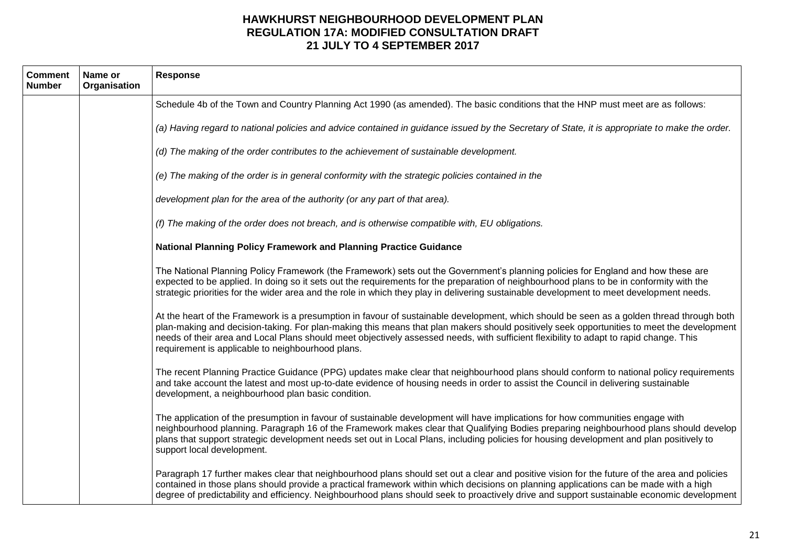| <b>Comment</b><br><b>Number</b> | Name or<br>Organisation | <b>Response</b>                                                                                                                                                                                                                                                                                                                                                                                                                                                                       |
|---------------------------------|-------------------------|---------------------------------------------------------------------------------------------------------------------------------------------------------------------------------------------------------------------------------------------------------------------------------------------------------------------------------------------------------------------------------------------------------------------------------------------------------------------------------------|
|                                 |                         | Schedule 4b of the Town and Country Planning Act 1990 (as amended). The basic conditions that the HNP must meet are as follows:                                                                                                                                                                                                                                                                                                                                                       |
|                                 |                         | (a) Having regard to national policies and advice contained in guidance issued by the Secretary of State, it is appropriate to make the order.                                                                                                                                                                                                                                                                                                                                        |
|                                 |                         | (d) The making of the order contributes to the achievement of sustainable development.                                                                                                                                                                                                                                                                                                                                                                                                |
|                                 |                         | (e) The making of the order is in general conformity with the strategic policies contained in the                                                                                                                                                                                                                                                                                                                                                                                     |
|                                 |                         | development plan for the area of the authority (or any part of that area).                                                                                                                                                                                                                                                                                                                                                                                                            |
|                                 |                         | (f) The making of the order does not breach, and is otherwise compatible with, EU obligations.                                                                                                                                                                                                                                                                                                                                                                                        |
|                                 |                         | National Planning Policy Framework and Planning Practice Guidance                                                                                                                                                                                                                                                                                                                                                                                                                     |
|                                 |                         | The National Planning Policy Framework (the Framework) sets out the Government's planning policies for England and how these are<br>expected to be applied. In doing so it sets out the requirements for the preparation of neighbourhood plans to be in conformity with the<br>strategic priorities for the wider area and the role in which they play in delivering sustainable development to meet development needs.                                                              |
|                                 |                         | At the heart of the Framework is a presumption in favour of sustainable development, which should be seen as a golden thread through both<br>plan-making and decision-taking. For plan-making this means that plan makers should positively seek opportunities to meet the development<br>needs of their area and Local Plans should meet objectively assessed needs, with sufficient flexibility to adapt to rapid change. This<br>requirement is applicable to neighbourhood plans. |
|                                 |                         | The recent Planning Practice Guidance (PPG) updates make clear that neighbourhood plans should conform to national policy requirements<br>and take account the latest and most up-to-date evidence of housing needs in order to assist the Council in delivering sustainable<br>development, a neighbourhood plan basic condition.                                                                                                                                                    |
|                                 |                         | The application of the presumption in favour of sustainable development will have implications for how communities engage with<br>neighbourhood planning. Paragraph 16 of the Framework makes clear that Qualifying Bodies preparing neighbourhood plans should develop<br>plans that support strategic development needs set out in Local Plans, including policies for housing development and plan positively to<br>support local development.                                     |
|                                 |                         | Paragraph 17 further makes clear that neighbourhood plans should set out a clear and positive vision for the future of the area and policies<br>contained in those plans should provide a practical framework within which decisions on planning applications can be made with a high<br>degree of predictability and efficiency. Neighbourhood plans should seek to proactively drive and support sustainable economic development                                                   |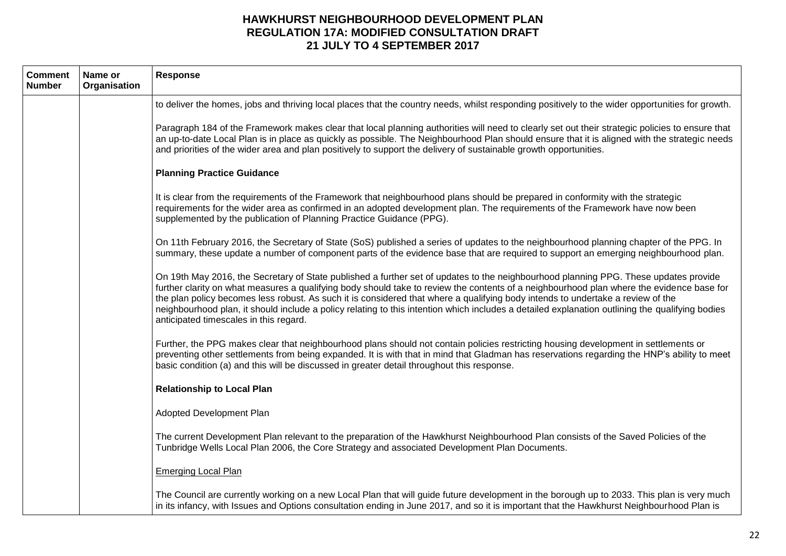| <b>Comment</b><br><b>Number</b> | Name or<br>Organisation | <b>Response</b>                                                                                                                                                                                                                                                                                                                                                                                                                                                                                                                                                                                                   |
|---------------------------------|-------------------------|-------------------------------------------------------------------------------------------------------------------------------------------------------------------------------------------------------------------------------------------------------------------------------------------------------------------------------------------------------------------------------------------------------------------------------------------------------------------------------------------------------------------------------------------------------------------------------------------------------------------|
|                                 |                         | to deliver the homes, jobs and thriving local places that the country needs, whilst responding positively to the wider opportunities for growth.                                                                                                                                                                                                                                                                                                                                                                                                                                                                  |
|                                 |                         | Paragraph 184 of the Framework makes clear that local planning authorities will need to clearly set out their strategic policies to ensure that<br>an up-to-date Local Plan is in place as quickly as possible. The Neighbourhood Plan should ensure that it is aligned with the strategic needs<br>and priorities of the wider area and plan positively to support the delivery of sustainable growth opportunities.                                                                                                                                                                                             |
|                                 |                         | <b>Planning Practice Guidance</b>                                                                                                                                                                                                                                                                                                                                                                                                                                                                                                                                                                                 |
|                                 |                         | It is clear from the requirements of the Framework that neighbourhood plans should be prepared in conformity with the strategic<br>requirements for the wider area as confirmed in an adopted development plan. The requirements of the Framework have now been<br>supplemented by the publication of Planning Practice Guidance (PPG).                                                                                                                                                                                                                                                                           |
|                                 |                         | On 11th February 2016, the Secretary of State (SoS) published a series of updates to the neighbourhood planning chapter of the PPG. In<br>summary, these update a number of component parts of the evidence base that are required to support an emerging neighbourhood plan.                                                                                                                                                                                                                                                                                                                                     |
|                                 |                         | On 19th May 2016, the Secretary of State published a further set of updates to the neighbourhood planning PPG. These updates provide<br>further clarity on what measures a qualifying body should take to review the contents of a neighbourhood plan where the evidence base for<br>the plan policy becomes less robust. As such it is considered that where a qualifying body intends to undertake a review of the<br>neighbourhood plan, it should include a policy relating to this intention which includes a detailed explanation outlining the qualifying bodies<br>anticipated timescales in this regard. |
|                                 |                         | Further, the PPG makes clear that neighbourhood plans should not contain policies restricting housing development in settlements or<br>preventing other settlements from being expanded. It is with that in mind that Gladman has reservations regarding the HNP's ability to meet<br>basic condition (a) and this will be discussed in greater detail throughout this response.                                                                                                                                                                                                                                  |
|                                 |                         | <b>Relationship to Local Plan</b>                                                                                                                                                                                                                                                                                                                                                                                                                                                                                                                                                                                 |
|                                 |                         | Adopted Development Plan                                                                                                                                                                                                                                                                                                                                                                                                                                                                                                                                                                                          |
|                                 |                         | The current Development Plan relevant to the preparation of the Hawkhurst Neighbourhood Plan consists of the Saved Policies of the<br>Tunbridge Wells Local Plan 2006, the Core Strategy and associated Development Plan Documents.                                                                                                                                                                                                                                                                                                                                                                               |
|                                 |                         | <b>Emerging Local Plan</b>                                                                                                                                                                                                                                                                                                                                                                                                                                                                                                                                                                                        |
|                                 |                         | The Council are currently working on a new Local Plan that will guide future development in the borough up to 2033. This plan is very much<br>in its infancy, with Issues and Options consultation ending in June 2017, and so it is important that the Hawkhurst Neighbourhood Plan is                                                                                                                                                                                                                                                                                                                           |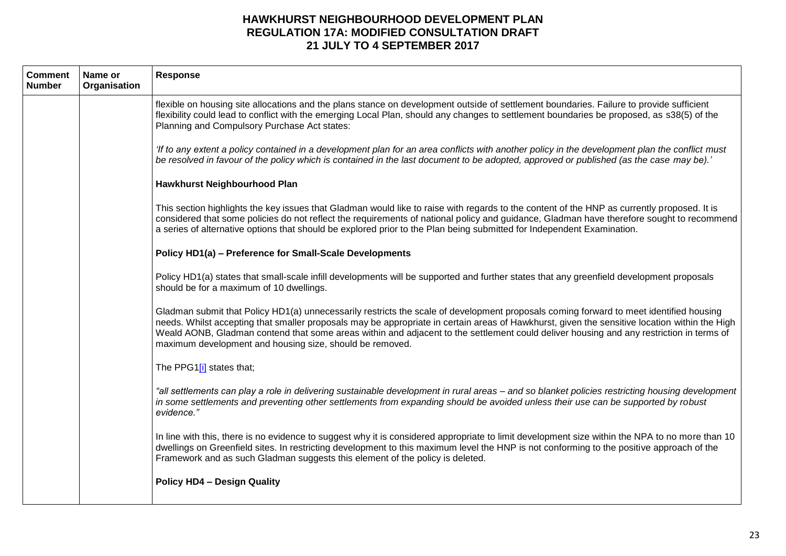| <b>Comment</b><br><b>Number</b> | Name or<br>Organisation | Response                                                                                                                                                                                                                                                                                                                                                                                                                                                                                       |
|---------------------------------|-------------------------|------------------------------------------------------------------------------------------------------------------------------------------------------------------------------------------------------------------------------------------------------------------------------------------------------------------------------------------------------------------------------------------------------------------------------------------------------------------------------------------------|
|                                 |                         | flexible on housing site allocations and the plans stance on development outside of settlement boundaries. Failure to provide sufficient<br>flexibility could lead to conflict with the emerging Local Plan, should any changes to settlement boundaries be proposed, as s38(5) of the<br>Planning and Compulsory Purchase Act states:                                                                                                                                                         |
|                                 |                         | 'If to any extent a policy contained in a development plan for an area conflicts with another policy in the development plan the conflict must<br>be resolved in favour of the policy which is contained in the last document to be adopted, approved or published (as the case may be).'                                                                                                                                                                                                      |
|                                 |                         | Hawkhurst Neighbourhood Plan                                                                                                                                                                                                                                                                                                                                                                                                                                                                   |
|                                 |                         | This section highlights the key issues that Gladman would like to raise with regards to the content of the HNP as currently proposed. It is<br>considered that some policies do not reflect the requirements of national policy and guidance, Gladman have therefore sought to recommend<br>a series of alternative options that should be explored prior to the Plan being submitted for Independent Examination.                                                                             |
|                                 |                         | Policy HD1(a) - Preference for Small-Scale Developments                                                                                                                                                                                                                                                                                                                                                                                                                                        |
|                                 |                         | Policy HD1(a) states that small-scale infill developments will be supported and further states that any greenfield development proposals<br>should be for a maximum of 10 dwellings.                                                                                                                                                                                                                                                                                                           |
|                                 |                         | Gladman submit that Policy HD1(a) unnecessarily restricts the scale of development proposals coming forward to meet identified housing<br>needs. Whilst accepting that smaller proposals may be appropriate in certain areas of Hawkhurst, given the sensitive location within the High<br>Weald AONB, Gladman contend that some areas within and adjacent to the settlement could deliver housing and any restriction in terms of<br>maximum development and housing size, should be removed. |
|                                 |                         | The PPG1[i] states that;                                                                                                                                                                                                                                                                                                                                                                                                                                                                       |
|                                 |                         | "all settlements can play a role in delivering sustainable development in rural areas - and so blanket policies restricting housing development<br>in some settlements and preventing other settlements from expanding should be avoided unless their use can be supported by robust<br>evidence."                                                                                                                                                                                             |
|                                 |                         | In line with this, there is no evidence to suggest why it is considered appropriate to limit development size within the NPA to no more than 10<br>dwellings on Greenfield sites. In restricting development to this maximum level the HNP is not conforming to the positive approach of the<br>Framework and as such Gladman suggests this element of the policy is deleted.                                                                                                                  |
|                                 |                         | <b>Policy HD4 - Design Quality</b>                                                                                                                                                                                                                                                                                                                                                                                                                                                             |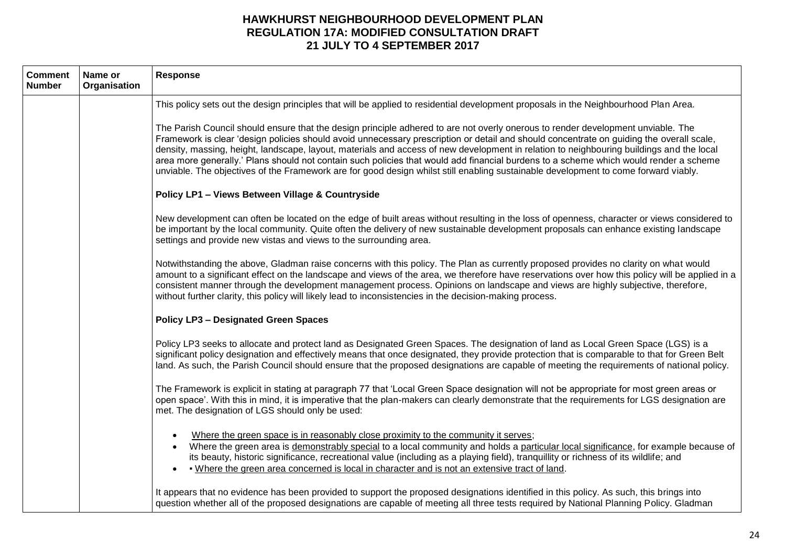| <b>Comment</b><br><b>Number</b> | Name or<br>Organisation | <b>Response</b>                                                                                                                                                                                                                                                                                                                                                                                                                                                                                                                                                                                                                                                                                          |
|---------------------------------|-------------------------|----------------------------------------------------------------------------------------------------------------------------------------------------------------------------------------------------------------------------------------------------------------------------------------------------------------------------------------------------------------------------------------------------------------------------------------------------------------------------------------------------------------------------------------------------------------------------------------------------------------------------------------------------------------------------------------------------------|
|                                 |                         | This policy sets out the design principles that will be applied to residential development proposals in the Neighbourhood Plan Area.                                                                                                                                                                                                                                                                                                                                                                                                                                                                                                                                                                     |
|                                 |                         | The Parish Council should ensure that the design principle adhered to are not overly onerous to render development unviable. The<br>Framework is clear 'design policies should avoid unnecessary prescription or detail and should concentrate on guiding the overall scale,<br>density, massing, height, landscape, layout, materials and access of new development in relation to neighbouring buildings and the local<br>area more generally.' Plans should not contain such policies that would add financial burdens to a scheme which would render a scheme<br>unviable. The objectives of the Framework are for good design whilst still enabling sustainable development to come forward viably. |
|                                 |                         | Policy LP1 - Views Between Village & Countryside                                                                                                                                                                                                                                                                                                                                                                                                                                                                                                                                                                                                                                                         |
|                                 |                         | New development can often be located on the edge of built areas without resulting in the loss of openness, character or views considered to<br>be important by the local community. Quite often the delivery of new sustainable development proposals can enhance existing landscape<br>settings and provide new vistas and views to the surrounding area.                                                                                                                                                                                                                                                                                                                                               |
|                                 |                         | Notwithstanding the above, Gladman raise concerns with this policy. The Plan as currently proposed provides no clarity on what would<br>amount to a significant effect on the landscape and views of the area, we therefore have reservations over how this policy will be applied in a<br>consistent manner through the development management process. Opinions on landscape and views are highly subjective, therefore,<br>without further clarity, this policy will likely lead to inconsistencies in the decision-making process.                                                                                                                                                                   |
|                                 |                         | <b>Policy LP3 - Designated Green Spaces</b>                                                                                                                                                                                                                                                                                                                                                                                                                                                                                                                                                                                                                                                              |
|                                 |                         | Policy LP3 seeks to allocate and protect land as Designated Green Spaces. The designation of land as Local Green Space (LGS) is a<br>significant policy designation and effectively means that once designated, they provide protection that is comparable to that for Green Belt<br>land. As such, the Parish Council should ensure that the proposed designations are capable of meeting the requirements of national policy.                                                                                                                                                                                                                                                                          |
|                                 |                         | The Framework is explicit in stating at paragraph 77 that 'Local Green Space designation will not be appropriate for most green areas or<br>open space'. With this in mind, it is imperative that the plan-makers can clearly demonstrate that the requirements for LGS designation are<br>met. The designation of LGS should only be used:                                                                                                                                                                                                                                                                                                                                                              |
|                                 |                         | Where the green space is in reasonably close proximity to the community it serves;<br>Where the green area is demonstrably special to a local community and holds a particular local significance, for example because of<br>its beauty, historic significance, recreational value (including as a playing field), tranquillity or richness of its wildlife; and<br>. Where the green area concerned is local in character and is not an extensive tract of land.                                                                                                                                                                                                                                        |
|                                 |                         | It appears that no evidence has been provided to support the proposed designations identified in this policy. As such, this brings into<br>question whether all of the proposed designations are capable of meeting all three tests required by National Planning Policy. Gladman                                                                                                                                                                                                                                                                                                                                                                                                                        |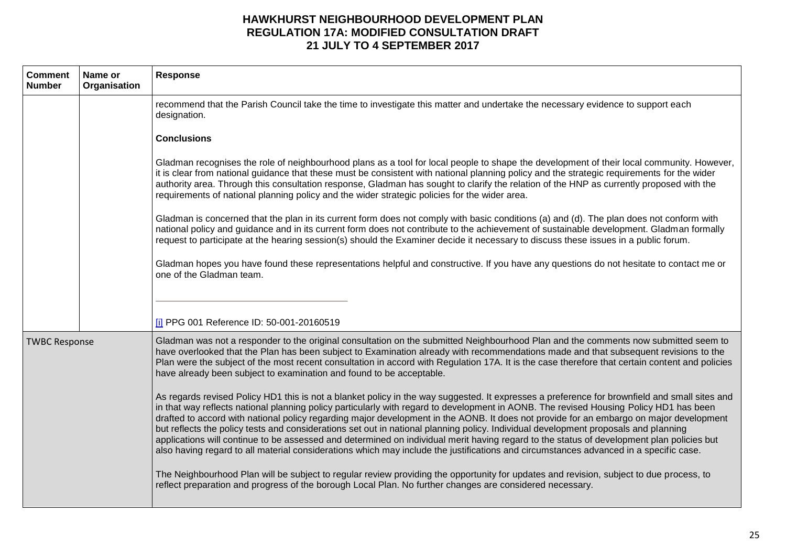| <b>Comment</b><br><b>Number</b> | Name or<br>Organisation | Response                                                                                                                                                                                                                                                                                                                                                                                                                                                                                                                                                                                                                                                                                                                                                                                                                                                        |
|---------------------------------|-------------------------|-----------------------------------------------------------------------------------------------------------------------------------------------------------------------------------------------------------------------------------------------------------------------------------------------------------------------------------------------------------------------------------------------------------------------------------------------------------------------------------------------------------------------------------------------------------------------------------------------------------------------------------------------------------------------------------------------------------------------------------------------------------------------------------------------------------------------------------------------------------------|
|                                 |                         | recommend that the Parish Council take the time to investigate this matter and undertake the necessary evidence to support each<br>designation.                                                                                                                                                                                                                                                                                                                                                                                                                                                                                                                                                                                                                                                                                                                 |
|                                 |                         | <b>Conclusions</b>                                                                                                                                                                                                                                                                                                                                                                                                                                                                                                                                                                                                                                                                                                                                                                                                                                              |
|                                 |                         | Gladman recognises the role of neighbourhood plans as a tool for local people to shape the development of their local community. However,<br>it is clear from national guidance that these must be consistent with national planning policy and the strategic requirements for the wider<br>authority area. Through this consultation response, Gladman has sought to clarify the relation of the HNP as currently proposed with the<br>requirements of national planning policy and the wider strategic policies for the wider area.                                                                                                                                                                                                                                                                                                                           |
|                                 |                         | Gladman is concerned that the plan in its current form does not comply with basic conditions (a) and (d). The plan does not conform with<br>national policy and guidance and in its current form does not contribute to the achievement of sustainable development. Gladman formally<br>request to participate at the hearing session(s) should the Examiner decide it necessary to discuss these issues in a public forum.                                                                                                                                                                                                                                                                                                                                                                                                                                     |
|                                 |                         | Gladman hopes you have found these representations helpful and constructive. If you have any questions do not hesitate to contact me or<br>one of the Gladman team.                                                                                                                                                                                                                                                                                                                                                                                                                                                                                                                                                                                                                                                                                             |
|                                 |                         | [i] PPG 001 Reference ID: 50-001-20160519                                                                                                                                                                                                                                                                                                                                                                                                                                                                                                                                                                                                                                                                                                                                                                                                                       |
| <b>TWBC Response</b>            |                         | Gladman was not a responder to the original consultation on the submitted Neighbourhood Plan and the comments now submitted seem to<br>have overlooked that the Plan has been subject to Examination already with recommendations made and that subsequent revisions to the<br>Plan were the subject of the most recent consultation in accord with Regulation 17A. It is the case therefore that certain content and policies<br>have already been subject to examination and found to be acceptable.                                                                                                                                                                                                                                                                                                                                                          |
|                                 |                         | As regards revised Policy HD1 this is not a blanket policy in the way suggested. It expresses a preference for brownfield and small sites and<br>in that way reflects national planning policy particularly with regard to development in AONB. The revised Housing Policy HD1 has been<br>drafted to accord with national policy regarding major development in the AONB. It does not provide for an embargo on major development<br>but reflects the policy tests and considerations set out in national planning policy. Individual development proposals and planning<br>applications will continue to be assessed and determined on individual merit having regard to the status of development plan policies but<br>also having regard to all material considerations which may include the justifications and circumstances advanced in a specific case. |
|                                 |                         | The Neighbourhood Plan will be subject to regular review providing the opportunity for updates and revision, subject to due process, to<br>reflect preparation and progress of the borough Local Plan. No further changes are considered necessary.                                                                                                                                                                                                                                                                                                                                                                                                                                                                                                                                                                                                             |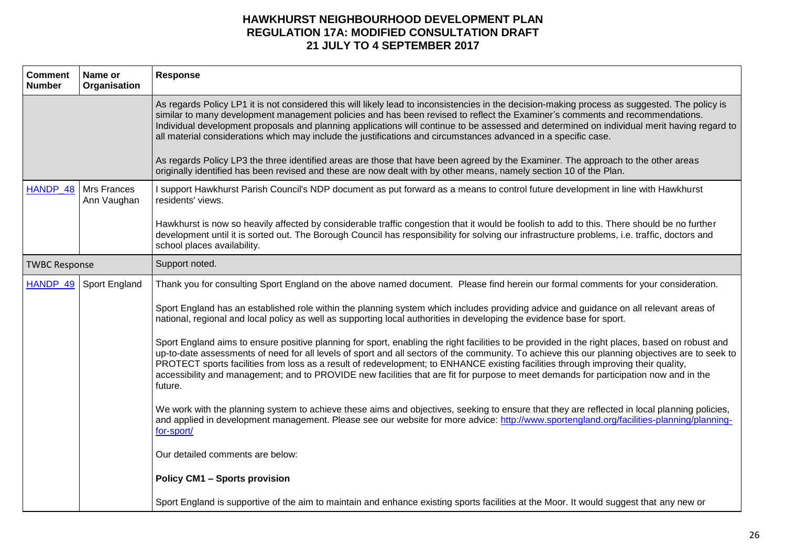| <b>Comment</b><br><b>Number</b> | Name or<br>Organisation | Response                                                                                                                                                                                                                                                                                                                                                                                                                                                                                                                                                                                                                                                                                                                                                                                                    |
|---------------------------------|-------------------------|-------------------------------------------------------------------------------------------------------------------------------------------------------------------------------------------------------------------------------------------------------------------------------------------------------------------------------------------------------------------------------------------------------------------------------------------------------------------------------------------------------------------------------------------------------------------------------------------------------------------------------------------------------------------------------------------------------------------------------------------------------------------------------------------------------------|
|                                 |                         | As regards Policy LP1 it is not considered this will likely lead to inconsistencies in the decision-making process as suggested. The policy is<br>similar to many development management policies and has been revised to reflect the Examiner's comments and recommendations.<br>Individual development proposals and planning applications will continue to be assessed and determined on individual merit having regard to<br>all material considerations which may include the justifications and circumstances advanced in a specific case.<br>As regards Policy LP3 the three identified areas are those that have been agreed by the Examiner. The approach to the other areas<br>originally identified has been revised and these are now dealt with by other means, namely section 10 of the Plan. |
| HANDP 48                        | Mrs Frances             | I support Hawkhurst Parish Council's NDP document as put forward as a means to control future development in line with Hawkhurst                                                                                                                                                                                                                                                                                                                                                                                                                                                                                                                                                                                                                                                                            |
|                                 | Ann Vaughan             | residents' views.                                                                                                                                                                                                                                                                                                                                                                                                                                                                                                                                                                                                                                                                                                                                                                                           |
|                                 |                         | Hawkhurst is now so heavily affected by considerable traffic congestion that it would be foolish to add to this. There should be no further<br>development until it is sorted out. The Borough Council has responsibility for solving our infrastructure problems, i.e. traffic, doctors and<br>school places availability.                                                                                                                                                                                                                                                                                                                                                                                                                                                                                 |
| <b>TWBC Response</b>            |                         | Support noted.                                                                                                                                                                                                                                                                                                                                                                                                                                                                                                                                                                                                                                                                                                                                                                                              |
| HANDP_49                        | Sport England           | Thank you for consulting Sport England on the above named document. Please find herein our formal comments for your consideration.                                                                                                                                                                                                                                                                                                                                                                                                                                                                                                                                                                                                                                                                          |
|                                 |                         | Sport England has an established role within the planning system which includes providing advice and guidance on all relevant areas of<br>national, regional and local policy as well as supporting local authorities in developing the evidence base for sport.                                                                                                                                                                                                                                                                                                                                                                                                                                                                                                                                            |
|                                 |                         | Sport England aims to ensure positive planning for sport, enabling the right facilities to be provided in the right places, based on robust and<br>up-to-date assessments of need for all levels of sport and all sectors of the community. To achieve this our planning objectives are to seek to<br>PROTECT sports facilities from loss as a result of redevelopment; to ENHANCE existing facilities through improving their quality,<br>accessibility and management; and to PROVIDE new facilities that are fit for purpose to meet demands for participation now and in the<br>future.                                                                                                                                                                                                                 |
|                                 |                         | We work with the planning system to achieve these aims and objectives, seeking to ensure that they are reflected in local planning policies,<br>and applied in development management. Please see our website for more advice: http://www.sportengland.org/facilities-planning/planning-<br>for-sport/                                                                                                                                                                                                                                                                                                                                                                                                                                                                                                      |
|                                 |                         | Our detailed comments are below:                                                                                                                                                                                                                                                                                                                                                                                                                                                                                                                                                                                                                                                                                                                                                                            |
|                                 |                         | <b>Policy CM1 - Sports provision</b>                                                                                                                                                                                                                                                                                                                                                                                                                                                                                                                                                                                                                                                                                                                                                                        |
|                                 |                         | Sport England is supportive of the aim to maintain and enhance existing sports facilities at the Moor. It would suggest that any new or                                                                                                                                                                                                                                                                                                                                                                                                                                                                                                                                                                                                                                                                     |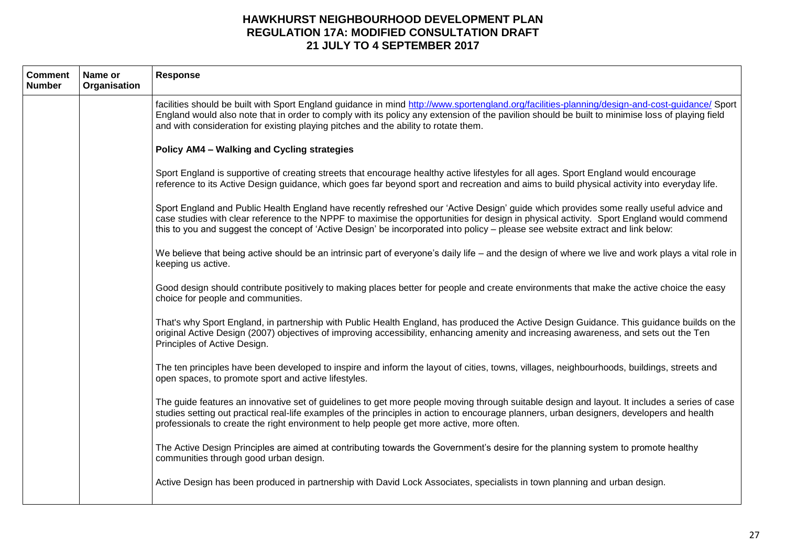| <b>Comment</b><br><b>Number</b> | Name or<br>Organisation | <b>Response</b>                                                                                                                                                                                                                                                                                                                                                                                                       |
|---------------------------------|-------------------------|-----------------------------------------------------------------------------------------------------------------------------------------------------------------------------------------------------------------------------------------------------------------------------------------------------------------------------------------------------------------------------------------------------------------------|
|                                 |                         | facilities should be built with Sport England guidance in mind http://www.sportengland.org/facilities-planning/design-and-cost-guidance/ Sport<br>England would also note that in order to comply with its policy any extension of the pavilion should be built to minimise loss of playing field<br>and with consideration for existing playing pitches and the ability to rotate them.                              |
|                                 |                         | Policy AM4 - Walking and Cycling strategies                                                                                                                                                                                                                                                                                                                                                                           |
|                                 |                         | Sport England is supportive of creating streets that encourage healthy active lifestyles for all ages. Sport England would encourage<br>reference to its Active Design guidance, which goes far beyond sport and recreation and aims to build physical activity into everyday life.                                                                                                                                   |
|                                 |                         | Sport England and Public Health England have recently refreshed our 'Active Design' guide which provides some really useful advice and<br>case studies with clear reference to the NPPF to maximise the opportunities for design in physical activity. Sport England would commend<br>this to you and suggest the concept of 'Active Design' be incorporated into policy – please see website extract and link below: |
|                                 |                         | We believe that being active should be an intrinsic part of everyone's daily life – and the design of where we live and work plays a vital role in<br>keeping us active.                                                                                                                                                                                                                                              |
|                                 |                         | Good design should contribute positively to making places better for people and create environments that make the active choice the easy<br>choice for people and communities.                                                                                                                                                                                                                                        |
|                                 |                         | That's why Sport England, in partnership with Public Health England, has produced the Active Design Guidance. This guidance builds on the<br>original Active Design (2007) objectives of improving accessibility, enhancing amenity and increasing awareness, and sets out the Ten<br>Principles of Active Design.                                                                                                    |
|                                 |                         | The ten principles have been developed to inspire and inform the layout of cities, towns, villages, neighbourhoods, buildings, streets and<br>open spaces, to promote sport and active lifestyles.                                                                                                                                                                                                                    |
|                                 |                         | The guide features an innovative set of guidelines to get more people moving through suitable design and layout. It includes a series of case<br>studies setting out practical real-life examples of the principles in action to encourage planners, urban designers, developers and health<br>professionals to create the right environment to help people get more active, more often.                              |
|                                 |                         | The Active Design Principles are aimed at contributing towards the Government's desire for the planning system to promote healthy<br>communities through good urban design.                                                                                                                                                                                                                                           |
|                                 |                         | Active Design has been produced in partnership with David Lock Associates, specialists in town planning and urban design.                                                                                                                                                                                                                                                                                             |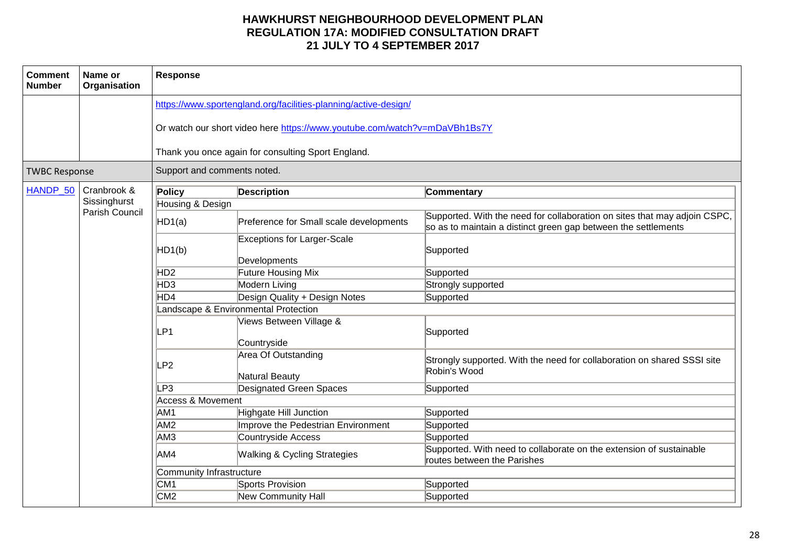| <b>Comment</b><br><b>Number</b> | Name or<br>Organisation | Response                             |                                                                           |                                                                                                                                             |  |  |
|---------------------------------|-------------------------|--------------------------------------|---------------------------------------------------------------------------|---------------------------------------------------------------------------------------------------------------------------------------------|--|--|
|                                 |                         |                                      | https://www.sportengland.org/facilities-planning/active-design/           |                                                                                                                                             |  |  |
|                                 |                         |                                      | Or watch our short video here https://www.youtube.com/watch?v=mDaVBh1Bs7Y |                                                                                                                                             |  |  |
|                                 |                         |                                      | Thank you once again for consulting Sport England.                        |                                                                                                                                             |  |  |
| <b>TWBC Response</b>            |                         | Support and comments noted.          |                                                                           |                                                                                                                                             |  |  |
| HANDP_50                        | Cranbrook &             | Policy                               | <b>Description</b>                                                        | Commentary                                                                                                                                  |  |  |
|                                 | Sissinghurst            | Housing & Design                     |                                                                           |                                                                                                                                             |  |  |
|                                 | Parish Council          | HD1(a)                               | Preference for Small scale developments                                   | Supported. With the need for collaboration on sites that may adjoin CSPC,<br>so as to maintain a distinct green gap between the settlements |  |  |
|                                 |                         | HD1(b)                               | <b>Exceptions for Larger-Scale</b><br>Developments                        | Supported                                                                                                                                   |  |  |
|                                 |                         | H <sub>D2</sub>                      | Future Housing Mix                                                        | Supported                                                                                                                                   |  |  |
|                                 |                         | HD <sub>3</sub>                      | Modern Living                                                             | Strongly supported                                                                                                                          |  |  |
|                                 |                         | HD4                                  | Design Quality + Design Notes                                             | Supported                                                                                                                                   |  |  |
|                                 |                         | Landscape & Environmental Protection |                                                                           |                                                                                                                                             |  |  |
|                                 |                         | LP1                                  | Views Between Village &<br>Countryside                                    | Supported                                                                                                                                   |  |  |
|                                 |                         | LP <sub>2</sub>                      | Area Of Outstanding<br>Natural Beauty                                     | Strongly supported. With the need for collaboration on shared SSSI site<br>Robin's Wood                                                     |  |  |
|                                 |                         | LP3                                  | Designated Green Spaces                                                   | Supported                                                                                                                                   |  |  |
|                                 |                         | <b>Access &amp; Movement</b>         |                                                                           |                                                                                                                                             |  |  |
|                                 |                         | AM <sub>1</sub>                      | Highgate Hill Junction                                                    | Supported                                                                                                                                   |  |  |
|                                 |                         | AM <sub>2</sub>                      | Improve the Pedestrian Environment                                        | Supported                                                                                                                                   |  |  |
|                                 |                         | AM <sub>3</sub>                      | Countryside Access                                                        | Supported                                                                                                                                   |  |  |
|                                 |                         | AM4                                  | <b>Walking &amp; Cycling Strategies</b>                                   | Supported. With need to collaborate on the extension of sustainable<br>routes between the Parishes                                          |  |  |
|                                 |                         | Community Infrastructure             |                                                                           |                                                                                                                                             |  |  |
|                                 |                         | CM <sub>1</sub>                      | Sports Provision                                                          | Supported                                                                                                                                   |  |  |
|                                 |                         | CM2                                  | New Community Hall                                                        | Supported                                                                                                                                   |  |  |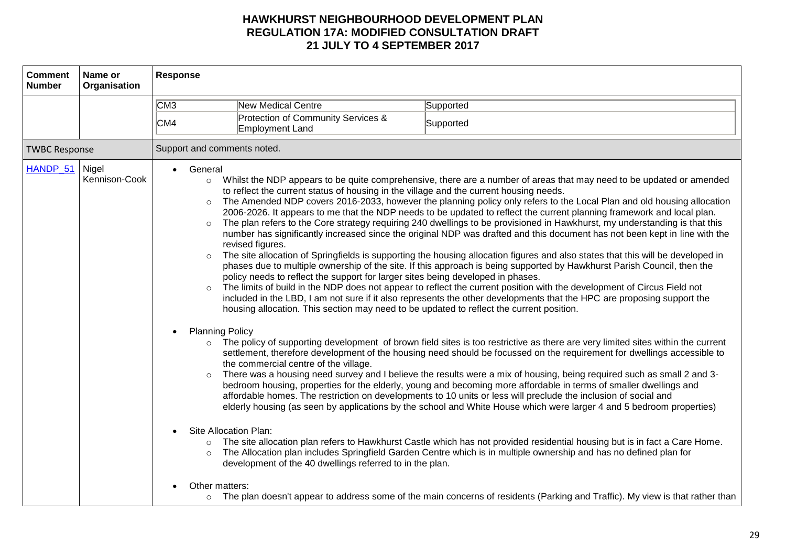| <b>Comment</b><br><b>Number</b> | Name or<br>Organisation                                                                                                                                                                                                                                                                                                                                                                                                                                                                                                                                                                                                   | Response |                                                       |                                                                                                                                                                                                                                                                                                                                                                                                                                                                                                                                                                                                                                                                                                                                                                                                                                                                                                                                                                                                                                                                                                                                                                                                                                                                                                                                                                                                                                                                                                                                                                                                                                                                                                                                                                                                                                                                                                                                                                                                                                                                                                                                                                                                                                                                                                      |
|---------------------------------|---------------------------------------------------------------------------------------------------------------------------------------------------------------------------------------------------------------------------------------------------------------------------------------------------------------------------------------------------------------------------------------------------------------------------------------------------------------------------------------------------------------------------------------------------------------------------------------------------------------------------|----------|-------------------------------------------------------|------------------------------------------------------------------------------------------------------------------------------------------------------------------------------------------------------------------------------------------------------------------------------------------------------------------------------------------------------------------------------------------------------------------------------------------------------------------------------------------------------------------------------------------------------------------------------------------------------------------------------------------------------------------------------------------------------------------------------------------------------------------------------------------------------------------------------------------------------------------------------------------------------------------------------------------------------------------------------------------------------------------------------------------------------------------------------------------------------------------------------------------------------------------------------------------------------------------------------------------------------------------------------------------------------------------------------------------------------------------------------------------------------------------------------------------------------------------------------------------------------------------------------------------------------------------------------------------------------------------------------------------------------------------------------------------------------------------------------------------------------------------------------------------------------------------------------------------------------------------------------------------------------------------------------------------------------------------------------------------------------------------------------------------------------------------------------------------------------------------------------------------------------------------------------------------------------------------------------------------------------------------------------------------------------|
|                                 |                                                                                                                                                                                                                                                                                                                                                                                                                                                                                                                                                                                                                           |          |                                                       | Supported                                                                                                                                                                                                                                                                                                                                                                                                                                                                                                                                                                                                                                                                                                                                                                                                                                                                                                                                                                                                                                                                                                                                                                                                                                                                                                                                                                                                                                                                                                                                                                                                                                                                                                                                                                                                                                                                                                                                                                                                                                                                                                                                                                                                                                                                                            |
|                                 |                                                                                                                                                                                                                                                                                                                                                                                                                                                                                                                                                                                                                           | CM4      | Protection of Community Services &<br>Employment Land | Supported                                                                                                                                                                                                                                                                                                                                                                                                                                                                                                                                                                                                                                                                                                                                                                                                                                                                                                                                                                                                                                                                                                                                                                                                                                                                                                                                                                                                                                                                                                                                                                                                                                                                                                                                                                                                                                                                                                                                                                                                                                                                                                                                                                                                                                                                                            |
| <b>TWBC Response</b>            |                                                                                                                                                                                                                                                                                                                                                                                                                                                                                                                                                                                                                           |          |                                                       |                                                                                                                                                                                                                                                                                                                                                                                                                                                                                                                                                                                                                                                                                                                                                                                                                                                                                                                                                                                                                                                                                                                                                                                                                                                                                                                                                                                                                                                                                                                                                                                                                                                                                                                                                                                                                                                                                                                                                                                                                                                                                                                                                                                                                                                                                                      |
| HANDP_51 Nigel                  | CM3<br><b>New Medical Centre</b><br>Support and comments noted.<br>General<br>Kennison-Cook<br>$\circ$<br>to reflect the current status of housing in the village and the current housing needs.<br>$\circ$<br>$\circ$<br>revised figures.<br>$\circ$<br>policy needs to reflect the support for larger sites being developed in phases.<br>housing allocation. This section may need to be updated to reflect the current position.<br><b>Planning Policy</b><br>$\circ$<br>the commercial centre of the village.<br>Site Allocation Plan:<br>development of the 40 dwellings referred to in the plan.<br>Other matters: |          |                                                       | Whilst the NDP appears to be quite comprehensive, there are a number of areas that may need to be updated or amended<br>The Amended NDP covers 2016-2033, however the planning policy only refers to the Local Plan and old housing allocation<br>2006-2026. It appears to me that the NDP needs to be updated to reflect the current planning framework and local plan.<br>The plan refers to the Core strategy requiring 240 dwellings to be provisioned in Hawkhurst, my understanding is that this<br>number has significantly increased since the original NDP was drafted and this document has not been kept in line with the<br>The site allocation of Springfields is supporting the housing allocation figures and also states that this will be developed in<br>phases due to multiple ownership of the site. If this approach is being supported by Hawkhurst Parish Council, then the<br>The limits of build in the NDP does not appear to reflect the current position with the development of Circus Field not<br>included in the LBD, I am not sure if it also represents the other developments that the HPC are proposing support the<br>The policy of supporting development of brown field sites is too restrictive as there are very limited sites within the current<br>settlement, therefore development of the housing need should be focussed on the requirement for dwellings accessible to<br>There was a housing need survey and I believe the results were a mix of housing, being required such as small 2 and 3-<br>bedroom housing, properties for the elderly, young and becoming more affordable in terms of smaller dwellings and<br>affordable homes. The restriction on developments to 10 units or less will preclude the inclusion of social and<br>elderly housing (as seen by applications by the school and White House which were larger 4 and 5 bedroom properties)<br>The site allocation plan refers to Hawkhurst Castle which has not provided residential housing but is in fact a Care Home.<br>The Allocation plan includes Springfield Garden Centre which is in multiple ownership and has no defined plan for<br>o The plan doesn't appear to address some of the main concerns of residents (Parking and Traffic). My view is that rather than |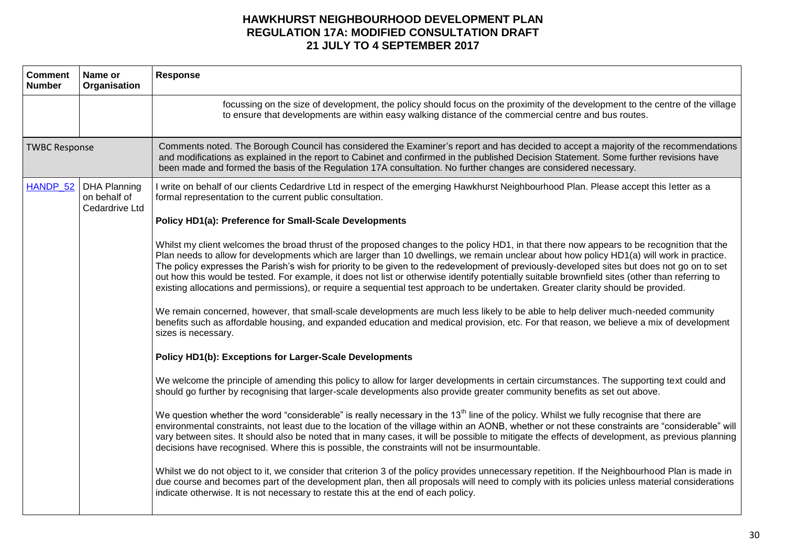| <b>Comment</b><br><b>Number</b> | Name or<br>Organisation                               | <b>Response</b>                                                                                                                                                                                                                                                                                                                                                                                                                                                                                                                                                                                                                                                                                                                   |
|---------------------------------|-------------------------------------------------------|-----------------------------------------------------------------------------------------------------------------------------------------------------------------------------------------------------------------------------------------------------------------------------------------------------------------------------------------------------------------------------------------------------------------------------------------------------------------------------------------------------------------------------------------------------------------------------------------------------------------------------------------------------------------------------------------------------------------------------------|
|                                 |                                                       | focussing on the size of development, the policy should focus on the proximity of the development to the centre of the village<br>to ensure that developments are within easy walking distance of the commercial centre and bus routes.                                                                                                                                                                                                                                                                                                                                                                                                                                                                                           |
| <b>TWBC Response</b>            |                                                       | Comments noted. The Borough Council has considered the Examiner's report and has decided to accept a majority of the recommendations<br>and modifications as explained in the report to Cabinet and confirmed in the published Decision Statement. Some further revisions have<br>been made and formed the basis of the Regulation 17A consultation. No further changes are considered necessary.                                                                                                                                                                                                                                                                                                                                 |
| HANDP_52                        | <b>DHA Planning</b><br>on behalf of<br>Cedardrive Ltd | I write on behalf of our clients Cedardrive Ltd in respect of the emerging Hawkhurst Neighbourhood Plan. Please accept this letter as a<br>formal representation to the current public consultation.                                                                                                                                                                                                                                                                                                                                                                                                                                                                                                                              |
|                                 |                                                       | Policy HD1(a): Preference for Small-Scale Developments                                                                                                                                                                                                                                                                                                                                                                                                                                                                                                                                                                                                                                                                            |
|                                 |                                                       | Whilst my client welcomes the broad thrust of the proposed changes to the policy HD1, in that there now appears to be recognition that the<br>Plan needs to allow for developments which are larger than 10 dwellings, we remain unclear about how policy HD1(a) will work in practice.<br>The policy expresses the Parish's wish for priority to be given to the redevelopment of previously-developed sites but does not go on to set<br>out how this would be tested. For example, it does not list or otherwise identify potentially suitable brownfield sites (other than referring to<br>existing allocations and permissions), or require a sequential test approach to be undertaken. Greater clarity should be provided. |
|                                 |                                                       | We remain concerned, however, that small-scale developments are much less likely to be able to help deliver much-needed community<br>benefits such as affordable housing, and expanded education and medical provision, etc. For that reason, we believe a mix of development<br>sizes is necessary.                                                                                                                                                                                                                                                                                                                                                                                                                              |
|                                 |                                                       | Policy HD1(b): Exceptions for Larger-Scale Developments                                                                                                                                                                                                                                                                                                                                                                                                                                                                                                                                                                                                                                                                           |
|                                 |                                                       | We welcome the principle of amending this policy to allow for larger developments in certain circumstances. The supporting text could and<br>should go further by recognising that larger-scale developments also provide greater community benefits as set out above.                                                                                                                                                                                                                                                                                                                                                                                                                                                            |
|                                 |                                                       | We question whether the word "considerable" is really necessary in the 13 <sup>th</sup> line of the policy. Whilst we fully recognise that there are<br>environmental constraints, not least due to the location of the village within an AONB, whether or not these constraints are "considerable" will<br>vary between sites. It should also be noted that in many cases, it will be possible to mitigate the effects of development, as previous planning<br>decisions have recognised. Where this is possible, the constraints will not be insurmountable.                                                                                                                                                                    |
|                                 |                                                       | Whilst we do not object to it, we consider that criterion 3 of the policy provides unnecessary repetition. If the Neighbourhood Plan is made in<br>due course and becomes part of the development plan, then all proposals will need to comply with its policies unless material considerations<br>indicate otherwise. It is not necessary to restate this at the end of each policy.                                                                                                                                                                                                                                                                                                                                             |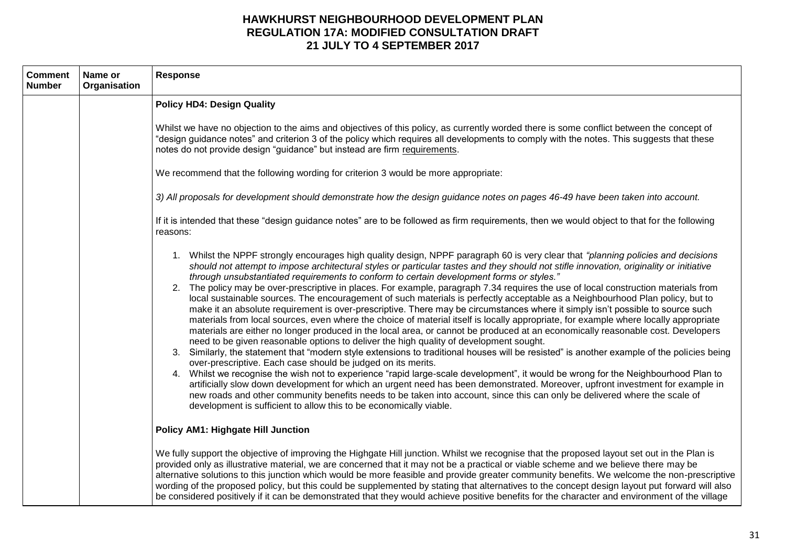| <b>Comment</b><br><b>Number</b> | Name or<br>Organisation | Response                                                                                                                                                                                                                                                                                                                                                                                                                                                                                                                                                                                                                                                                                                                                                                                                                                                                                                                                                                                                                                                                                                                                                                                                                                                                                                                                                                                                                                                                                                                                                                                                                                                                                                                                                                                                                                             |
|---------------------------------|-------------------------|------------------------------------------------------------------------------------------------------------------------------------------------------------------------------------------------------------------------------------------------------------------------------------------------------------------------------------------------------------------------------------------------------------------------------------------------------------------------------------------------------------------------------------------------------------------------------------------------------------------------------------------------------------------------------------------------------------------------------------------------------------------------------------------------------------------------------------------------------------------------------------------------------------------------------------------------------------------------------------------------------------------------------------------------------------------------------------------------------------------------------------------------------------------------------------------------------------------------------------------------------------------------------------------------------------------------------------------------------------------------------------------------------------------------------------------------------------------------------------------------------------------------------------------------------------------------------------------------------------------------------------------------------------------------------------------------------------------------------------------------------------------------------------------------------------------------------------------------------|
|                                 |                         | <b>Policy HD4: Design Quality</b>                                                                                                                                                                                                                                                                                                                                                                                                                                                                                                                                                                                                                                                                                                                                                                                                                                                                                                                                                                                                                                                                                                                                                                                                                                                                                                                                                                                                                                                                                                                                                                                                                                                                                                                                                                                                                    |
|                                 |                         | Whilst we have no objection to the aims and objectives of this policy, as currently worded there is some conflict between the concept of<br>"design guidance notes" and criterion 3 of the policy which requires all developments to comply with the notes. This suggests that these<br>notes do not provide design "guidance" but instead are firm requirements.                                                                                                                                                                                                                                                                                                                                                                                                                                                                                                                                                                                                                                                                                                                                                                                                                                                                                                                                                                                                                                                                                                                                                                                                                                                                                                                                                                                                                                                                                    |
|                                 |                         | We recommend that the following wording for criterion 3 would be more appropriate:                                                                                                                                                                                                                                                                                                                                                                                                                                                                                                                                                                                                                                                                                                                                                                                                                                                                                                                                                                                                                                                                                                                                                                                                                                                                                                                                                                                                                                                                                                                                                                                                                                                                                                                                                                   |
|                                 |                         | 3) All proposals for development should demonstrate how the design guidance notes on pages 46-49 have been taken into account.                                                                                                                                                                                                                                                                                                                                                                                                                                                                                                                                                                                                                                                                                                                                                                                                                                                                                                                                                                                                                                                                                                                                                                                                                                                                                                                                                                                                                                                                                                                                                                                                                                                                                                                       |
|                                 |                         | If it is intended that these "design guidance notes" are to be followed as firm requirements, then we would object to that for the following<br>reasons:                                                                                                                                                                                                                                                                                                                                                                                                                                                                                                                                                                                                                                                                                                                                                                                                                                                                                                                                                                                                                                                                                                                                                                                                                                                                                                                                                                                                                                                                                                                                                                                                                                                                                             |
|                                 |                         | 1. Whilst the NPPF strongly encourages high quality design, NPPF paragraph 60 is very clear that "planning policies and decisions<br>should not attempt to impose architectural styles or particular tastes and they should not stifle innovation, originality or initiative<br>through unsubstantiated requirements to conform to certain development forms or styles."<br>2. The policy may be over-prescriptive in places. For example, paragraph 7.34 requires the use of local construction materials from<br>local sustainable sources. The encouragement of such materials is perfectly acceptable as a Neighbourhood Plan policy, but to<br>make it an absolute requirement is over-prescriptive. There may be circumstances where it simply isn't possible to source such<br>materials from local sources, even where the choice of material itself is locally appropriate, for example where locally appropriate<br>materials are either no longer produced in the local area, or cannot be produced at an economically reasonable cost. Developers<br>need to be given reasonable options to deliver the high quality of development sought.<br>Similarly, the statement that "modern style extensions to traditional houses will be resisted" is another example of the policies being<br>3.<br>over-prescriptive. Each case should be judged on its merits.<br>4. Whilst we recognise the wish not to experience "rapid large-scale development", it would be wrong for the Neighbourhood Plan to<br>artificially slow down development for which an urgent need has been demonstrated. Moreover, upfront investment for example in<br>new roads and other community benefits needs to be taken into account, since this can only be delivered where the scale of<br>development is sufficient to allow this to be economically viable. |
|                                 |                         | <b>Policy AM1: Highgate Hill Junction</b>                                                                                                                                                                                                                                                                                                                                                                                                                                                                                                                                                                                                                                                                                                                                                                                                                                                                                                                                                                                                                                                                                                                                                                                                                                                                                                                                                                                                                                                                                                                                                                                                                                                                                                                                                                                                            |
|                                 |                         | We fully support the objective of improving the Highgate Hill junction. Whilst we recognise that the proposed layout set out in the Plan is<br>provided only as illustrative material, we are concerned that it may not be a practical or viable scheme and we believe there may be<br>alternative solutions to this junction which would be more feasible and provide greater community benefits. We welcome the non-prescriptive<br>wording of the proposed policy, but this could be supplemented by stating that alternatives to the concept design layout put forward will also<br>be considered positively if it can be demonstrated that they would achieve positive benefits for the character and environment of the village                                                                                                                                                                                                                                                                                                                                                                                                                                                                                                                                                                                                                                                                                                                                                                                                                                                                                                                                                                                                                                                                                                                |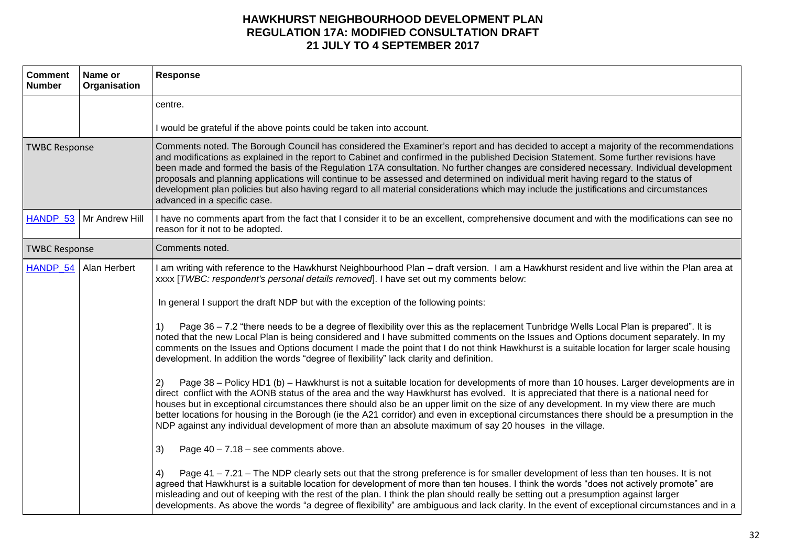| <b>Comment</b><br><b>Number</b> | Name or<br>Organisation   | <b>Response</b>                                                                                                                                                                                                                                                                                                                                                                                                                                                                                                                                                                                                                                                                                                                          |
|---------------------------------|---------------------------|------------------------------------------------------------------------------------------------------------------------------------------------------------------------------------------------------------------------------------------------------------------------------------------------------------------------------------------------------------------------------------------------------------------------------------------------------------------------------------------------------------------------------------------------------------------------------------------------------------------------------------------------------------------------------------------------------------------------------------------|
|                                 |                           | centre.                                                                                                                                                                                                                                                                                                                                                                                                                                                                                                                                                                                                                                                                                                                                  |
|                                 |                           | I would be grateful if the above points could be taken into account.                                                                                                                                                                                                                                                                                                                                                                                                                                                                                                                                                                                                                                                                     |
| <b>TWBC Response</b>            |                           | Comments noted. The Borough Council has considered the Examiner's report and has decided to accept a majority of the recommendations<br>and modifications as explained in the report to Cabinet and confirmed in the published Decision Statement. Some further revisions have<br>been made and formed the basis of the Regulation 17A consultation. No further changes are considered necessary. Individual development<br>proposals and planning applications will continue to be assessed and determined on individual merit having regard to the status of<br>development plan policies but also having regard to all material considerations which may include the justifications and circumstances<br>advanced in a specific case. |
|                                 | HANDP_53   Mr Andrew Hill | I have no comments apart from the fact that I consider it to be an excellent, comprehensive document and with the modifications can see no<br>reason for it not to be adopted.                                                                                                                                                                                                                                                                                                                                                                                                                                                                                                                                                           |
| <b>TWBC Response</b>            |                           | Comments noted.                                                                                                                                                                                                                                                                                                                                                                                                                                                                                                                                                                                                                                                                                                                          |
| HANDP 54                        | Alan Herbert              | I am writing with reference to the Hawkhurst Neighbourhood Plan - draft version. I am a Hawkhurst resident and live within the Plan area at<br>xxxx [TWBC: respondent's personal details removed]. I have set out my comments below:                                                                                                                                                                                                                                                                                                                                                                                                                                                                                                     |
|                                 |                           | In general I support the draft NDP but with the exception of the following points:                                                                                                                                                                                                                                                                                                                                                                                                                                                                                                                                                                                                                                                       |
|                                 |                           | Page 36 – 7.2 "there needs to be a degree of flexibility over this as the replacement Tunbridge Wells Local Plan is prepared". It is<br>1)<br>noted that the new Local Plan is being considered and I have submitted comments on the Issues and Options document separately. In my<br>comments on the Issues and Options document I made the point that I do not think Hawkhurst is a suitable location for larger scale housing<br>development. In addition the words "degree of flexibility" lack clarity and definition.                                                                                                                                                                                                              |
|                                 |                           | Page 38 - Policy HD1 (b) - Hawkhurst is not a suitable location for developments of more than 10 houses. Larger developments are in<br>2)<br>direct conflict with the AONB status of the area and the way Hawkhurst has evolved. It is appreciated that there is a national need for<br>houses but in exceptional circumstances there should also be an upper limit on the size of any development. In my view there are much<br>better locations for housing in the Borough (ie the A21 corridor) and even in exceptional circumstances there should be a presumption in the<br>NDP against any individual development of more than an absolute maximum of say 20 houses in the village.                                                |
|                                 |                           | 3)<br>Page $40 - 7.18$ – see comments above.                                                                                                                                                                                                                                                                                                                                                                                                                                                                                                                                                                                                                                                                                             |
|                                 |                           | Page 41 - 7.21 - The NDP clearly sets out that the strong preference is for smaller development of less than ten houses. It is not<br>4)<br>agreed that Hawkhurst is a suitable location for development of more than ten houses. I think the words "does not actively promote" are<br>misleading and out of keeping with the rest of the plan. I think the plan should really be setting out a presumption against larger<br>developments. As above the words "a degree of flexibility" are ambiguous and lack clarity. In the event of exceptional circumstances and in a                                                                                                                                                              |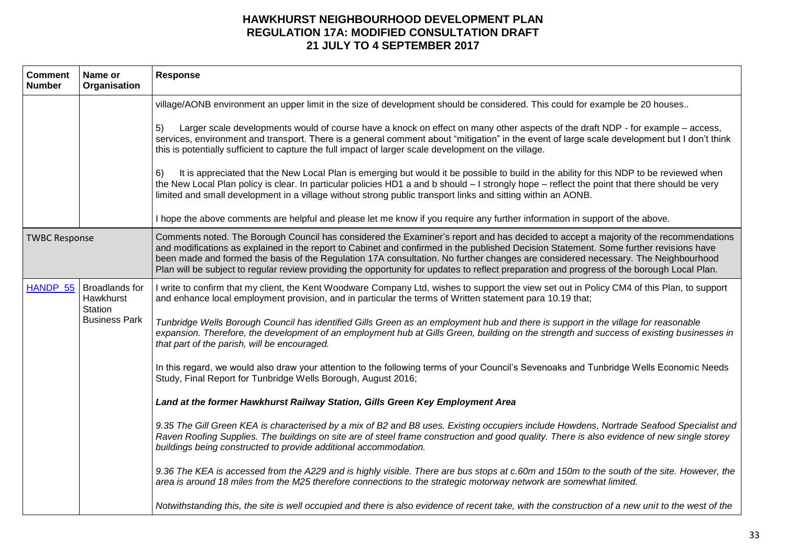| <b>Comment</b><br><b>Number</b> | Name or<br>Organisation                                                   | Response                                                                                                                                                                                                                                                                                                                                                                                                                                                                                                                                                           |
|---------------------------------|---------------------------------------------------------------------------|--------------------------------------------------------------------------------------------------------------------------------------------------------------------------------------------------------------------------------------------------------------------------------------------------------------------------------------------------------------------------------------------------------------------------------------------------------------------------------------------------------------------------------------------------------------------|
|                                 |                                                                           | village/AONB environment an upper limit in the size of development should be considered. This could for example be 20 houses                                                                                                                                                                                                                                                                                                                                                                                                                                       |
|                                 |                                                                           | Larger scale developments would of course have a knock on effect on many other aspects of the draft NDP - for example – access,<br>5)<br>services, environment and transport. There is a general comment about "mitigation" in the event of large scale development but I don't think<br>this is potentially sufficient to capture the full impact of larger scale development on the village.                                                                                                                                                                     |
|                                 |                                                                           | It is appreciated that the New Local Plan is emerging but would it be possible to build in the ability for this NDP to be reviewed when<br>6)<br>the New Local Plan policy is clear. In particular policies HD1 a and b should - I strongly hope - reflect the point that there should be very<br>limited and small development in a village without strong public transport links and sitting within an AONB.                                                                                                                                                     |
|                                 |                                                                           | I hope the above comments are helpful and please let me know if you require any further information in support of the above.                                                                                                                                                                                                                                                                                                                                                                                                                                       |
| <b>TWBC Response</b>            |                                                                           | Comments noted. The Borough Council has considered the Examiner's report and has decided to accept a majority of the recommendations<br>and modifications as explained in the report to Cabinet and confirmed in the published Decision Statement. Some further revisions have<br>been made and formed the basis of the Regulation 17A consultation. No further changes are considered necessary. The Neighbourhood<br>Plan will be subject to regular review providing the opportunity for updates to reflect preparation and progress of the borough Local Plan. |
|                                 | HANDP_55   Broadlands for<br>Hawkhurst<br>Station<br><b>Business Park</b> | I write to confirm that my client, the Kent Woodware Company Ltd, wishes to support the view set out in Policy CM4 of this Plan, to support<br>and enhance local employment provision, and in particular the terms of Written statement para 10.19 that;                                                                                                                                                                                                                                                                                                           |
|                                 |                                                                           | Tunbridge Wells Borough Council has identified Gills Green as an employment hub and there is support in the village for reasonable<br>expansion. Therefore, the development of an employment hub at Gills Green, building on the strength and success of existing businesses in<br>that part of the parish, will be encouraged.                                                                                                                                                                                                                                    |
|                                 |                                                                           | In this regard, we would also draw your attention to the following terms of your Council's Sevenoaks and Tunbridge Wells Economic Needs<br>Study, Final Report for Tunbridge Wells Borough, August 2016;                                                                                                                                                                                                                                                                                                                                                           |
|                                 |                                                                           | Land at the former Hawkhurst Railway Station, Gills Green Key Employment Area                                                                                                                                                                                                                                                                                                                                                                                                                                                                                      |
|                                 |                                                                           | 9.35 The Gill Green KEA is characterised by a mix of B2 and B8 uses. Existing occupiers include Howdens, Nortrade Seafood Specialist and<br>Raven Roofing Supplies. The buildings on site are of steel frame construction and good quality. There is also evidence of new single storey<br>buildings being constructed to provide additional accommodation.                                                                                                                                                                                                        |
|                                 |                                                                           | 9.36 The KEA is accessed from the A229 and is highly visible. There are bus stops at c.60m and 150m to the south of the site. However, the<br>area is around 18 miles from the M25 therefore connections to the strategic motorway network are somewhat limited.                                                                                                                                                                                                                                                                                                   |
|                                 |                                                                           | Notwithstanding this, the site is well occupied and there is also evidence of recent take, with the construction of a new unit to the west of the                                                                                                                                                                                                                                                                                                                                                                                                                  |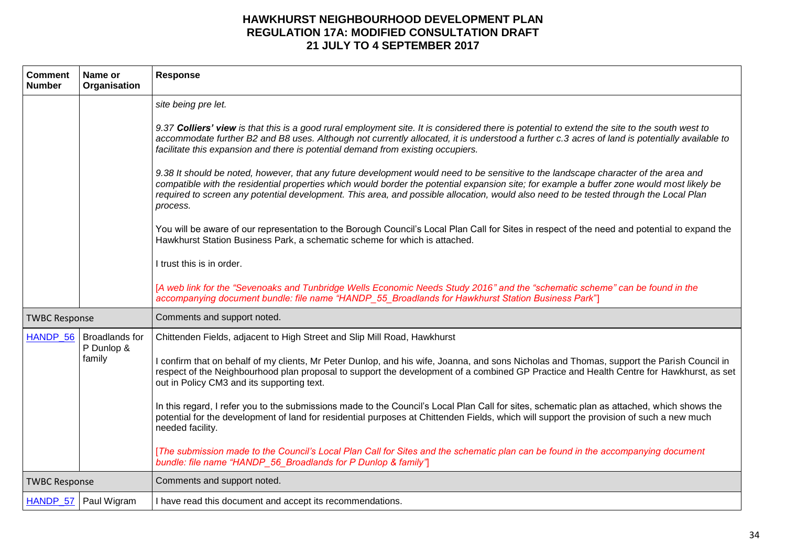| <b>Comment</b><br><b>Number</b> | Name or<br>Organisation             | <b>Response</b>                                                                                                                                                                                                                                                                                                                                                                                                                                                                                                                                                                                                                                                                                 |
|---------------------------------|-------------------------------------|-------------------------------------------------------------------------------------------------------------------------------------------------------------------------------------------------------------------------------------------------------------------------------------------------------------------------------------------------------------------------------------------------------------------------------------------------------------------------------------------------------------------------------------------------------------------------------------------------------------------------------------------------------------------------------------------------|
|                                 |                                     | site being pre let.<br>9.37 Colliers' view is that this is a good rural employment site. It is considered there is potential to extend the site to the south west to<br>accommodate further B2 and B8 uses. Although not currently allocated, it is understood a further c.3 acres of land is potentially available to<br>facilitate this expansion and there is potential demand from existing occupiers.<br>9.38 It should be noted, however, that any future development would need to be sensitive to the landscape character of the area and<br>compatible with the residential properties which would border the potential expansion site; for example a buffer zone would most likely be |
|                                 |                                     | required to screen any potential development. This area, and possible allocation, would also need to be tested through the Local Plan<br>process.<br>You will be aware of our representation to the Borough Council's Local Plan Call for Sites in respect of the need and potential to expand the<br>Hawkhurst Station Business Park, a schematic scheme for which is attached.                                                                                                                                                                                                                                                                                                                |
|                                 |                                     | I trust this is in order.                                                                                                                                                                                                                                                                                                                                                                                                                                                                                                                                                                                                                                                                       |
|                                 |                                     | [A web link for the "Sevenoaks and Tunbridge Wells Economic Needs Study 2016" and the "schematic scheme" can be found in the<br>accompanying document bundle: file name "HANDP_55_Broadlands for Hawkhurst Station Business Park"]                                                                                                                                                                                                                                                                                                                                                                                                                                                              |
| <b>TWBC Response</b>            |                                     | Comments and support noted.                                                                                                                                                                                                                                                                                                                                                                                                                                                                                                                                                                                                                                                                     |
| HANDP 56                        | <b>Broadlands for</b><br>P Dunlop & | Chittenden Fields, adjacent to High Street and Slip Mill Road, Hawkhurst                                                                                                                                                                                                                                                                                                                                                                                                                                                                                                                                                                                                                        |
|                                 | family                              | I confirm that on behalf of my clients, Mr Peter Dunlop, and his wife, Joanna, and sons Nicholas and Thomas, support the Parish Council in<br>respect of the Neighbourhood plan proposal to support the development of a combined GP Practice and Health Centre for Hawkhurst, as set<br>out in Policy CM3 and its supporting text.                                                                                                                                                                                                                                                                                                                                                             |
|                                 |                                     | In this regard, I refer you to the submissions made to the Council's Local Plan Call for sites, schematic plan as attached, which shows the<br>potential for the development of land for residential purposes at Chittenden Fields, which will support the provision of such a new much<br>needed facility.                                                                                                                                                                                                                                                                                                                                                                                     |
|                                 |                                     | [The submission made to the Council's Local Plan Call for Sites and the schematic plan can be found in the accompanying document<br>bundle: file name "HANDP_56_Broadlands for P Dunlop & family"]                                                                                                                                                                                                                                                                                                                                                                                                                                                                                              |
| <b>TWBC Response</b>            |                                     | Comments and support noted.                                                                                                                                                                                                                                                                                                                                                                                                                                                                                                                                                                                                                                                                     |
|                                 | HANDP_57   Paul Wigram              | I have read this document and accept its recommendations.                                                                                                                                                                                                                                                                                                                                                                                                                                                                                                                                                                                                                                       |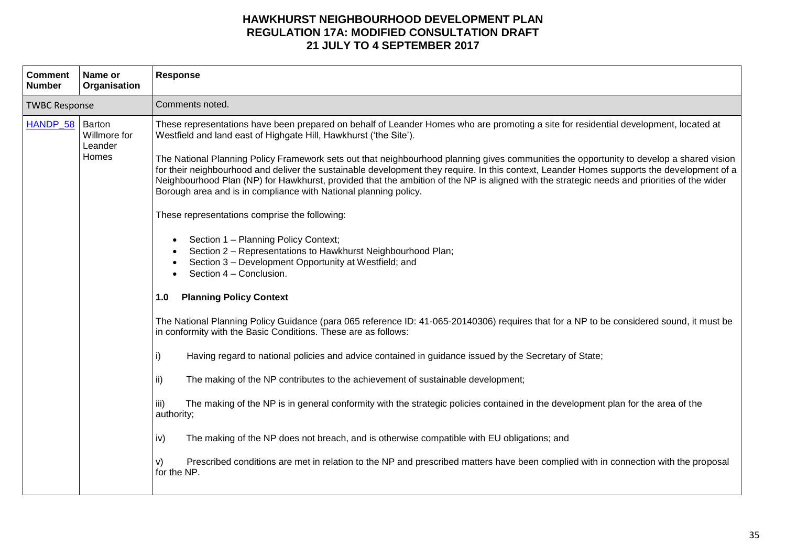| <b>Comment</b><br><b>Number</b> | Name or<br>Organisation          | <b>Response</b>                                                                                                                                                                                                                                                                                                                                                                                                                                                                                                                                                                                                                                                                                                                                                                                                                                                                                                                                                                                                                                                                                                                                                                                                                                                                                                                                                                                                                                                                                                                                                                                                                                                                                                                                                                                                                                                           |
|---------------------------------|----------------------------------|---------------------------------------------------------------------------------------------------------------------------------------------------------------------------------------------------------------------------------------------------------------------------------------------------------------------------------------------------------------------------------------------------------------------------------------------------------------------------------------------------------------------------------------------------------------------------------------------------------------------------------------------------------------------------------------------------------------------------------------------------------------------------------------------------------------------------------------------------------------------------------------------------------------------------------------------------------------------------------------------------------------------------------------------------------------------------------------------------------------------------------------------------------------------------------------------------------------------------------------------------------------------------------------------------------------------------------------------------------------------------------------------------------------------------------------------------------------------------------------------------------------------------------------------------------------------------------------------------------------------------------------------------------------------------------------------------------------------------------------------------------------------------------------------------------------------------------------------------------------------------|
| <b>TWBC Response</b>            |                                  | Comments noted.                                                                                                                                                                                                                                                                                                                                                                                                                                                                                                                                                                                                                                                                                                                                                                                                                                                                                                                                                                                                                                                                                                                                                                                                                                                                                                                                                                                                                                                                                                                                                                                                                                                                                                                                                                                                                                                           |
| HANDP_58 Barton                 | Willmore for<br>Leander<br>Homes | These representations have been prepared on behalf of Leander Homes who are promoting a site for residential development, located at<br>Westfield and land east of Highgate Hill, Hawkhurst ('the Site').<br>The National Planning Policy Framework sets out that neighbourhood planning gives communities the opportunity to develop a shared vision<br>for their neighbourhood and deliver the sustainable development they require. In this context, Leander Homes supports the development of a<br>Neighbourhood Plan (NP) for Hawkhurst, provided that the ambition of the NP is aligned with the strategic needs and priorities of the wider<br>Borough area and is in compliance with National planning policy.<br>These representations comprise the following:<br>Section 1 - Planning Policy Context;<br>$\bullet$<br>Section 2 - Representations to Hawkhurst Neighbourhood Plan;<br>Section 3 - Development Opportunity at Westfield; and<br>Section 4 - Conclusion.<br><b>Planning Policy Context</b><br>1.0<br>The National Planning Policy Guidance (para 065 reference ID: 41-065-20140306) requires that for a NP to be considered sound, it must be<br>in conformity with the Basic Conditions. These are as follows:<br>Having regard to national policies and advice contained in guidance issued by the Secretary of State;<br>i)<br>The making of the NP contributes to the achievement of sustainable development;<br>ii)<br>iii)<br>The making of the NP is in general conformity with the strategic policies contained in the development plan for the area of the<br>authority;<br>The making of the NP does not breach, and is otherwise compatible with EU obligations; and<br>iv)<br>Prescribed conditions are met in relation to the NP and prescribed matters have been complied with in connection with the proposal<br>v)<br>for the NP. |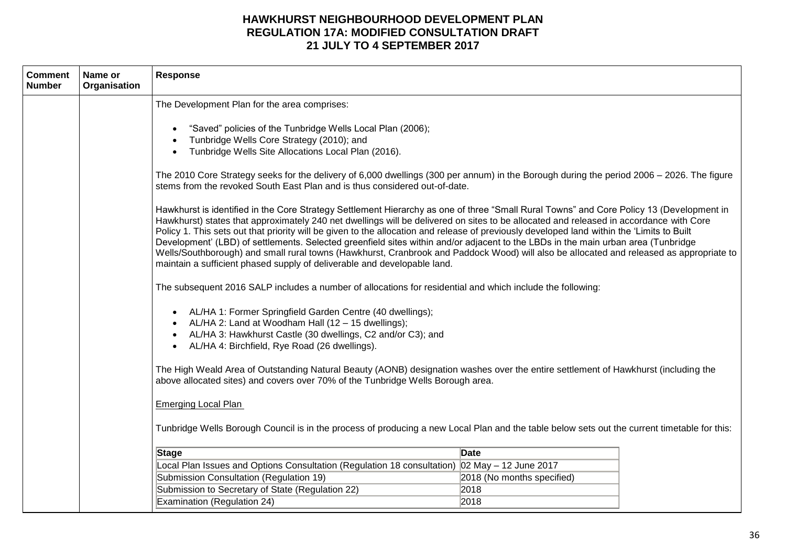| <b>Comment</b><br><b>Number</b> | Name or<br>Organisation | Response                                                                                                                                                                                                                                                                                                                                                                                                                                                                                                                                                                                                                                                                                                                                                                                                                                                                                                                                                                                                                                                                                                                                                                                                                                                                                                                                                                                                                                                                                                                                                                                                                                                                                                                         |
|---------------------------------|-------------------------|----------------------------------------------------------------------------------------------------------------------------------------------------------------------------------------------------------------------------------------------------------------------------------------------------------------------------------------------------------------------------------------------------------------------------------------------------------------------------------------------------------------------------------------------------------------------------------------------------------------------------------------------------------------------------------------------------------------------------------------------------------------------------------------------------------------------------------------------------------------------------------------------------------------------------------------------------------------------------------------------------------------------------------------------------------------------------------------------------------------------------------------------------------------------------------------------------------------------------------------------------------------------------------------------------------------------------------------------------------------------------------------------------------------------------------------------------------------------------------------------------------------------------------------------------------------------------------------------------------------------------------------------------------------------------------------------------------------------------------|
|                                 |                         | The Development Plan for the area comprises:<br>"Saved" policies of the Tunbridge Wells Local Plan (2006);<br>Tunbridge Wells Core Strategy (2010); and<br>Tunbridge Wells Site Allocations Local Plan (2016).<br>The 2010 Core Strategy seeks for the delivery of 6,000 dwellings (300 per annum) in the Borough during the period 2006 – 2026. The figure<br>stems from the revoked South East Plan and is thus considered out-of-date.<br>Hawkhurst is identified in the Core Strategy Settlement Hierarchy as one of three "Small Rural Towns" and Core Policy 13 (Development in<br>Hawkhurst) states that approximately 240 net dwellings will be delivered on sites to be allocated and released in accordance with Core<br>Policy 1. This sets out that priority will be given to the allocation and release of previously developed land within the 'Limits to Built<br>Development' (LBD) of settlements. Selected greenfield sites within and/or adjacent to the LBDs in the main urban area (Tunbridge<br>Wells/Southborough) and small rural towns (Hawkhurst, Cranbrook and Paddock Wood) will also be allocated and released as appropriate to<br>maintain a sufficient phased supply of deliverable and developable land.<br>The subsequent 2016 SALP includes a number of allocations for residential and which include the following:<br>AL/HA 1: Former Springfield Garden Centre (40 dwellings);<br>AL/HA 2: Land at Woodham Hall (12 - 15 dwellings);<br>AL/HA 3: Hawkhurst Castle (30 dwellings, C2 and/or C3); and<br>AL/HA 4: Birchfield, Rye Road (26 dwellings).<br>The High Weald Area of Outstanding Natural Beauty (AONB) designation washes over the entire settlement of Hawkhurst (including the |
|                                 |                         | above allocated sites) and covers over 70% of the Tunbridge Wells Borough area.                                                                                                                                                                                                                                                                                                                                                                                                                                                                                                                                                                                                                                                                                                                                                                                                                                                                                                                                                                                                                                                                                                                                                                                                                                                                                                                                                                                                                                                                                                                                                                                                                                                  |
|                                 |                         | <b>Emerging Local Plan</b><br>Tunbridge Wells Borough Council is in the process of producing a new Local Plan and the table below sets out the current timetable for this:                                                                                                                                                                                                                                                                                                                                                                                                                                                                                                                                                                                                                                                                                                                                                                                                                                                                                                                                                                                                                                                                                                                                                                                                                                                                                                                                                                                                                                                                                                                                                       |
|                                 |                         | Date<br><b>Stage</b>                                                                                                                                                                                                                                                                                                                                                                                                                                                                                                                                                                                                                                                                                                                                                                                                                                                                                                                                                                                                                                                                                                                                                                                                                                                                                                                                                                                                                                                                                                                                                                                                                                                                                                             |
|                                 |                         | Local Plan Issues and Options Consultation (Regulation 18 consultation) 02 May - 12 June 2017<br>Submission Consultation (Regulation 19)<br>2018 (No months specified)<br>Submission to Secretary of State (Regulation 22)<br>2018                                                                                                                                                                                                                                                                                                                                                                                                                                                                                                                                                                                                                                                                                                                                                                                                                                                                                                                                                                                                                                                                                                                                                                                                                                                                                                                                                                                                                                                                                               |
|                                 |                         | Examination (Regulation 24)<br>2018                                                                                                                                                                                                                                                                                                                                                                                                                                                                                                                                                                                                                                                                                                                                                                                                                                                                                                                                                                                                                                                                                                                                                                                                                                                                                                                                                                                                                                                                                                                                                                                                                                                                                              |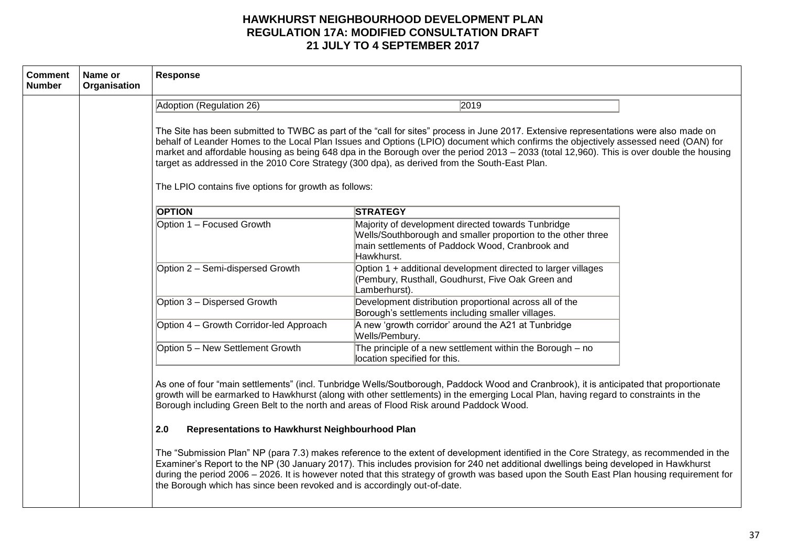| <b>Comment</b><br><b>Number</b> | Name or<br>Organisation | <b>Response</b>                                                                                                                                                                                                                                                                                                                                                                                                                                                                                                                                                                     |                                                                                                                                                                                                                                                                                                                                                                                                                                                                                                                                                                                                                                                                                                                                                                                                            |  |
|---------------------------------|-------------------------|-------------------------------------------------------------------------------------------------------------------------------------------------------------------------------------------------------------------------------------------------------------------------------------------------------------------------------------------------------------------------------------------------------------------------------------------------------------------------------------------------------------------------------------------------------------------------------------|------------------------------------------------------------------------------------------------------------------------------------------------------------------------------------------------------------------------------------------------------------------------------------------------------------------------------------------------------------------------------------------------------------------------------------------------------------------------------------------------------------------------------------------------------------------------------------------------------------------------------------------------------------------------------------------------------------------------------------------------------------------------------------------------------------|--|
|                                 |                         | Adoption (Regulation 26)                                                                                                                                                                                                                                                                                                                                                                                                                                                                                                                                                            | 2019                                                                                                                                                                                                                                                                                                                                                                                                                                                                                                                                                                                                                                                                                                                                                                                                       |  |
|                                 |                         | The Site has been submitted to TWBC as part of the "call for sites" process in June 2017. Extensive representations were also made on<br>behalf of Leander Homes to the Local Plan Issues and Options (LPIO) document which confirms the objectively assessed need (OAN) for<br>market and affordable housing as being 648 dpa in the Borough over the period 2013 - 2033 (total 12,960). This is over double the housing<br>target as addressed in the 2010 Core Strategy (300 dpa), as derived from the South-East Plan.<br>The LPIO contains five options for growth as follows: |                                                                                                                                                                                                                                                                                                                                                                                                                                                                                                                                                                                                                                                                                                                                                                                                            |  |
|                                 |                         | <b>OPTION</b>                                                                                                                                                                                                                                                                                                                                                                                                                                                                                                                                                                       | <b>STRATEGY</b>                                                                                                                                                                                                                                                                                                                                                                                                                                                                                                                                                                                                                                                                                                                                                                                            |  |
|                                 |                         | Option 1 - Focused Growth                                                                                                                                                                                                                                                                                                                                                                                                                                                                                                                                                           | Majority of development directed towards Tunbridge<br>Wells/Southborough and smaller proportion to the other three<br>main settlements of Paddock Wood, Cranbrook and<br>Hawkhurst.                                                                                                                                                                                                                                                                                                                                                                                                                                                                                                                                                                                                                        |  |
|                                 |                         | Option 2 - Semi-dispersed Growth                                                                                                                                                                                                                                                                                                                                                                                                                                                                                                                                                    | Option 1 + additional development directed to larger villages<br>(Pembury, Rusthall, Goudhurst, Five Oak Green and<br>Lamberhurst).                                                                                                                                                                                                                                                                                                                                                                                                                                                                                                                                                                                                                                                                        |  |
|                                 |                         | Option 3 - Dispersed Growth                                                                                                                                                                                                                                                                                                                                                                                                                                                                                                                                                         | Development distribution proportional across all of the<br>Borough's settlements including smaller villages.                                                                                                                                                                                                                                                                                                                                                                                                                                                                                                                                                                                                                                                                                               |  |
|                                 |                         | Option 4 – Growth Corridor-led Approach                                                                                                                                                                                                                                                                                                                                                                                                                                                                                                                                             | A new 'growth corridor' around the A21 at Tunbridge<br>Wells/Pembury.                                                                                                                                                                                                                                                                                                                                                                                                                                                                                                                                                                                                                                                                                                                                      |  |
|                                 |                         | Option 5 - New Settlement Growth                                                                                                                                                                                                                                                                                                                                                                                                                                                                                                                                                    | The principle of a new settlement within the Borough $-$ no<br>location specified for this.                                                                                                                                                                                                                                                                                                                                                                                                                                                                                                                                                                                                                                                                                                                |  |
|                                 |                         | 2.0<br>Representations to Hawkhurst Neighbourhood Plan<br>the Borough which has since been revoked and is accordingly out-of-date.                                                                                                                                                                                                                                                                                                                                                                                                                                                  | As one of four "main settlements" (incl. Tunbridge Wells/Soutborough, Paddock Wood and Cranbrook), it is anticipated that proportionate<br>growth will be earmarked to Hawkhurst (along with other settlements) in the emerging Local Plan, having regard to constraints in the<br>Borough including Green Belt to the north and areas of Flood Risk around Paddock Wood.<br>The "Submission Plan" NP (para 7.3) makes reference to the extent of development identified in the Core Strategy, as recommended in the<br>Examiner's Report to the NP (30 January 2017). This includes provision for 240 net additional dwellings being developed in Hawkhurst<br>during the period 2006 - 2026. It is however noted that this strategy of growth was based upon the South East Plan housing requirement for |  |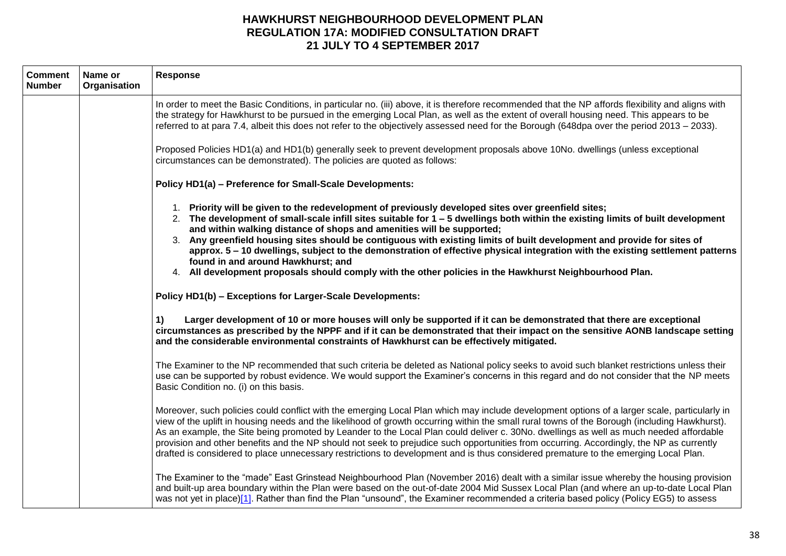| <b>Comment</b><br><b>Number</b> | Name or<br>Organisation | <b>Response</b>                                                                                                                                                                                                                                                                                                                                                                                                                                                                                                                                                                                                                                                                                                                |
|---------------------------------|-------------------------|--------------------------------------------------------------------------------------------------------------------------------------------------------------------------------------------------------------------------------------------------------------------------------------------------------------------------------------------------------------------------------------------------------------------------------------------------------------------------------------------------------------------------------------------------------------------------------------------------------------------------------------------------------------------------------------------------------------------------------|
|                                 |                         | In order to meet the Basic Conditions, in particular no. (iii) above, it is therefore recommended that the NP affords flexibility and aligns with<br>the strategy for Hawkhurst to be pursued in the emerging Local Plan, as well as the extent of overall housing need. This appears to be<br>referred to at para 7.4, albeit this does not refer to the objectively assessed need for the Borough (648dpa over the period 2013 - 2033).                                                                                                                                                                                                                                                                                      |
|                                 |                         | Proposed Policies HD1(a) and HD1(b) generally seek to prevent development proposals above 10No. dwellings (unless exceptional<br>circumstances can be demonstrated). The policies are quoted as follows:                                                                                                                                                                                                                                                                                                                                                                                                                                                                                                                       |
|                                 |                         | Policy HD1(a) - Preference for Small-Scale Developments:                                                                                                                                                                                                                                                                                                                                                                                                                                                                                                                                                                                                                                                                       |
|                                 |                         | 1. Priority will be given to the redevelopment of previously developed sites over greenfield sites;<br>2. The development of small-scale infill sites suitable for 1 – 5 dwellings both within the existing limits of built development<br>and within walking distance of shops and amenities will be supported;<br>3. Any greenfield housing sites should be contiguous with existing limits of built development and provide for sites of<br>approx. 5 – 10 dwellings, subject to the demonstration of effective physical integration with the existing settlement patterns<br>found in and around Hawkhurst; and<br>4. All development proposals should comply with the other policies in the Hawkhurst Neighbourhood Plan. |
|                                 |                         | Policy HD1(b) - Exceptions for Larger-Scale Developments:                                                                                                                                                                                                                                                                                                                                                                                                                                                                                                                                                                                                                                                                      |
|                                 |                         | Larger development of 10 or more houses will only be supported if it can be demonstrated that there are exceptional<br>1)<br>circumstances as prescribed by the NPPF and if it can be demonstrated that their impact on the sensitive AONB landscape setting<br>and the considerable environmental constraints of Hawkhurst can be effectively mitigated.                                                                                                                                                                                                                                                                                                                                                                      |
|                                 |                         | The Examiner to the NP recommended that such criteria be deleted as National policy seeks to avoid such blanket restrictions unless their<br>use can be supported by robust evidence. We would support the Examiner's concerns in this regard and do not consider that the NP meets<br>Basic Condition no. (i) on this basis.                                                                                                                                                                                                                                                                                                                                                                                                  |
|                                 |                         | Moreover, such policies could conflict with the emerging Local Plan which may include development options of a larger scale, particularly in<br>view of the uplift in housing needs and the likelihood of growth occurring within the small rural towns of the Borough (including Hawkhurst).<br>As an example, the Site being promoted by Leander to the Local Plan could deliver c. 30No. dwellings as well as much needed affordable<br>provision and other benefits and the NP should not seek to prejudice such opportunities from occurring. Accordingly, the NP as currently<br>drafted is considered to place unnecessary restrictions to development and is thus considered premature to the emerging Local Plan.     |
|                                 |                         | The Examiner to the "made" East Grinstead Neighbourhood Plan (November 2016) dealt with a similar issue whereby the housing provision<br>and built-up area boundary within the Plan were based on the out-of-date 2004 Mid Sussex Local Plan (and where an up-to-date Local Plan<br>was not yet in place)[1]. Rather than find the Plan "unsound", the Examiner recommended a criteria based policy (Policy EG5) to assess                                                                                                                                                                                                                                                                                                     |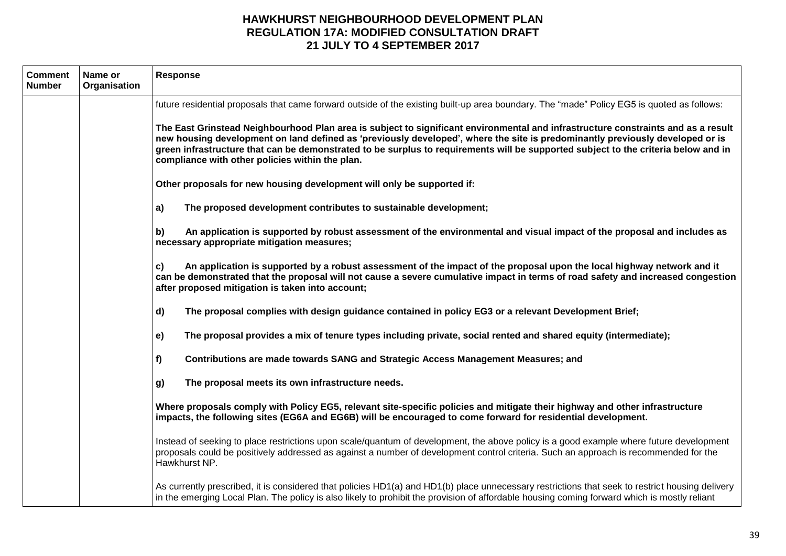| <b>Comment</b><br><b>Number</b> | Name or<br>Organisation | Response                                                                                                                                                                                                                                                                                                                                                                                                                                                    |
|---------------------------------|-------------------------|-------------------------------------------------------------------------------------------------------------------------------------------------------------------------------------------------------------------------------------------------------------------------------------------------------------------------------------------------------------------------------------------------------------------------------------------------------------|
|                                 |                         | future residential proposals that came forward outside of the existing built-up area boundary. The "made" Policy EG5 is quoted as follows:                                                                                                                                                                                                                                                                                                                  |
|                                 |                         | The East Grinstead Neighbourhood Plan area is subject to significant environmental and infrastructure constraints and as a result<br>new housing development on land defined as 'previously developed', where the site is predominantly previously developed or is<br>green infrastructure that can be demonstrated to be surplus to requirements will be supported subject to the criteria below and in<br>compliance with other policies within the plan. |
|                                 |                         | Other proposals for new housing development will only be supported if:                                                                                                                                                                                                                                                                                                                                                                                      |
|                                 |                         | The proposed development contributes to sustainable development;<br>a)                                                                                                                                                                                                                                                                                                                                                                                      |
|                                 |                         | An application is supported by robust assessment of the environmental and visual impact of the proposal and includes as<br>b)<br>necessary appropriate mitigation measures;                                                                                                                                                                                                                                                                                 |
|                                 |                         | An application is supported by a robust assessment of the impact of the proposal upon the local highway network and it<br>c)<br>can be demonstrated that the proposal will not cause a severe cumulative impact in terms of road safety and increased congestion<br>after proposed mitigation is taken into account;                                                                                                                                        |
|                                 |                         | d)<br>The proposal complies with design guidance contained in policy EG3 or a relevant Development Brief;                                                                                                                                                                                                                                                                                                                                                   |
|                                 |                         | The proposal provides a mix of tenure types including private, social rented and shared equity (intermediate);<br>e)                                                                                                                                                                                                                                                                                                                                        |
|                                 |                         | f<br>Contributions are made towards SANG and Strategic Access Management Measures; and                                                                                                                                                                                                                                                                                                                                                                      |
|                                 |                         | The proposal meets its own infrastructure needs.<br>g)                                                                                                                                                                                                                                                                                                                                                                                                      |
|                                 |                         | Where proposals comply with Policy EG5, relevant site-specific policies and mitigate their highway and other infrastructure<br>impacts, the following sites (EG6A and EG6B) will be encouraged to come forward for residential development.                                                                                                                                                                                                                 |
|                                 |                         | Instead of seeking to place restrictions upon scale/quantum of development, the above policy is a good example where future development<br>proposals could be positively addressed as against a number of development control criteria. Such an approach is recommended for the<br>Hawkhurst NP.                                                                                                                                                            |
|                                 |                         | As currently prescribed, it is considered that policies HD1(a) and HD1(b) place unnecessary restrictions that seek to restrict housing delivery<br>in the emerging Local Plan. The policy is also likely to prohibit the provision of affordable housing coming forward which is mostly reliant                                                                                                                                                             |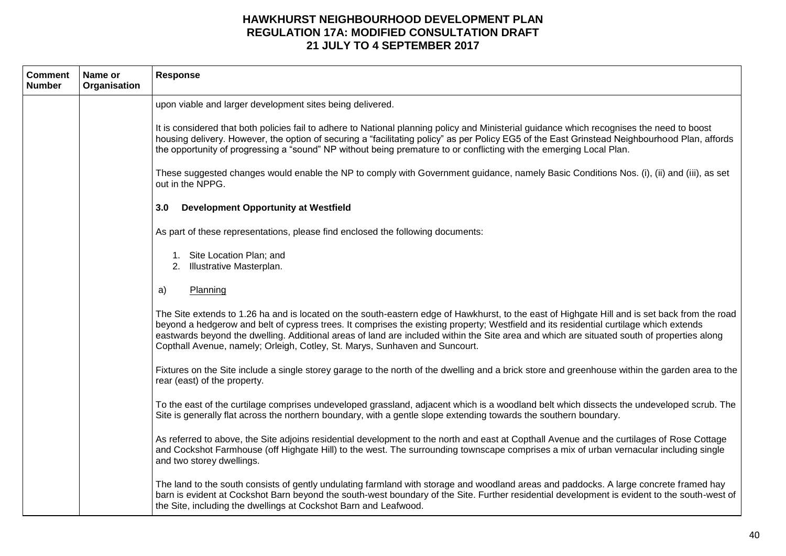| <b>Comment</b><br><b>Number</b> | Name or<br>Organisation | <b>Response</b>                                                                                                                                                                                                                                                                                                                                                                                                                                                                                                      |
|---------------------------------|-------------------------|----------------------------------------------------------------------------------------------------------------------------------------------------------------------------------------------------------------------------------------------------------------------------------------------------------------------------------------------------------------------------------------------------------------------------------------------------------------------------------------------------------------------|
|                                 |                         | upon viable and larger development sites being delivered.                                                                                                                                                                                                                                                                                                                                                                                                                                                            |
|                                 |                         | It is considered that both policies fail to adhere to National planning policy and Ministerial guidance which recognises the need to boost<br>housing delivery. However, the option of securing a "facilitating policy" as per Policy EG5 of the East Grinstead Neighbourhood Plan, affords<br>the opportunity of progressing a "sound" NP without being premature to or conflicting with the emerging Local Plan.                                                                                                   |
|                                 |                         | These suggested changes would enable the NP to comply with Government guidance, namely Basic Conditions Nos. (i), (ii) and (iii), as set<br>out in the NPPG.                                                                                                                                                                                                                                                                                                                                                         |
|                                 |                         | <b>Development Opportunity at Westfield</b><br>3.0                                                                                                                                                                                                                                                                                                                                                                                                                                                                   |
|                                 |                         | As part of these representations, please find enclosed the following documents:                                                                                                                                                                                                                                                                                                                                                                                                                                      |
|                                 |                         | 1. Site Location Plan; and<br>2. Illustrative Masterplan.                                                                                                                                                                                                                                                                                                                                                                                                                                                            |
|                                 |                         | Planning<br>a)                                                                                                                                                                                                                                                                                                                                                                                                                                                                                                       |
|                                 |                         | The Site extends to 1.26 ha and is located on the south-eastern edge of Hawkhurst, to the east of Highgate Hill and is set back from the road<br>beyond a hedgerow and belt of cypress trees. It comprises the existing property; Westfield and its residential curtilage which extends<br>eastwards beyond the dwelling. Additional areas of land are included within the Site area and which are situated south of properties along<br>Copthall Avenue, namely; Orleigh, Cotley, St. Marys, Sunhaven and Suncourt. |
|                                 |                         | Fixtures on the Site include a single storey garage to the north of the dwelling and a brick store and greenhouse within the garden area to the<br>rear (east) of the property.                                                                                                                                                                                                                                                                                                                                      |
|                                 |                         | To the east of the curtilage comprises undeveloped grassland, adjacent which is a woodland belt which dissects the undeveloped scrub. The<br>Site is generally flat across the northern boundary, with a gentle slope extending towards the southern boundary.                                                                                                                                                                                                                                                       |
|                                 |                         | As referred to above, the Site adjoins residential development to the north and east at Copthall Avenue and the curtilages of Rose Cottage<br>and Cockshot Farmhouse (off Highgate Hill) to the west. The surrounding townscape comprises a mix of urban vernacular including single<br>and two storey dwellings.                                                                                                                                                                                                    |
|                                 |                         | The land to the south consists of gently undulating farmland with storage and woodland areas and paddocks. A large concrete framed hay<br>barn is evident at Cockshot Barn beyond the south-west boundary of the Site. Further residential development is evident to the south-west of<br>the Site, including the dwellings at Cockshot Barn and Leafwood.                                                                                                                                                           |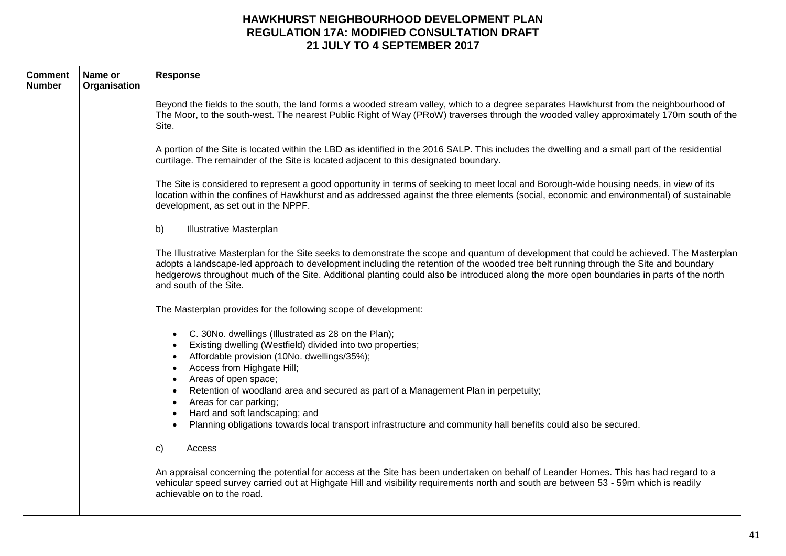| <b>Comment</b><br><b>Number</b> | Name or<br>Organisation | <b>Response</b>                                                                                                                                                                                                                                                                                                                                                                                                                                         |
|---------------------------------|-------------------------|---------------------------------------------------------------------------------------------------------------------------------------------------------------------------------------------------------------------------------------------------------------------------------------------------------------------------------------------------------------------------------------------------------------------------------------------------------|
|                                 |                         | Beyond the fields to the south, the land forms a wooded stream valley, which to a degree separates Hawkhurst from the neighbourhood of<br>The Moor, to the south-west. The nearest Public Right of Way (PRoW) traverses through the wooded valley approximately 170m south of the<br>Site.                                                                                                                                                              |
|                                 |                         | A portion of the Site is located within the LBD as identified in the 2016 SALP. This includes the dwelling and a small part of the residential<br>curtilage. The remainder of the Site is located adjacent to this designated boundary.                                                                                                                                                                                                                 |
|                                 |                         | The Site is considered to represent a good opportunity in terms of seeking to meet local and Borough-wide housing needs, in view of its<br>location within the confines of Hawkhurst and as addressed against the three elements (social, economic and environmental) of sustainable<br>development, as set out in the NPPF.                                                                                                                            |
|                                 |                         | b)<br><b>Illustrative Masterplan</b>                                                                                                                                                                                                                                                                                                                                                                                                                    |
|                                 |                         | The Illustrative Masterplan for the Site seeks to demonstrate the scope and quantum of development that could be achieved. The Masterplan<br>adopts a landscape-led approach to development including the retention of the wooded tree belt running through the Site and boundary<br>hedgerows throughout much of the Site. Additional planting could also be introduced along the more open boundaries in parts of the north<br>and south of the Site. |
|                                 |                         | The Masterplan provides for the following scope of development:                                                                                                                                                                                                                                                                                                                                                                                         |
|                                 |                         | C. 30No. dwellings (Illustrated as 28 on the Plan);<br>Existing dwelling (Westfield) divided into two properties;<br>Affordable provision (10No. dwellings/35%);<br>Access from Highgate Hill;<br>$\bullet$<br>Areas of open space;<br>Retention of woodland area and secured as part of a Management Plan in perpetuity;                                                                                                                               |
|                                 |                         | Areas for car parking;<br>Hard and soft landscaping; and<br>Planning obligations towards local transport infrastructure and community hall benefits could also be secured.                                                                                                                                                                                                                                                                              |
|                                 |                         | C)<br>Access                                                                                                                                                                                                                                                                                                                                                                                                                                            |
|                                 |                         | An appraisal concerning the potential for access at the Site has been undertaken on behalf of Leander Homes. This has had regard to a<br>vehicular speed survey carried out at Highgate Hill and visibility requirements north and south are between 53 - 59m which is readily<br>achievable on to the road.                                                                                                                                            |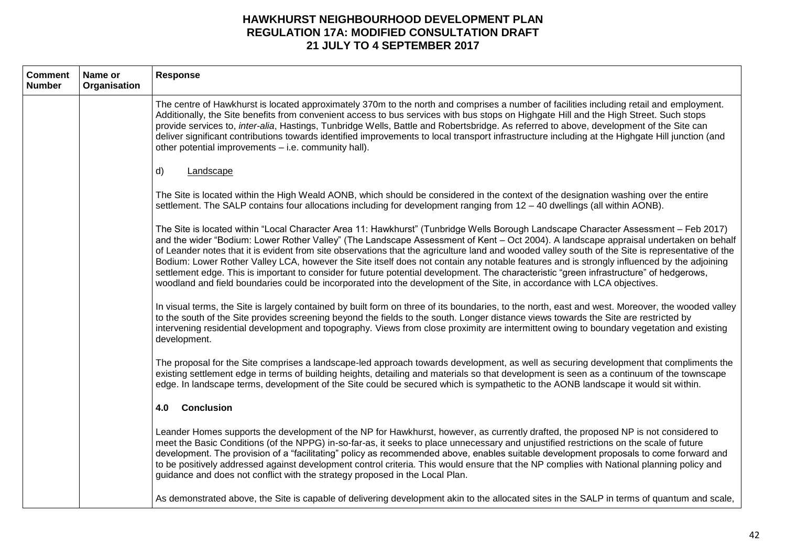| <b>Comment</b><br><b>Number</b> | Name or<br>Organisation | Response                                                                                                                                                                                                                                                                                                                                                                                                                                                                                                                                                                                                                                                                                                                                                                                                                                                |
|---------------------------------|-------------------------|---------------------------------------------------------------------------------------------------------------------------------------------------------------------------------------------------------------------------------------------------------------------------------------------------------------------------------------------------------------------------------------------------------------------------------------------------------------------------------------------------------------------------------------------------------------------------------------------------------------------------------------------------------------------------------------------------------------------------------------------------------------------------------------------------------------------------------------------------------|
|                                 |                         | The centre of Hawkhurst is located approximately 370m to the north and comprises a number of facilities including retail and employment.<br>Additionally, the Site benefits from convenient access to bus services with bus stops on Highgate Hill and the High Street. Such stops<br>provide services to, inter-alia, Hastings, Tunbridge Wells, Battle and Robertsbridge. As referred to above, development of the Site can<br>deliver significant contributions towards identified improvements to local transport infrastructure including at the Highgate Hill junction (and<br>other potential improvements - i.e. community hall).                                                                                                                                                                                                               |
|                                 |                         | Landscape<br>d)                                                                                                                                                                                                                                                                                                                                                                                                                                                                                                                                                                                                                                                                                                                                                                                                                                         |
|                                 |                         | The Site is located within the High Weald AONB, which should be considered in the context of the designation washing over the entire<br>settlement. The SALP contains four allocations including for development ranging from 12 - 40 dwellings (all within AONB).                                                                                                                                                                                                                                                                                                                                                                                                                                                                                                                                                                                      |
|                                 |                         | The Site is located within "Local Character Area 11: Hawkhurst" (Tunbridge Wells Borough Landscape Character Assessment - Feb 2017)<br>and the wider "Bodium: Lower Rother Valley" (The Landscape Assessment of Kent - Oct 2004). A landscape appraisal undertaken on behalf<br>of Leander notes that it is evident from site observations that the agriculture land and wooded valley south of the Site is representative of the<br>Bodium: Lower Rother Valley LCA, however the Site itself does not contain any notable features and is strongly influenced by the adjoining<br>settlement edge. This is important to consider for future potential development. The characteristic "green infrastructure" of hedgerows,<br>woodland and field boundaries could be incorporated into the development of the Site, in accordance with LCA objectives. |
|                                 |                         | In visual terms, the Site is largely contained by built form on three of its boundaries, to the north, east and west. Moreover, the wooded valley<br>to the south of the Site provides screening beyond the fields to the south. Longer distance views towards the Site are restricted by<br>intervening residential development and topography. Views from close proximity are intermittent owing to boundary vegetation and existing<br>development.                                                                                                                                                                                                                                                                                                                                                                                                  |
|                                 |                         | The proposal for the Site comprises a landscape-led approach towards development, as well as securing development that compliments the<br>existing settlement edge in terms of building heights, detailing and materials so that development is seen as a continuum of the townscape<br>edge. In landscape terms, development of the Site could be secured which is sympathetic to the AONB landscape it would sit within.                                                                                                                                                                                                                                                                                                                                                                                                                              |
|                                 |                         | <b>Conclusion</b><br>4.0                                                                                                                                                                                                                                                                                                                                                                                                                                                                                                                                                                                                                                                                                                                                                                                                                                |
|                                 |                         | Leander Homes supports the development of the NP for Hawkhurst, however, as currently drafted, the proposed NP is not considered to<br>meet the Basic Conditions (of the NPPG) in-so-far-as, it seeks to place unnecessary and unjustified restrictions on the scale of future<br>development. The provision of a "facilitating" policy as recommended above, enables suitable development proposals to come forward and<br>to be positively addressed against development control criteria. This would ensure that the NP complies with National planning policy and<br>guidance and does not conflict with the strategy proposed in the Local Plan.                                                                                                                                                                                                   |
|                                 |                         | As demonstrated above, the Site is capable of delivering development akin to the allocated sites in the SALP in terms of quantum and scale,                                                                                                                                                                                                                                                                                                                                                                                                                                                                                                                                                                                                                                                                                                             |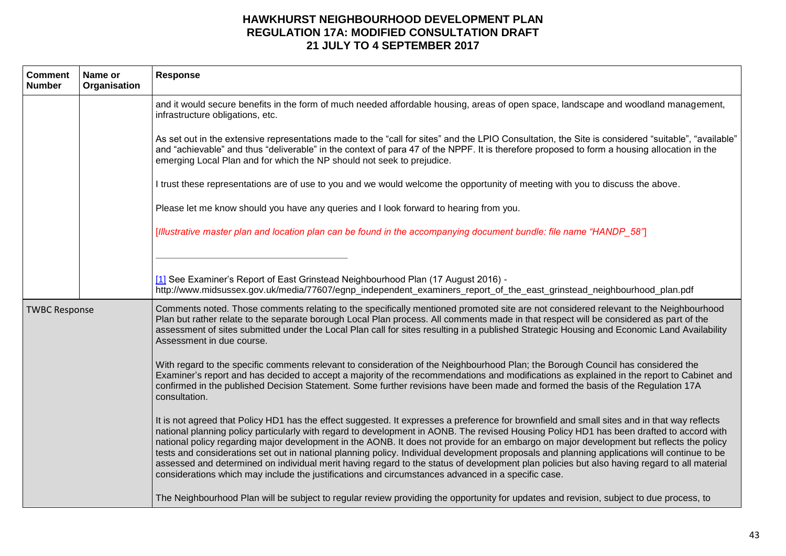| <b>Comment</b><br><b>Number</b> | Name or<br>Organisation | <b>Response</b>                                                                                                                                                                                                                                                                                                                                                                                                                                                                                                                                                                                                                                                                                                                                                                                                                           |
|---------------------------------|-------------------------|-------------------------------------------------------------------------------------------------------------------------------------------------------------------------------------------------------------------------------------------------------------------------------------------------------------------------------------------------------------------------------------------------------------------------------------------------------------------------------------------------------------------------------------------------------------------------------------------------------------------------------------------------------------------------------------------------------------------------------------------------------------------------------------------------------------------------------------------|
|                                 |                         | and it would secure benefits in the form of much needed affordable housing, areas of open space, landscape and woodland management,<br>infrastructure obligations, etc.                                                                                                                                                                                                                                                                                                                                                                                                                                                                                                                                                                                                                                                                   |
|                                 |                         | As set out in the extensive representations made to the "call for sites" and the LPIO Consultation, the Site is considered "suitable", "available"<br>and "achievable" and thus "deliverable" in the context of para 47 of the NPPF. It is therefore proposed to form a housing allocation in the<br>emerging Local Plan and for which the NP should not seek to prejudice.                                                                                                                                                                                                                                                                                                                                                                                                                                                               |
|                                 |                         | I trust these representations are of use to you and we would welcome the opportunity of meeting with you to discuss the above.                                                                                                                                                                                                                                                                                                                                                                                                                                                                                                                                                                                                                                                                                                            |
|                                 |                         | Please let me know should you have any queries and I look forward to hearing from you.                                                                                                                                                                                                                                                                                                                                                                                                                                                                                                                                                                                                                                                                                                                                                    |
|                                 |                         | [Illustrative master plan and location plan can be found in the accompanying document bundle: file name "HANDP_58"]                                                                                                                                                                                                                                                                                                                                                                                                                                                                                                                                                                                                                                                                                                                       |
|                                 |                         |                                                                                                                                                                                                                                                                                                                                                                                                                                                                                                                                                                                                                                                                                                                                                                                                                                           |
|                                 |                         | [1] See Examiner's Report of East Grinstead Neighbourhood Plan (17 August 2016) -<br>http://www.midsussex.gov.uk/media/77607/egnp_independent_examiners_report_of_the_east_grinstead_neighbourhood_plan.pdf                                                                                                                                                                                                                                                                                                                                                                                                                                                                                                                                                                                                                               |
| <b>TWBC Response</b>            |                         | Comments noted. Those comments relating to the specifically mentioned promoted site are not considered relevant to the Neighbourhood<br>Plan but rather relate to the separate borough Local Plan process. All comments made in that respect will be considered as part of the<br>assessment of sites submitted under the Local Plan call for sites resulting in a published Strategic Housing and Economic Land Availability<br>Assessment in due course.                                                                                                                                                                                                                                                                                                                                                                                |
|                                 |                         | With regard to the specific comments relevant to consideration of the Neighbourhood Plan; the Borough Council has considered the<br>Examiner's report and has decided to accept a majority of the recommendations and modifications as explained in the report to Cabinet and<br>confirmed in the published Decision Statement. Some further revisions have been made and formed the basis of the Regulation 17A<br>consultation.                                                                                                                                                                                                                                                                                                                                                                                                         |
|                                 |                         | It is not agreed that Policy HD1 has the effect suggested. It expresses a preference for brownfield and small sites and in that way reflects<br>national planning policy particularly with regard to development in AONB. The revised Housing Policy HD1 has been drafted to accord with<br>national policy regarding major development in the AONB. It does not provide for an embargo on major development but reflects the policy<br>tests and considerations set out in national planning policy. Individual development proposals and planning applications will continue to be<br>assessed and determined on individual merit having regard to the status of development plan policies but also having regard to all material<br>considerations which may include the justifications and circumstances advanced in a specific case. |
|                                 |                         | The Neighbourhood Plan will be subject to regular review providing the opportunity for updates and revision, subject to due process, to                                                                                                                                                                                                                                                                                                                                                                                                                                                                                                                                                                                                                                                                                                   |